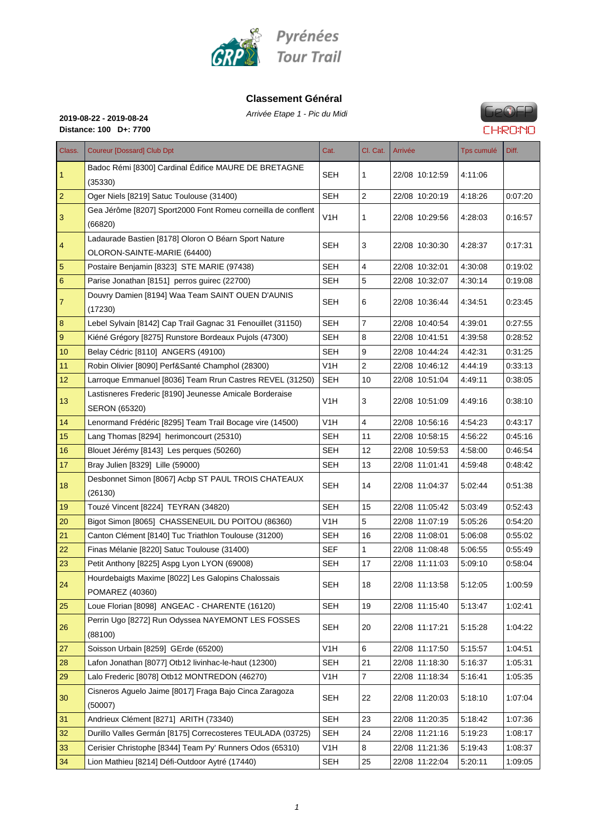

#### **Classement Général**

Arrivée Etape 1 - Pic du Midi **2019-08-22 - 2019-08-24**



**Distance: 100 D+: 7700**

| Badoc Rémi [8300] Cardinal Édifice MAURE DE BRETAGNE<br>SEH<br>4:11:06<br>1<br>1<br>22/08 10:12:59<br>(35330)<br><b>SEH</b><br>2<br>22/08 10:20:19<br>$\overline{2}$<br>Oger Niels [8219] Satuc Toulouse (31400)<br>4:18:26<br>Gea Jérôme [8207] Sport2000 Font Romeu corneilla de conflent<br>3<br>V1H<br>22/08 10:29:56<br>4:28:03<br>1<br>(66820)<br>Ladaurade Bastien [8178] Oloron O Béarn Sport Nature<br>$\vert 4$<br>SEH<br>3<br>4:28:37<br>22/08 10:30:30<br>OLORON-SAINTE-MARIE (64400)<br><b>SEH</b><br>4<br>5<br>22/08 10:32:01<br>4.30.08<br>Postaire Benjamin [8323] STE MARIE (97438)<br>$6\phantom{1}6$<br>5<br>SEH<br>22/08 10:32:07<br>Parise Jonathan [8151] perros guirec (22700)<br>4:30:14<br>Douvry Damien [8194] Waa Team SAINT OUEN D'AUNIS<br>7<br>SEH<br>22/08 10:36:44<br>6<br>4:34:51<br>(17230)<br><b>SEH</b><br>$\overline{7}$<br>8<br>Lebel Sylvain [8142] Cap Trail Gagnac 31 Fenouillet (31150)<br>22/08 10:40:54<br>4:39:01<br>$9\,$<br>Kiéné Grégory [8275] Runstore Bordeaux Pujols (47300)<br><b>SEH</b><br>22/08 10:41:51<br>8<br>4:39:58<br>10 <sup>1</sup><br>Belay Cédric [8110] ANGERS (49100)<br><b>SEH</b><br>9<br>22/08 10:44:24<br>4:42:31<br>2<br>11<br>V <sub>1</sub> H<br>22/08 10:46:12<br>Robin Olivier [8090] Perf&Santé Champhol (28300)<br>4:44:19<br>12<br>Larroque Emmanuel [8036] Team Rrun Castres REVEL (31250)<br><b>SEH</b><br>10<br>22/08 10:51:04<br>4:49:11<br>Lastisneres Frederic [8190] Jeunesse Amicale Borderaise<br>13<br>V1H<br>3<br>22/08 10:51:09<br>4:49:16<br>SERON (65320) | Class. | <b>Coureur [Dossard] Club Dpt</b> | Cat. | Cl. Cat. | Arrivée | Tps cumulé | Diff.   |
|---------------------------------------------------------------------------------------------------------------------------------------------------------------------------------------------------------------------------------------------------------------------------------------------------------------------------------------------------------------------------------------------------------------------------------------------------------------------------------------------------------------------------------------------------------------------------------------------------------------------------------------------------------------------------------------------------------------------------------------------------------------------------------------------------------------------------------------------------------------------------------------------------------------------------------------------------------------------------------------------------------------------------------------------------------------------------------------------------------------------------------------------------------------------------------------------------------------------------------------------------------------------------------------------------------------------------------------------------------------------------------------------------------------------------------------------------------------------------------------------------------------------------------------------------------|--------|-----------------------------------|------|----------|---------|------------|---------|
|                                                                                                                                                                                                                                                                                                                                                                                                                                                                                                                                                                                                                                                                                                                                                                                                                                                                                                                                                                                                                                                                                                                                                                                                                                                                                                                                                                                                                                                                                                                                                         |        |                                   |      |          |         |            |         |
|                                                                                                                                                                                                                                                                                                                                                                                                                                                                                                                                                                                                                                                                                                                                                                                                                                                                                                                                                                                                                                                                                                                                                                                                                                                                                                                                                                                                                                                                                                                                                         |        |                                   |      |          |         |            | 0.07:20 |
|                                                                                                                                                                                                                                                                                                                                                                                                                                                                                                                                                                                                                                                                                                                                                                                                                                                                                                                                                                                                                                                                                                                                                                                                                                                                                                                                                                                                                                                                                                                                                         |        |                                   |      |          |         |            | 0:16:57 |
|                                                                                                                                                                                                                                                                                                                                                                                                                                                                                                                                                                                                                                                                                                                                                                                                                                                                                                                                                                                                                                                                                                                                                                                                                                                                                                                                                                                                                                                                                                                                                         |        |                                   |      |          |         |            | 0:17:31 |
|                                                                                                                                                                                                                                                                                                                                                                                                                                                                                                                                                                                                                                                                                                                                                                                                                                                                                                                                                                                                                                                                                                                                                                                                                                                                                                                                                                                                                                                                                                                                                         |        |                                   |      |          |         |            | 0:19:02 |
|                                                                                                                                                                                                                                                                                                                                                                                                                                                                                                                                                                                                                                                                                                                                                                                                                                                                                                                                                                                                                                                                                                                                                                                                                                                                                                                                                                                                                                                                                                                                                         |        |                                   |      |          |         |            | 0.19:08 |
|                                                                                                                                                                                                                                                                                                                                                                                                                                                                                                                                                                                                                                                                                                                                                                                                                                                                                                                                                                                                                                                                                                                                                                                                                                                                                                                                                                                                                                                                                                                                                         |        |                                   |      |          |         |            | 0.23:45 |
|                                                                                                                                                                                                                                                                                                                                                                                                                                                                                                                                                                                                                                                                                                                                                                                                                                                                                                                                                                                                                                                                                                                                                                                                                                                                                                                                                                                                                                                                                                                                                         |        |                                   |      |          |         |            | 0.27:55 |
|                                                                                                                                                                                                                                                                                                                                                                                                                                                                                                                                                                                                                                                                                                                                                                                                                                                                                                                                                                                                                                                                                                                                                                                                                                                                                                                                                                                                                                                                                                                                                         |        |                                   |      |          |         |            | 0.28:52 |
|                                                                                                                                                                                                                                                                                                                                                                                                                                                                                                                                                                                                                                                                                                                                                                                                                                                                                                                                                                                                                                                                                                                                                                                                                                                                                                                                                                                                                                                                                                                                                         |        |                                   |      |          |         |            | 0.31:25 |
|                                                                                                                                                                                                                                                                                                                                                                                                                                                                                                                                                                                                                                                                                                                                                                                                                                                                                                                                                                                                                                                                                                                                                                                                                                                                                                                                                                                                                                                                                                                                                         |        |                                   |      |          |         |            | 0:33:13 |
|                                                                                                                                                                                                                                                                                                                                                                                                                                                                                                                                                                                                                                                                                                                                                                                                                                                                                                                                                                                                                                                                                                                                                                                                                                                                                                                                                                                                                                                                                                                                                         |        |                                   |      |          |         |            | 0.38:05 |
|                                                                                                                                                                                                                                                                                                                                                                                                                                                                                                                                                                                                                                                                                                                                                                                                                                                                                                                                                                                                                                                                                                                                                                                                                                                                                                                                                                                                                                                                                                                                                         |        |                                   |      |          |         |            | 0:38:10 |
| 14<br>Lenormand Frédéric [8295] Team Trail Bocage vire (14500)<br>V1H<br>4<br>22/08 10:56:16<br>4.54.23                                                                                                                                                                                                                                                                                                                                                                                                                                                                                                                                                                                                                                                                                                                                                                                                                                                                                                                                                                                                                                                                                                                                                                                                                                                                                                                                                                                                                                                 |        |                                   |      |          |         |            | 0.43:17 |
| 15<br>SEH<br>11<br>22/08 10:58:15<br>4:56:22<br>Lang Thomas [8294] herimoncourt (25310)                                                                                                                                                                                                                                                                                                                                                                                                                                                                                                                                                                                                                                                                                                                                                                                                                                                                                                                                                                                                                                                                                                                                                                                                                                                                                                                                                                                                                                                                 |        |                                   |      |          |         |            | 0.45:16 |
| 16<br>SEH<br>12<br>22/08 10:59:53<br>Blouet Jérémy [8143] Les perques (50260)<br>4:58:00                                                                                                                                                                                                                                                                                                                                                                                                                                                                                                                                                                                                                                                                                                                                                                                                                                                                                                                                                                                                                                                                                                                                                                                                                                                                                                                                                                                                                                                                |        |                                   |      |          |         |            | 0.46.54 |
| 17<br>Bray Julien [8329] Lille (59000)<br>SEH<br>22/08 11:01:41<br>13<br>4.59.48                                                                                                                                                                                                                                                                                                                                                                                                                                                                                                                                                                                                                                                                                                                                                                                                                                                                                                                                                                                                                                                                                                                                                                                                                                                                                                                                                                                                                                                                        |        |                                   |      |          |         |            | 0.48:42 |
| Desbonnet Simon [8067] Acbp ST PAUL TROIS CHATEAUX<br>18<br>SEH<br>14<br>22/08 11:04:37<br>5:02:44<br>(26130)                                                                                                                                                                                                                                                                                                                                                                                                                                                                                                                                                                                                                                                                                                                                                                                                                                                                                                                                                                                                                                                                                                                                                                                                                                                                                                                                                                                                                                           |        |                                   |      |          |         |            | 0:51:38 |
| 22/08 11:05:42<br>19<br>Touzé Vincent [8224] TEYRAN (34820)<br>SEH<br>15<br>5:03:49                                                                                                                                                                                                                                                                                                                                                                                                                                                                                                                                                                                                                                                                                                                                                                                                                                                                                                                                                                                                                                                                                                                                                                                                                                                                                                                                                                                                                                                                     |        |                                   |      |          |         |            | 0.52:43 |
| 5<br>V <sub>1</sub> H<br>20<br>Bigot Simon [8065] CHASSENEUIL DU POITOU (86360)<br>22/08 11:07:19<br>5.05.26                                                                                                                                                                                                                                                                                                                                                                                                                                                                                                                                                                                                                                                                                                                                                                                                                                                                                                                                                                                                                                                                                                                                                                                                                                                                                                                                                                                                                                            |        |                                   |      |          |         |            | 0:54:20 |
| 21<br>Canton Clément [8140] Tuc Triathlon Toulouse (31200)<br><b>SEH</b><br>22/08 11:08:01<br>16<br>5:06:08                                                                                                                                                                                                                                                                                                                                                                                                                                                                                                                                                                                                                                                                                                                                                                                                                                                                                                                                                                                                                                                                                                                                                                                                                                                                                                                                                                                                                                             |        |                                   |      |          |         |            | 0.55:02 |
| 22<br><b>SEF</b><br>$\mathbf{1}$<br>Finas Mélanie [8220] Satuc Toulouse (31400)<br>22/08 11:08:48<br>5:06:55                                                                                                                                                                                                                                                                                                                                                                                                                                                                                                                                                                                                                                                                                                                                                                                                                                                                                                                                                                                                                                                                                                                                                                                                                                                                                                                                                                                                                                            |        |                                   |      |          |         |            | 0.55.49 |
| 23<br>17<br>Petit Anthony [8225] Aspg Lyon LYON (69008)<br>SEH<br>22/08 11:11:03<br>5:09:10                                                                                                                                                                                                                                                                                                                                                                                                                                                                                                                                                                                                                                                                                                                                                                                                                                                                                                                                                                                                                                                                                                                                                                                                                                                                                                                                                                                                                                                             |        |                                   |      |          |         |            | 0:58:04 |
| Hourdebaigts Maxime [8022] Les Galopins Chalossais<br><b>SEH</b><br>24<br>18<br>5:12:05<br>22/08 11:13:58<br>POMAREZ (40360)                                                                                                                                                                                                                                                                                                                                                                                                                                                                                                                                                                                                                                                                                                                                                                                                                                                                                                                                                                                                                                                                                                                                                                                                                                                                                                                                                                                                                            |        |                                   |      |          |         |            | 1:00:59 |
| Loue Florian [8098] ANGEAC - CHARENTE (16120)<br><b>SEH</b><br>25<br>19<br>22/08 11:15:40<br>5.13:47                                                                                                                                                                                                                                                                                                                                                                                                                                                                                                                                                                                                                                                                                                                                                                                                                                                                                                                                                                                                                                                                                                                                                                                                                                                                                                                                                                                                                                                    |        |                                   |      |          |         |            | 1:02:41 |
| Perrin Ugo [8272] Run Odyssea NAYEMONT LES FOSSES<br><b>SEH</b><br>20<br>22/08 11:17:21<br>5.15.28<br>26<br>(88100)                                                                                                                                                                                                                                                                                                                                                                                                                                                                                                                                                                                                                                                                                                                                                                                                                                                                                                                                                                                                                                                                                                                                                                                                                                                                                                                                                                                                                                     |        |                                   |      |          |         |            | 1:04:22 |
| V1H<br>22/08 11:17:50<br>Soisson Urbain [8259] GErde (65200)<br>6<br>5:15:57<br>27                                                                                                                                                                                                                                                                                                                                                                                                                                                                                                                                                                                                                                                                                                                                                                                                                                                                                                                                                                                                                                                                                                                                                                                                                                                                                                                                                                                                                                                                      |        |                                   |      |          |         |            | 1:04:51 |
| 22/08 11:18:30<br>28<br>Lafon Jonathan [8077] Otb12 livinhac-le-haut (12300)<br><b>SEH</b><br>21<br>5.16:37                                                                                                                                                                                                                                                                                                                                                                                                                                                                                                                                                                                                                                                                                                                                                                                                                                                                                                                                                                                                                                                                                                                                                                                                                                                                                                                                                                                                                                             |        |                                   |      |          |         |            | 1:05:31 |
| $\overline{7}$<br>29<br>Lalo Frederic [8078] Otb12 MONTREDON (46270)<br>V <sub>1</sub> H<br>22/08 11:18:34<br>5:16:41                                                                                                                                                                                                                                                                                                                                                                                                                                                                                                                                                                                                                                                                                                                                                                                                                                                                                                                                                                                                                                                                                                                                                                                                                                                                                                                                                                                                                                   |        |                                   |      |          |         |            | 1:05:35 |
| Cisneros Aguelo Jaime [8017] Fraga Bajo Cinca Zaragoza<br>30<br><b>SEH</b><br>22<br>22/08 11:20:03<br>5:18:10<br>(50007)                                                                                                                                                                                                                                                                                                                                                                                                                                                                                                                                                                                                                                                                                                                                                                                                                                                                                                                                                                                                                                                                                                                                                                                                                                                                                                                                                                                                                                |        |                                   |      |          |         |            | 1.07:04 |
| Andrieux Clément [8271] ARITH (73340)<br><b>SEH</b><br>23<br>22/08 11:20:35<br>31<br>5:18:42                                                                                                                                                                                                                                                                                                                                                                                                                                                                                                                                                                                                                                                                                                                                                                                                                                                                                                                                                                                                                                                                                                                                                                                                                                                                                                                                                                                                                                                            |        |                                   |      |          |         |            | 1:07:36 |
| 32<br>Durillo Valles Germán [8175] Correcosteres TEULADA (03725)<br><b>SEH</b><br>24<br>22/08 11:21:16<br>5:19:23                                                                                                                                                                                                                                                                                                                                                                                                                                                                                                                                                                                                                                                                                                                                                                                                                                                                                                                                                                                                                                                                                                                                                                                                                                                                                                                                                                                                                                       |        |                                   |      |          |         |            | 1:08:17 |
| Cerisier Christophe [8344] Team Py' Runners Odos (65310)<br>33<br>V <sub>1</sub> H<br>8<br>22/08 11:21:36<br>5.19:43                                                                                                                                                                                                                                                                                                                                                                                                                                                                                                                                                                                                                                                                                                                                                                                                                                                                                                                                                                                                                                                                                                                                                                                                                                                                                                                                                                                                                                    |        |                                   |      |          |         |            | 1:08:37 |
| 25<br>34<br>Lion Mathieu [8214] Défi-Outdoor Aytré (17440)<br><b>SEH</b><br>22/08 11:22:04<br>5:20:11                                                                                                                                                                                                                                                                                                                                                                                                                                                                                                                                                                                                                                                                                                                                                                                                                                                                                                                                                                                                                                                                                                                                                                                                                                                                                                                                                                                                                                                   |        |                                   |      |          |         |            | 1:09:05 |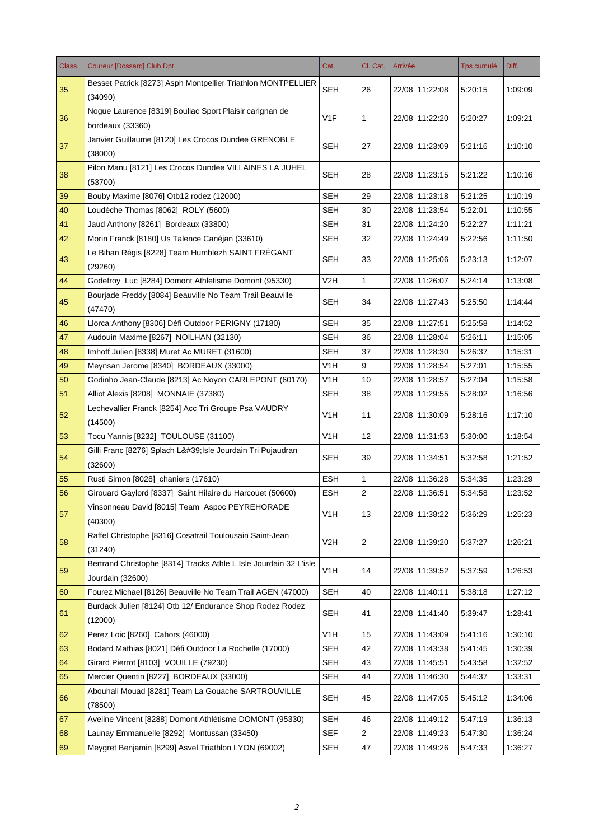| Class. | <b>Coureur [Dossard] Club Dpt</b>                                                     | Cat.             | Cl. Cat.       | Arrivée        | <b>Tps cumulé</b> | Diff.   |
|--------|---------------------------------------------------------------------------------------|------------------|----------------|----------------|-------------------|---------|
| 35     | Besset Patrick [8273] Asph Montpellier Triathlon MONTPELLIER<br>(34090)               | <b>SEH</b>       | 26             | 22/08 11:22:08 | 5:20:15           | 1:09:09 |
| 36     | Nogue Laurence [8319] Bouliac Sport Plaisir carignan de<br>bordeaux (33360)           | V1F              | 1              | 22/08 11:22:20 | 5:20:27           | 1:09:21 |
| 37     | Janvier Guillaume [8120] Les Crocos Dundee GRENOBLE<br>(38000)                        | <b>SEH</b>       | 27             | 22/08 11:23:09 | 5:21:16           | 1:10:10 |
| 38     | Pilon Manu [8121] Les Crocos Dundee VILLAINES LA JUHEL<br>(53700)                     | <b>SEH</b>       | 28             | 22/08 11:23:15 | 5:21:22           | 1:10:16 |
| 39     | Bouby Maxime [8076] Otb12 rodez (12000)                                               | <b>SEH</b>       | 29             | 22/08 11:23:18 | 5:21:25           | 1:10:19 |
| 40     | Loudèche Thomas [8062] ROLY (5600)                                                    | <b>SEH</b>       | 30             | 22/08 11:23:54 | 5:22:01           | 1:10:55 |
| 41     | Jaud Anthony [8261] Bordeaux (33800)                                                  | <b>SEH</b>       | 31             | 22/08 11:24:20 | 5:22:27           | 1:11:21 |
| 42     | Morin Franck [8180] Us Talence Canéjan (33610)                                        | <b>SEH</b>       | 32             | 22/08 11:24:49 | 5:22:56           | 1:11:50 |
| 43     | Le Bihan Régis [8228] Team Humblezh SAINT FRÉGANT<br>(29260)                          | <b>SEH</b>       | 33             | 22/08 11:25:06 | 5:23:13           | 1:12:07 |
| 44     | Godefroy Luc [8284] Domont Athletisme Domont (95330)                                  | V2H              | $\mathbf{1}$   | 22/08 11:26:07 | 5:24:14           | 1:13:08 |
| 45     | Bourjade Freddy [8084] Beauville No Team Trail Beauville<br>(47470)                   | <b>SEH</b>       | 34             | 22/08 11:27:43 | 5:25:50           | 1:14:44 |
| 46     | Llorca Anthony [8306] Défi Outdoor PERIGNY (17180)                                    | <b>SEH</b>       | 35             | 22/08 11:27:51 | 5:25:58           | 1:14:52 |
| 47     | Audouin Maxime [8267] NOILHAN (32130)                                                 | <b>SEH</b>       | 36             | 22/08 11:28:04 | 5:26:11           | 1:15:05 |
| 48     | Imhoff Julien [8338] Muret Ac MURET (31600)                                           | <b>SEH</b>       | 37             | 22/08 11:28:30 | 5:26:37           | 1:15:31 |
| 49     | Meynsan Jerome [8340] BORDEAUX (33000)                                                | V1H              | 9              | 22/08 11:28:54 | 5:27:01           | 1:15:55 |
| 50     | Godinho Jean-Claude [8213] Ac Noyon CARLEPONT (60170)                                 | V1H              | 10             | 22/08 11:28:57 | 5:27:04           | 1:15:58 |
| 51     | Alliot Alexis [8208] MONNAIE (37380)                                                  | <b>SEH</b>       | 38             | 22/08 11:29:55 | 5:28:02           | 1:16:56 |
| 52     | Lechevallier Franck [8254] Acc Tri Groupe Psa VAUDRY<br>(14500)                       | V1H              | 11             | 22/08 11:30:09 | 5:28:16           | 1:17:10 |
| 53     | Tocu Yannis [8232] TOULOUSE (31100)                                                   | V <sub>1</sub> H | 12             | 22/08 11:31:53 | 5:30:00           | 1:18:54 |
| 54     | Gilli Franc [8276] Splach L' Isle Jourdain Tri Pujaudran<br>(32600)                   | <b>SEH</b>       | 39             | 22/08 11:34:51 | 5:32:58           | 1:21:52 |
| 55     | Rusti Simon [8028] chaniers (17610)                                                   | <b>ESH</b>       | 1              | 22/08 11:36:28 | 5:34:35           | 1:23:29 |
| 56     | Girouard Gaylord [8337] Saint Hilaire du Harcouet (50600)                             | <b>ESH</b>       | 2              | 22/08 11:36:51 | 5:34:58           | 1:23:52 |
| 57     | Vinsonneau David [8015] Team Aspoc PEYREHORADE<br>(40300)                             | V <sub>1</sub> H | 13             | 22/08 11:38:22 | 5:36:29           | 1.25.23 |
| 58     | Raffel Christophe [8316] Cosatrail Toulousain Saint-Jean<br>(31240)                   | V <sub>2</sub> H | 2              | 22/08 11:39:20 | 5:37:27           | 1:26:21 |
| 59     | Bertrand Christophe [8314] Tracks Athle L Isle Jourdain 32 L'isle<br>Jourdain (32600) | V <sub>1</sub> H | 14             | 22/08 11:39:52 | 5:37:59           | 1:26:53 |
| 60     | Fourez Michael [8126] Beauville No Team Trail AGEN (47000)                            | <b>SEH</b>       | 40             | 22/08 11:40:11 | 5:38:18           | 1:27:12 |
| 61     | Burdack Julien [8124] Otb 12/ Endurance Shop Rodez Rodez<br>(12000)                   | <b>SEH</b>       | 41             | 22/08 11:41:40 | 5:39:47           | 1:28:41 |
| 62     | Perez Loic [8260] Cahors (46000)                                                      | V <sub>1</sub> H | 15             | 22/08 11:43:09 | 5:41:16           | 1:30:10 |
| 63     | Bodard Mathias [8021] Défi Outdoor La Rochelle (17000)                                | <b>SEH</b>       | 42             | 22/08 11:43:38 | 5:41:45           | 1:30:39 |
| 64     | Girard Pierrot [8103] VOUILLE (79230)                                                 | <b>SEH</b>       | 43             | 22/08 11:45:51 | 5:43:58           | 1:32:52 |
| 65     | Mercier Quentin [8227] BORDEAUX (33000)                                               | <b>SEH</b>       | 44             | 22/08 11:46:30 | 5:44:37           | 1:33:31 |
| 66     | Abouhali Mouad [8281] Team La Gouache SARTROUVILLE<br>(78500)                         | <b>SEH</b>       | 45             | 22/08 11:47:05 | 5:45:12           | 1:34:06 |
| 67     | Aveline Vincent [8288] Domont Athlétisme DOMONT (95330)                               | <b>SEH</b>       | 46             | 22/08 11:49:12 | 5:47:19           | 1:36:13 |
| 68     | Launay Emmanuelle [8292] Montussan (33450)                                            | <b>SEF</b>       | $\overline{2}$ | 22/08 11:49:23 | 5:47:30           | 1:36:24 |
| 69     | Meygret Benjamin [8299] Asvel Triathlon LYON (69002)                                  | <b>SEH</b>       | 47             | 22/08 11:49:26 | 5:47:33           | 1:36:27 |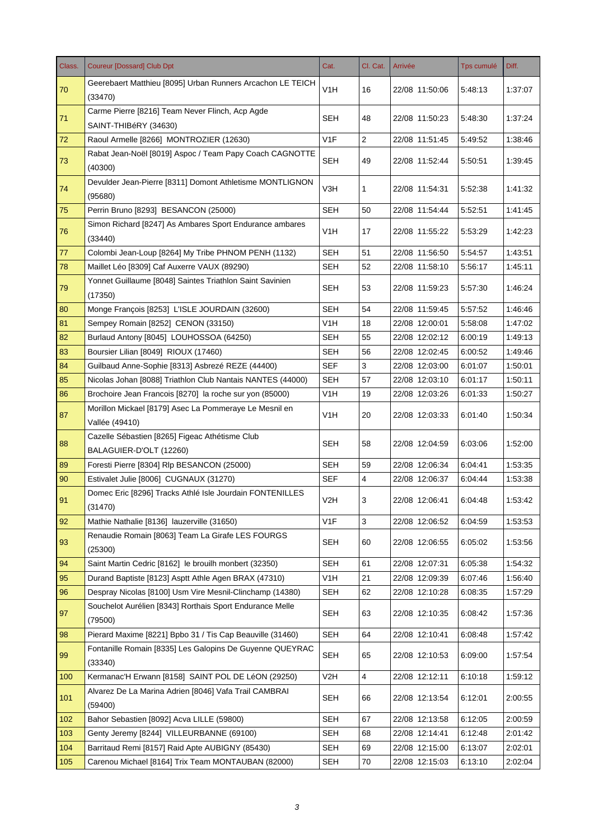| Class. | <b>Coureur [Dossard] Club Dpt</b>                                   | Cat.             | Cl. Cat.                | Arrivée        | Tps cumulé | Diff.   |
|--------|---------------------------------------------------------------------|------------------|-------------------------|----------------|------------|---------|
| 70     | Geerebaert Matthieu [8095] Urban Runners Arcachon LE TEICH          | V <sub>1</sub> H | 16                      | 22/08 11:50:06 | 5:48:13    | 1:37:07 |
|        | (33470)                                                             |                  |                         |                |            |         |
| 71     | Carme Pierre [8216] Team Never Flinch, Acp Agde                     | SEH              | 48                      | 22/08 11:50:23 | 5:48:30    | 1:37:24 |
|        | SAINT-THIBéRY (34630)                                               |                  |                         |                |            |         |
| 72     | Raoul Armelle [8266] MONTROZIER (12630)                             | V <sub>1</sub> F | $\overline{2}$          | 22/08 11:51:45 | 5:49:52    | 1:38:46 |
| 73     | Rabat Jean-Noël [8019] Aspoc / Team Papy Coach CAGNOTTE<br>(40300)  | <b>SEH</b>       | 49                      | 22/08 11:52:44 | 5:50:51    | 1:39:45 |
| 74     | Devulder Jean-Pierre [8311] Domont Athletisme MONTLIGNON<br>(95680) | V3H              | 1                       | 22/08 11:54:31 | 5:52:38    | 1:41:32 |
| 75     | Perrin Bruno [8293] BESANCON (25000)                                | <b>SEH</b>       | 50                      | 22/08 11:54:44 | 5:52:51    | 1:41:45 |
|        | Simon Richard [8247] As Ambares Sport Endurance ambares             |                  |                         |                |            |         |
| 76     | (33440)                                                             | V1H              | 17                      | 22/08 11:55:22 | 5:53:29    | 1:42:23 |
| 77     | Colombi Jean-Loup [8264] My Tribe PHNOM PENH (1132)                 | <b>SEH</b>       | 51                      | 22/08 11:56:50 | 5:54:57    | 1:43:51 |
| 78     | Maillet Léo [8309] Caf Auxerre VAUX (89290)                         | <b>SEH</b>       | 52                      | 22/08 11:58:10 | 5:56:17    | 1:45:11 |
| 79     | Yonnet Guillaume [8048] Saintes Triathlon Saint Savinien<br>(17350) | SEH              | 53                      | 22/08 11:59:23 | 5:57:30    | 1:46:24 |
| 80     | Monge François [8253] L'ISLE JOURDAIN (32600)                       | <b>SEH</b>       | 54                      | 22/08 11:59:45 | 5:57:52    | 1:46:46 |
| 81     | Sempey Romain [8252] CENON (33150)                                  | V <sub>1</sub> H | 18                      | 22/08 12:00:01 | 5:58:08    | 1:47:02 |
| 82     | Burlaud Antony [8045] LOUHOSSOA (64250)                             | <b>SEH</b>       | 55                      | 22/08 12:02:12 | 6:00:19    | 1:49:13 |
| 83     | Boursier Lilian [8049] RIOUX (17460)                                | <b>SEH</b>       | 56                      | 22/08 12:02:45 | 6:00:52    | 1:49:46 |
| 84     | Guilbaud Anne-Sophie [8313] Asbrezé REZE (44400)                    | <b>SEF</b>       | 3                       | 22/08 12:03:00 | 6:01:07    | 1:50:01 |
| 85     | Nicolas Johan [8088] Triathlon Club Nantais NANTES (44000)          | <b>SEH</b>       | 57                      | 22/08 12:03:10 | 6:01:17    | 1:50:11 |
| 86     | Brochoire Jean Francois [8270] la roche sur yon (85000)             | V <sub>1</sub> H | 19                      | 22/08 12:03:26 | 6:01:33    | 1:50:27 |
|        | Morillon Mickael [8179] Asec La Pommeraye Le Mesnil en              | V <sub>1</sub> H |                         |                |            |         |
| 87     | Vallée (49410)                                                      |                  | 20                      | 22/08 12:03:33 | 6:01:40    | 1:50:34 |
| 88     | Cazelle Sébastien [8265] Figeac Athétisme Club                      | <b>SEH</b>       | 58                      | 22/08 12:04:59 | 6:03:06    | 1:52:00 |
|        | BALAGUIER-D'OLT (12260)                                             |                  |                         |                |            |         |
| 89     | Foresti Pierre [8304] Rlp BESANCON (25000)                          | <b>SEH</b>       | 59                      | 22/08 12:06:34 | 6:04:41    | 1:53:35 |
| 90     | Estivalet Julie [8006] CUGNAUX (31270)                              | <b>SEF</b>       | $\overline{4}$          | 22/08 12:06:37 | 6:04:44    | 1:53:38 |
| 91     | Domec Eric [8296] Tracks Athlé Isle Jourdain FONTENILLES<br>(31470) | V <sub>2</sub> H | 3                       | 22/08 12:06:41 | 6:04:48    | 1:53:42 |
| 92     | Mathie Nathalie [8136] lauzerville (31650)                          | V <sub>1F</sub>  | 3                       | 22/08 12:06:52 | 6:04:59    | 1:53:53 |
| 93     | Renaudie Romain [8063] Team La Girafe LES FOURGS<br>(25300)         | <b>SEH</b>       | 60                      | 22/08 12:06:55 | 6:05:02    | 1:53:56 |
| 94     | Saint Martin Cedric [8162] le brouilh monbert (32350)               | <b>SEH</b>       | 61                      | 22/08 12:07:31 | 6:05:38    | 1:54:32 |
| 95     | Durand Baptiste [8123] Asptt Athle Agen BRAX (47310)                | V <sub>1</sub> H | 21                      | 22/08 12:09:39 | 6:07:46    | 1:56:40 |
| 96     | Despray Nicolas [8100] Usm Vire Mesnil-Clinchamp (14380)            | SEH              | 62                      | 22/08 12:10:28 | 6:08:35    | 1:57:29 |
| 97     | Souchelot Aurélien [8343] Rorthais Sport Endurance Melle<br>(79500) | <b>SEH</b>       | 63                      | 22/08 12:10:35 | 6:08:42    | 1:57:36 |
| 98     | Pierard Maxime [8221] Bpbo 31 / Tis Cap Beauville (31460)           | <b>SEH</b>       | 64                      | 22/08 12:10:41 | 6:08:48    | 1:57:42 |
|        | Fontanille Romain [8335] Les Galopins De Guyenne QUEYRAC            |                  |                         |                |            |         |
| 99     | (33340)                                                             | <b>SEH</b>       | 65                      | 22/08 12:10:53 | 6:09:00    | 1:57:54 |
| 100    | Kermanac'H Erwann [8158] SAINT POL DE LéON (29250)                  | V <sub>2</sub> H | $\overline{\mathbf{4}}$ | 22/08 12:12:11 | 6:10:18    | 1:59:12 |
| 101    | Alvarez De La Marina Adrien [8046] Vafa Trail CAMBRAI<br>(59400)    | <b>SEH</b>       | 66                      | 22/08 12:13:54 | 6:12:01    | 2:00:55 |
| 102    | Bahor Sebastien [8092] Acva LILLE (59800)                           | <b>SEH</b>       | 67                      | 22/08 12:13:58 | 6:12:05    | 2:00:59 |
| 103    | Genty Jeremy [8244] VILLEURBANNE (69100)                            | <b>SEH</b>       | 68                      | 22/08 12:14:41 | 6:12:48    | 2:01:42 |
| 104    | Barritaud Remi [8157] Raid Apte AUBIGNY (85430)                     | <b>SEH</b>       | 69                      | 22/08 12:15:00 | 6:13:07    | 2:02:01 |
| 105    | Carenou Michael [8164] Trix Team MONTAUBAN (82000)                  | <b>SEH</b>       | 70                      | 22/08 12:15:03 | 6:13:10    | 2:02:04 |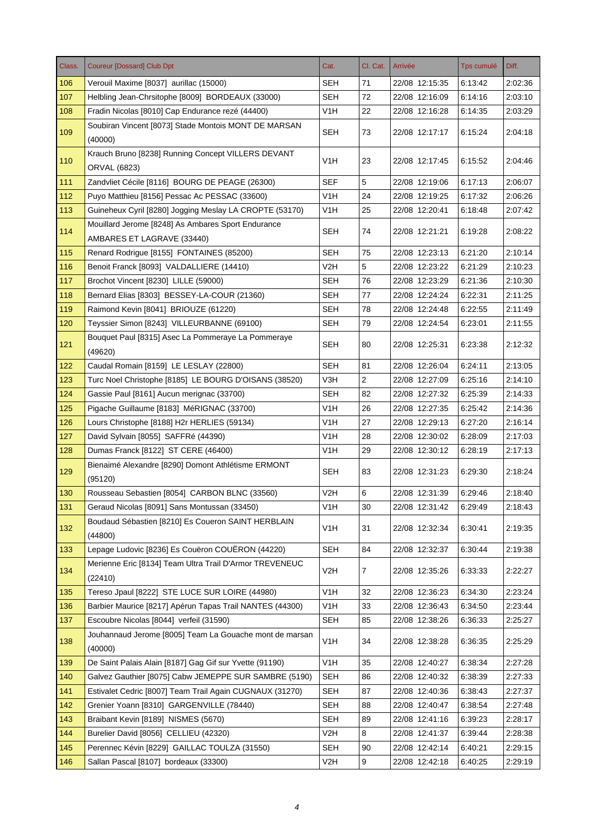| Class. | <b>Coureur [Dossard] Club Dpt</b>                                  | Cat.             | Cl. Cat.     | Arrivée        | Tps cumulé | Diff.   |
|--------|--------------------------------------------------------------------|------------------|--------------|----------------|------------|---------|
| 106    | Verouil Maxime [8037] aurillac (15000)                             | SEH              | 71           | 22/08 12:15:35 | 6:13:42    | 2:02:36 |
| 107    | Helbling Jean-Chrsitophe [8009] BORDEAUX (33000)                   | <b>SEH</b>       | 72           | 22/08 12:16:09 | 6:14:16    | 2:03:10 |
| 108    | Fradin Nicolas [8010] Cap Endurance rezé (44400)                   | V1H              | 22           | 22/08 12:16:28 | 6:14:35    | 2:03:29 |
| 109    | Soubiran Vincent [8073] Stade Montois MONT DE MARSAN<br>(40000)    | SEH              | 73           | 22/08 12:17:17 | 6:15:24    | 2:04:18 |
| 110    | Krauch Bruno [8238] Running Concept VILLERS DEVANT<br>ORVAL (6823) | V <sub>1</sub> H | 23           | 22/08 12:17:45 | 6:15:52    | 2:04:46 |
| 111    | Zandvliet Cécile [8116] BOURG DE PEAGE (26300)                     | <b>SEF</b>       | 5            | 22/08 12:19:06 | 6:17:13    | 2:06:07 |
| 112    | Puyo Matthieu [8156] Pessac Ac PESSAC (33600)                      | V1H              | 24           | 22/08 12:19:25 | 6:17:32    | 2:06:26 |
| 113    | Guineheux Cyril [8280] Jogging Meslay LA CROPTE (53170)            | V1H              | 25           | 22/08 12:20:41 | 6:18:48    | 2:07:42 |
|        | Mouillard Jerome [8248] As Ambares Sport Endurance                 |                  |              |                |            |         |
| 114    | AMBARES ET LAGRAVE (33440)                                         | <b>SEH</b>       | 74           | 22/08 12:21:21 | 6:19:28    | 2:08:22 |
| 115    | Renard Rodrigue [8155] FONTAINES (85200)                           | <b>SEH</b>       | 75           | 22/08 12:23:13 | 6:21:20    | 2:10:14 |
| 116    | Benoit Franck [8093] VALDALLIERE (14410)                           | V2H              | 5            | 22/08 12:23:22 | 6:21:29    | 2:10:23 |
| 117    | Brochot Vincent [8230] LILLE (59000)                               | <b>SEH</b>       | 76           | 22/08 12:23:29 | 6:21:36    | 2:10:30 |
| 118    | Bernard Elias [8303] BESSEY-LA-COUR (21360)                        | <b>SEH</b>       | 77           | 22/08 12:24:24 | 6:22:31    | 2:11:25 |
| 119    | Raimond Kevin [8041] BRIOUZE (61220)                               | <b>SEH</b>       | 78           | 22/08 12:24:48 | 6:22:55    | 2:11:49 |
| 120    | Teyssier Simon [8243] VILLEURBANNE (69100)                         | <b>SEH</b>       | 79           | 22/08 12:24:54 | 6:23:01    | 2:11:55 |
| 121    | Bouquet Paul [8315] Asec La Pommeraye La Pommeraye<br>(49620)      | SEH              | 80           | 22/08 12:25:31 | 6:23:38    | 2:12:32 |
| 122    | Caudal Romain [8159] LE LESLAY (22800)                             | <b>SEH</b>       | 81           | 22/08 12:26:04 | 6:24:11    | 2:13:05 |
| 123    | Turc Noel Christophe [8185] LE BOURG D'OISANS (38520)              | V3H              | $\mathbf{2}$ | 22/08 12:27:09 | 6:25:16    | 2:14:10 |
| 124    | Gassie Paul [8161] Aucun merignac (33700)                          | <b>SEH</b>       | 82           | 22/08 12:27:32 | 6:25:39    | 2:14:33 |
| 125    | Pigache Guillaume [8183] MéRIGNAC (33700)                          | V <sub>1</sub> H | 26           | 22/08 12:27:35 | 6:25:42    | 2:14:36 |
| 126    | Lours Christophe [8188] H2r HERLIES (59134)                        | V <sub>1</sub> H | 27           | 22/08 12:29:13 | 6:27:20    | 2:16:14 |
| 127    | David Sylvain [8055] SAFFRé (44390)                                | V <sub>1</sub> H | 28           | 22/08 12:30:02 | 6:28:09    | 2:17:03 |
| 128    | Dumas Franck [8122] ST CERE (46400)                                | V1H              | 29           | 22/08 12:30:12 | 6:28:19    | 2:17:13 |
|        | Bienaimé Alexandre [8290] Domont Athlétisme ERMONT                 |                  |              |                |            |         |
| 129    | (95120)                                                            | SEH              | 83           | 22/08 12:31:23 | 6:29:30    | 2:18:24 |
| 130    | Rousseau Sebastien [8054] CARBON BLNC (33560)                      | V <sub>2</sub> H | 6            | 22/08 12:31:39 | 6:29:46    | 2:18:40 |
| 131    | Geraud Nicolas [8091] Sans Montussan (33450)                       | V <sub>1</sub> H | 30           | 22/08 12:31:42 | 6:29:49    | 2:18:43 |
| 132    | Boudaud Sébastien [8210] Es Coueron SAINT HERBLAIN<br>(44800)      | V <sub>1</sub> H | 31           | 22/08 12:32:34 | 6:30:41    | 2:19:35 |
| 133    | Lepage Ludovic [8236] Es Couëron COUËRON (44220)                   | <b>SEH</b>       | 84           | 22/08 12:32:37 | 6:30:44    | 2:19:38 |
| 134    | Merienne Eric [8134] Team Ultra Trail D'Armor TREVENEUC<br>(22410) | V <sub>2</sub> H | 7            | 22/08 12:35:26 | 6:33:33    | 2:22:27 |
| 135    | Tereso Jpaul [8222] STE LUCE SUR LOIRE (44980)                     | V <sub>1</sub> H | 32           | 22/08 12:36:23 | 6:34:30    | 2:23:24 |
| 136    | Barbier Maurice [8217] Apérun Tapas Trail NANTES (44300)           | V <sub>1</sub> H | 33           | 22/08 12:36:43 | 6:34:50    | 2:23:44 |
| 137    | Escoubre Nicolas [8044] verfeil (31590)                            | <b>SEH</b>       | 85           | 22/08 12:38:26 | 6:36:33    | 2:25:27 |
| 138    | Jouhannaud Jerome [8005] Team La Gouache mont de marsan<br>(40000) | V <sub>1</sub> H | 34           | 22/08 12:38:28 | 6:36:35    | 2:25:29 |
| 139    | De Saint Palais Alain [8187] Gag Gif sur Yvette (91190)            | V1H              | 35           | 22/08 12:40:27 | 6:38:34    | 2:27:28 |
| 140    | Galvez Gauthier [8075] Cabw JEMEPPE SUR SAMBRE (5190)              | <b>SEH</b>       | 86           | 22/08 12:40:32 | 6:38:39    | 2:27:33 |
| 141    | Estivalet Cedric [8007] Team Trail Again CUGNAUX (31270)           | <b>SEH</b>       | 87           | 22/08 12:40:36 | 6:38:43    | 2:27:37 |
| 142    | Grenier Yoann [8310] GARGENVILLE (78440)                           | <b>SEH</b>       | 88           | 22/08 12:40:47 | 6:38:54    | 2:27:48 |
| 143    | Braibant Kevin [8189] NISMES (5670)                                | <b>SEH</b>       | 89           | 22/08 12:41:16 | 6:39:23    | 2:28:17 |
| 144    | Burelier David [8056] CELLIEU (42320)                              | V <sub>2</sub> H | 8            | 22/08 12:41:37 | 6:39:44    | 2:28:38 |
| 145    | Perennec Kévin [8229] GAILLAC TOULZA (31550)                       | <b>SEH</b>       | 90           | 22/08 12:42:14 | 6:40:21    | 2:29:15 |
| 146    | Sallan Pascal [8107] bordeaux (33300)                              | V <sub>2</sub> H | 9            | 22/08 12:42:18 | 6:40:25    | 2:29:19 |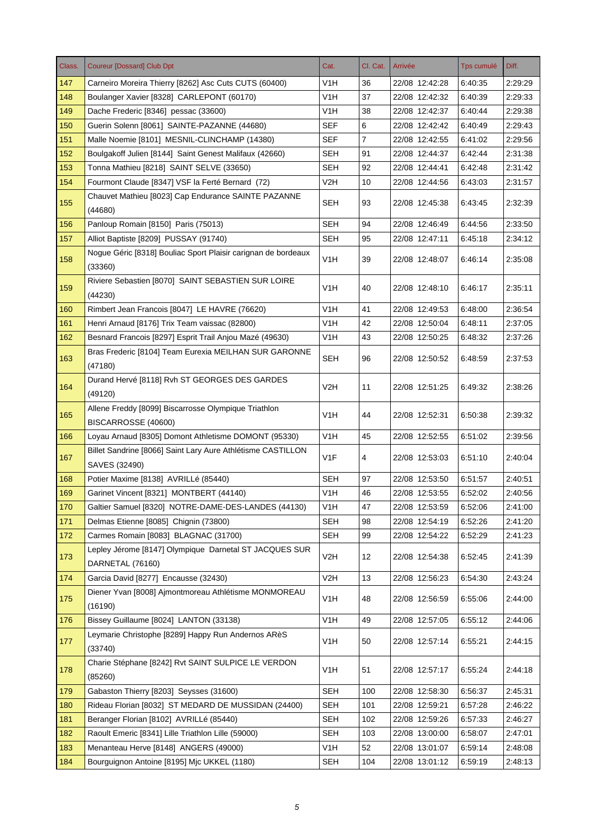| Class. | <b>Coureur [Dossard] Club Dpt</b>                                            | Cat.             | Cl. Cat. | Arrivée        | Tps cumulé | Diff.   |
|--------|------------------------------------------------------------------------------|------------------|----------|----------------|------------|---------|
| 147    | Carneiro Moreira Thierry [8262] Asc Cuts CUTS (60400)                        | V1H              | 36       | 22/08 12:42:28 | 6:40:35    | 2:29:29 |
| 148    | Boulanger Xavier [8328] CARLEPONT (60170)                                    | V1H              | 37       | 22/08 12:42:32 | 6:40:39    | 2:29:33 |
| 149    | Dache Frederic [8346] pessac (33600)                                         | V1H              | 38       | 22/08 12:42:37 | 6:40:44    | 2:29:38 |
| 150    | Guerin Solenn [8061] SAINTE-PAZANNE (44680)                                  | <b>SEF</b>       | 6        | 22/08 12:42:42 | 6:40:49    | 2:29:43 |
| 151    | Malle Noemie [8101] MESNIL-CLINCHAMP (14380)                                 | SEF              | 7        | 22/08 12:42:55 | 6:41:02    | 2:29:56 |
| 152    | Boulgakoff Julien [8144] Saint Genest Malifaux (42660)                       | <b>SEH</b>       | 91       | 22/08 12:44:37 | 6:42:44    | 2:31:38 |
| 153    | Tonna Mathieu [8218] SAINT SELVE (33650)                                     | <b>SEH</b>       | 92       | 22/08 12:44:41 | 6:42:48    | 2:31:42 |
| 154    | Fourmont Claude [8347] VSF la Ferté Bernard (72)                             | V <sub>2</sub> H | 10       | 22/08 12:44:56 | 6:43:03    | 2:31:57 |
| 155    | Chauvet Mathieu [8023] Cap Endurance SAINTE PAZANNE<br>(44680)               | <b>SEH</b>       | 93       | 22/08 12:45:38 | 6:43:45    | 2:32:39 |
| 156    | Panloup Romain [8150] Paris (75013)                                          | <b>SEH</b>       | 94       | 22/08 12:46:49 | 6:44:56    | 2:33:50 |
| 157    | Alliot Baptiste [8209] PUSSAY (91740)                                        | <b>SEH</b>       | 95       | 22/08 12:47:11 | 6:45:18    | 2:34:12 |
| 158    | Nogue Géric [8318] Bouliac Sport Plaisir carignan de bordeaux<br>(33360)     | V1H              | 39       | 22/08 12:48:07 | 6:46:14    | 2:35:08 |
| 159    | Riviere Sebastien [8070] SAINT SEBASTIEN SUR LOIRE<br>(44230)                | V1H              | 40       | 22/08 12:48:10 | 6:46:17    | 2:35:11 |
| 160    | Rimbert Jean Francois [8047] LE HAVRE (76620)                                | V1H              | 41       | 22/08 12:49:53 | 6:48:00    | 2:36:54 |
| 161    | Henri Arnaud [8176] Trix Team vaissac (82800)                                | V1H              | 42       | 22/08 12:50:04 | 6:48:11    | 2:37:05 |
| 162    | Besnard Francois [8297] Esprit Trail Anjou Mazé (49630)                      | V <sub>1</sub> H | 43       | 22/08 12:50:25 | 6:48:32    | 2:37:26 |
| 163    | Bras Frederic [8104] Team Eurexia MEILHAN SUR GARONNE<br>(47180)             | <b>SEH</b>       | 96       | 22/08 12:50:52 | 6:48:59    | 2:37:53 |
| 164    | Durand Hervé [8118] Rvh ST GEORGES DES GARDES<br>(49120)                     | V2H              | 11       | 22/08 12:51:25 | 6:49:32    | 2:38:26 |
| 165    | Allene Freddy [8099] Biscarrosse Olympique Triathlon<br>BISCARROSSE (40600)  | V1H              | 44       | 22/08 12:52:31 | 6:50:38    | 2:39:32 |
| 166    | Loyau Arnaud [8305] Domont Athletisme DOMONT (95330)                         | V <sub>1</sub> H | 45       | 22/08 12:52:55 | 6:51:02    | 2:39:56 |
| 167    | Billet Sandrine [8066] Saint Lary Aure Athlétisme CASTILLON<br>SAVES (32490) | V <sub>1</sub> F | 4        | 22/08 12:53:03 | 6:51:10    | 2:40:04 |
| 168    | Potier Maxime [8138] AVRILLé (85440)                                         | <b>SEH</b>       | 97       | 22/08 12:53:50 | 6:51:57    | 2:40:51 |
| 169    | Garinet Vincent [8321] MONTBERT (44140)                                      | V <sub>1</sub> H | 46       | 22/08 12:53:55 | 6:52:02    | 2:40:56 |
| 170    | Galtier Samuel [8320] NOTRE-DAME-DES-LANDES (44130)                          | V <sub>1</sub> H | 47       | 22/08 12:53:59 | 6:52:06    | 2:41:00 |
| 171    | Delmas Etienne [8085] Chignin (73800)                                        | <b>SEH</b>       | 98       | 22/08 12:54:19 | 6:52:26    | 2:41:20 |
| 172    | Carmes Romain [8083] BLAGNAC (31700)                                         | <b>SEH</b>       | 99       | 22/08 12:54:22 | 6:52:29    | 2:41:23 |
| 173    | Lepley Jérome [8147] Olympique Darnetal ST JACQUES SUR<br>DARNETAL (76160)   | V <sub>2</sub> H | 12       | 22/08 12:54:38 | 6:52:45    | 2:41:39 |
| 174    | Garcia David [8277] Encausse (32430)                                         | V <sub>2</sub> H | 13       | 22/08 12:56:23 | 6:54:30    | 2:43:24 |
| 175    | Diener Yvan [8008] Ajmontmoreau Athlétisme MONMOREAU<br>(16190)              | V <sub>1</sub> H | 48       | 22/08 12:56:59 | 6:55:06    | 2:44:00 |
| 176    | Bissey Guillaume [8024] LANTON (33138)                                       | V <sub>1</sub> H | 49       | 22/08 12:57:05 | 6:55:12    | 2:44:06 |
| 177    | Leymarie Christophe [8289] Happy Run Andernos ARèS<br>(33740)                | V <sub>1</sub> H | 50       | 22/08 12:57:14 | 6:55:21    | 2:44:15 |
| 178    | Charie Stéphane [8242] Rvt SAINT SULPICE LE VERDON<br>(85260)                | V <sub>1</sub> H | 51       | 22/08 12:57:17 | 6:55:24    | 2:44:18 |
| 179    | Gabaston Thierry [8203] Seysses (31600)                                      | <b>SEH</b>       | 100      | 22/08 12:58:30 | 6:56:37    | 2:45:31 |
| 180    | Rideau Florian [8032] ST MEDARD DE MUSSIDAN (24400)                          | <b>SEH</b>       | 101      | 22/08 12:59:21 | 6:57:28    | 2:46:22 |
| 181    | Beranger Florian [8102] AVRILLé (85440)                                      | <b>SEH</b>       | 102      | 22/08 12:59:26 | 6:57:33    | 2:46:27 |
| 182    | Raoult Emeric [8341] Lille Triathlon Lille (59000)                           | <b>SEH</b>       | 103      | 22/08 13:00:00 | 6:58:07    | 2:47:01 |
| 183    | Menanteau Herve [8148] ANGERS (49000)                                        | V <sub>1</sub> H | 52       | 22/08 13:01:07 | 6:59:14    | 2:48:08 |
| 184    | Bourguignon Antoine [8195] Mjc UKKEL (1180)                                  | <b>SEH</b>       | 104      | 22/08 13:01:12 | 6:59:19    | 2:48:13 |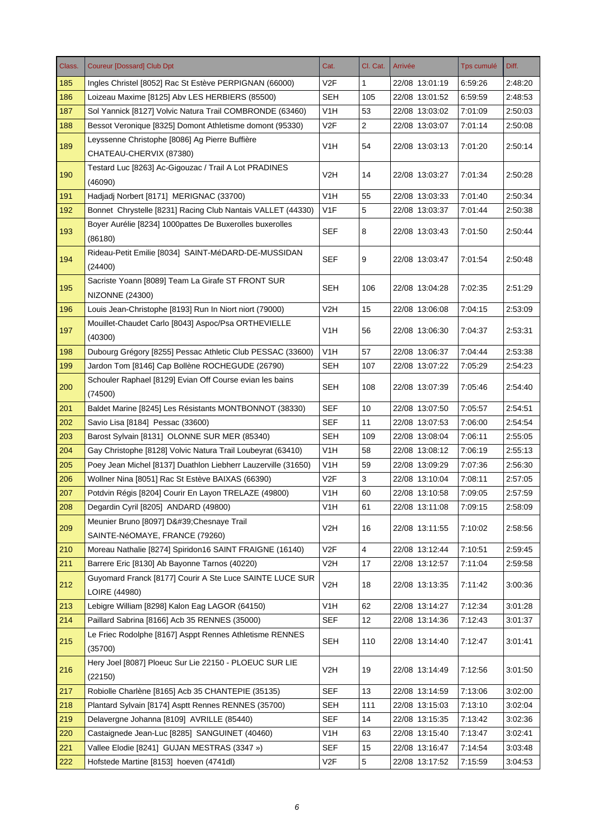| Class. | <b>Coureur [Dossard] Club Dpt</b>                                         | Cat.             | Cl. Cat.       | Arrivée        | <b>Tps cumulé</b> | Diff.   |
|--------|---------------------------------------------------------------------------|------------------|----------------|----------------|-------------------|---------|
| 185    | Ingles Christel [8052] Rac St Estève PERPIGNAN (66000)                    | V <sub>2</sub> F | 1              | 22/08 13:01:19 | 6:59:26           | 2:48:20 |
| 186    | Loizeau Maxime [8125] Abv LES HERBIERS (85500)                            | <b>SEH</b>       | 105            | 22/08 13:01:52 | 6.59.59           | 2:48:53 |
| 187    | Sol Yannick [8127] Volvic Natura Trail COMBRONDE (63460)                  | V <sub>1</sub> H | 53             | 22/08 13:03:02 | 7:01:09           | 2:50:03 |
| 188    | Bessot Veronique [8325] Domont Athletisme domont (95330)                  | V <sub>2</sub> F | $\overline{2}$ | 22/08 13:03:07 | 7:01:14           | 2:50:08 |
| 189    | Leyssenne Christophe [8086] Ag Pierre Buffière                            | V1H              | 54             | 22/08 13:03:13 | 7:01:20           | 2:50:14 |
|        | CHATEAU-CHERVIX (87380)                                                   |                  |                |                |                   |         |
| 190    | Testard Luc [8263] Ac-Gigouzac / Trail A Lot PRADINES<br>(46090)          | V2H              | 14             | 22/08 13:03:27 | 7:01:34           | 2:50:28 |
| 191    | Hadjadj Norbert [8171] MERIGNAC (33700)                                   | V <sub>1</sub> H | 55             | 22/08 13:03:33 | 7:01:40           | 2:50:34 |
| 192    | Bonnet Chrystelle [8231] Racing Club Nantais VALLET (44330)               | V1F              | 5              | 22/08 13:03:37 | 7:01:44           | 2:50:38 |
| 193    | Boyer Aurélie [8234] 1000pattes De Buxerolles buxerolles<br>(86180)       | <b>SEF</b>       | 8              | 22/08 13:03:43 | 7:01:50           | 2:50:44 |
|        | Rideau-Petit Emilie [8034] SAINT-MéDARD-DE-MUSSIDAN                       |                  |                |                |                   |         |
| 194    | (24400)                                                                   | <b>SEF</b>       | 9              | 22/08 13:03:47 | 7:01:54           | 2:50:48 |
| 195    | Sacriste Yoann [8089] Team La Girafe ST FRONT SUR<br>NIZONNE (24300)      | SEH              | 106            | 22/08 13:04:28 | 7:02:35           | 2:51:29 |
| 196    | Louis Jean-Christophe [8193] Run In Niort niort (79000)                   | V2H              | 15             | 22/08 13:06:08 | 7:04:15           | 2:53:09 |
| 197    | Mouillet-Chaudet Carlo [8043] Aspoc/Psa ORTHEVIELLE<br>(40300)            | V <sub>1</sub> H | 56             | 22/08 13:06:30 | 7:04:37           | 2:53:31 |
| 198    | Dubourg Grégory [8255] Pessac Athletic Club PESSAC (33600)                | V1H              | 57             | 22/08 13:06:37 | 7:04:44           | 2:53:38 |
| 199    | Jardon Tom [8146] Cap Bollène ROCHEGUDE (26790)                           | <b>SEH</b>       | 107            | 22/08 13:07:22 | 7:05:29           | 2:54:23 |
| 200    | Schouler Raphael [8129] Evian Off Course evian les bains<br>(74500)       | <b>SEH</b>       | 108            | 22/08 13:07:39 | 7:05:46           | 2:54:40 |
| 201    | Baldet Marine [8245] Les Résistants MONTBONNOT (38330)                    | <b>SEF</b>       | 10             | 22/08 13:07:50 | 7:05:57           | 2:54:51 |
| 202    | Savio Lisa [8184] Pessac (33600)                                          | <b>SEF</b>       | 11             | 22/08 13:07:53 | 7:06:00           | 2:54:54 |
| 203    | Barost Sylvain [8131] OLONNE SUR MER (85340)                              | <b>SEH</b>       | 109            | 22/08 13:08:04 | 7:06:11           | 2:55:05 |
| 204    | Gay Christophe [8128] Volvic Natura Trail Loubeyrat (63410)               | V <sub>1</sub> H | 58             | 22/08 13:08:12 | 7:06:19           | 2:55:13 |
| 205    | Poey Jean Michel [8137] Duathlon Liebherr Lauzerville (31650)             | V <sub>1</sub> H | 59             | 22/08 13:09:29 | 7:07:36           | 2:56:30 |
| 206    | Wollner Nina [8051] Rac St Estève BAIXAS (66390)                          | V <sub>2</sub> F | 3              | 22/08 13:10:04 | 7:08:11           | 2:57:05 |
| 207    | Potdvin Régis [8204] Courir En Layon TRELAZE (49800)                      | V <sub>1</sub> H | 60             | 22/08 13:10:58 | 7:09:05           | 2:57:59 |
| 208    | Degardin Cyril [8205] ANDARD (49800)                                      | V <sub>1</sub> H | 61             | 22/08 13:11:08 | 7:09:15           | 2:58:09 |
|        | Meunier Bruno [8097] D' Chesnaye Trail                                    |                  |                |                |                   |         |
| 209    | SAINTE-NéOMAYE, FRANCE (79260)                                            | V <sub>2</sub> H | 16             | 22/08 13:11:55 | 7:10:02           | 2:58:56 |
| 210    | Moreau Nathalie [8274] Spiridon16 SAINT FRAIGNE (16140)                   | V <sub>2</sub> F | 4              | 22/08 13:12:44 | 7:10:51           | 2:59:45 |
| 211    | Barrere Eric [8130] Ab Bayonne Tarnos (40220)                             | V <sub>2</sub> H | 17             | 22/08 13:12:57 | 7:11:04           | 2:59:58 |
| 212    | Guyomard Franck [8177] Courir A Ste Luce SAINTE LUCE SUR<br>LOIRE (44980) | V <sub>2</sub> H | 18             | 22/08 13:13:35 | 7:11:42           | 3:00:36 |
| 213    | Lebigre William [8298] Kalon Eag LAGOR (64150)                            | V <sub>1</sub> H | 62             | 22/08 13:14:27 | 7:12:34           | 3:01:28 |
| 214    | Paillard Sabrina [8166] Acb 35 RENNES (35000)                             | <b>SEF</b>       | 12             | 22/08 13:14:36 | 7:12:43           | 3:01:37 |
| 215    | Le Friec Rodolphe [8167] Asppt Rennes Athletisme RENNES<br>(35700)        | <b>SEH</b>       | 110            | 22/08 13:14:40 | 7:12:47           | 3:01:41 |
| 216    | Hery Joel [8087] Ploeuc Sur Lie 22150 - PLOEUC SUR LIE                    | V <sub>2</sub> H | 19             | 22/08 13:14:49 | 7:12:56           | 3:01:50 |
|        | (22150)                                                                   |                  |                |                |                   |         |
| 217    | Robiolle Charlène [8165] Acb 35 CHANTEPIE (35135)                         | <b>SEF</b>       | 13             | 22/08 13:14:59 | 7:13:06           | 3:02:00 |
| 218    | Plantard Sylvain [8174] Asptt Rennes RENNES (35700)                       | <b>SEH</b>       | 111            | 22/08 13:15:03 | 7:13:10           | 3:02:04 |
| 219    | Delavergne Johanna [8109] AVRILLE (85440)                                 | <b>SEF</b>       | 14             | 22/08 13:15:35 | 7:13:42           | 3:02:36 |
| 220    | Castaignede Jean-Luc [8285] SANGUINET (40460)                             | V <sub>1</sub> H | 63             | 22/08 13:15:40 | 7:13:47           | 3:02:41 |
| 221    | Vallee Elodie [8241] GUJAN MESTRAS (3347 »)                               | <b>SEF</b>       | 15             | 22/08 13:16:47 | 7:14:54           | 3:03:48 |
| 222    | Hofstede Martine [8153] hoeven (4741dl)                                   | V <sub>2</sub> F | 5              | 22/08 13:17:52 | 7:15:59           | 3:04:53 |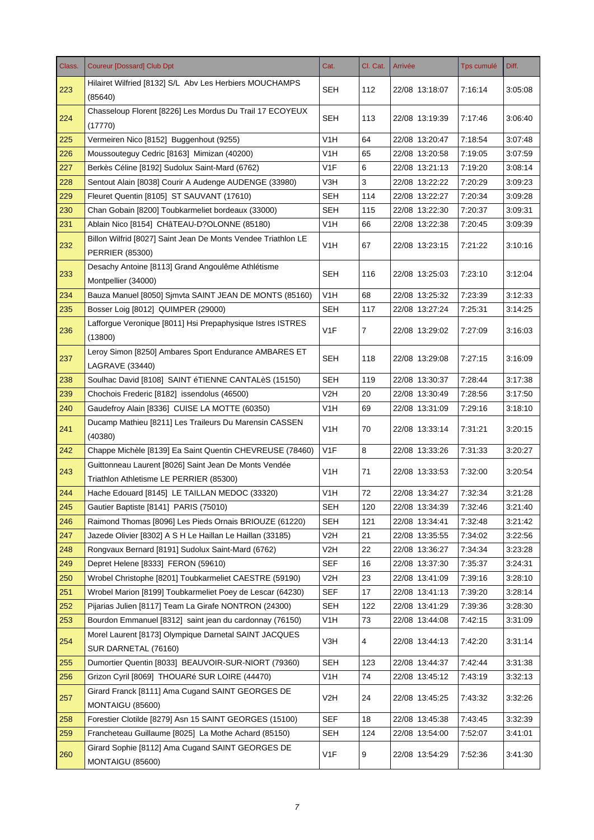| Class. | <b>Coureur [Dossard] Club Dpt</b>                                                       | Cat.             | Cl. Cat.       | Arrivée        | <b>Tps cumulé</b> | Diff.   |
|--------|-----------------------------------------------------------------------------------------|------------------|----------------|----------------|-------------------|---------|
| 223    | Hilairet Wilfried [8132] S/L Aby Les Herbiers MOUCHAMPS<br>(85640)                      | <b>SEH</b>       | 112            | 22/08 13:18:07 | 7:16:14           | 3:05:08 |
| 224    | Chasseloup Florent [8226] Les Mordus Du Trail 17 ECOYEUX<br>(17770)                     | <b>SEH</b>       | 113            | 22/08 13:19:39 | 7:17:46           | 3:06:40 |
| 225    | Vermeiren Nico [8152] Buggenhout (9255)                                                 | V <sub>1</sub> H | 64             | 22/08 13:20:47 | 7:18:54           | 3:07:48 |
| 226    | Moussouteguy Cedric [8163] Mimizan (40200)                                              | V1H              | 65             | 22/08 13:20:58 | 7:19:05           | 3:07:59 |
| 227    | Berkès Céline [8192] Sudolux Saint-Mard (6762)                                          | V <sub>1</sub> F | 6              | 22/08 13:21:13 | 7:19:20           | 3:08:14 |
| 228    | Sentout Alain [8038] Courir A Audenge AUDENGE (33980)                                   | V3H              | 3              | 22/08 13:22:22 | 7:20:29           | 3:09:23 |
| 229    | Fleuret Quentin [8105] ST SAUVANT (17610)                                               | <b>SEH</b>       | 114            | 22/08 13:22:27 | 7:20:34           | 3:09:28 |
| 230    | Chan Gobain [8200] Toubkarmeliet bordeaux (33000)                                       | SEH              | 115            | 22/08 13:22:30 | 7:20:37           | 3:09:31 |
| 231    | Ablain Nico [8154] CHâTEAU-D?OLONNE (85180)                                             | V <sub>1</sub> H | 66             | 22/08 13:22:38 | 7:20:45           | 3:09:39 |
| 232    | Billon Wilfrid [8027] Saint Jean De Monts Vendee Triathlon LE<br><b>PERRIER (85300)</b> | V <sub>1</sub> H | 67             | 22/08 13:23:15 | 7:21:22           | 3:10:16 |
| 233    | Desachy Antoine [8113] Grand Angoulême Athlétisme<br>Montpellier (34000)                | <b>SEH</b>       | 116            | 22/08 13:25:03 | 7:23:10           | 3:12:04 |
| 234    | Bauza Manuel [8050] Simvta SAINT JEAN DE MONTS (85160)                                  | V <sub>1</sub> H | 68             | 22/08 13:25:32 | 7:23:39           | 3:12:33 |
| 235    | Bosser Loig [8012] QUIMPER (29000)                                                      | <b>SEH</b>       | 117            | 22/08 13:27:24 | 7:25:31           | 3:14:25 |
| 236    | Lafforgue Veronique [8011] Hsi Prepaphysique Istres ISTRES<br>(13800)                   | V <sub>1</sub> F | $\overline{7}$ | 22/08 13:29:02 | 7:27:09           | 3:16:03 |
| 237    | Leroy Simon [8250] Ambares Sport Endurance AMBARES ET<br><b>LAGRAVE (33440)</b>         | <b>SEH</b>       | 118            | 22/08 13:29:08 | 7:27:15           | 3:16:09 |
| 238    | Soulhac David [8108] SAINT éTIENNE CANTALèS (15150)                                     | <b>SEH</b>       | 119            | 22/08 13:30:37 | 7:28:44           | 3:17:38 |
| 239    | Chochois Frederic [8182] issendolus (46500)                                             | V2H              | 20             | 22/08 13:30:49 | 7:28:56           | 3:17:50 |
| 240    | Gaudefroy Alain [8336] CUISE LA MOTTE (60350)                                           | V <sub>1</sub> H | 69             | 22/08 13:31:09 | 7:29:16           | 3:18:10 |
| 241    | Ducamp Mathieu [8211] Les Traileurs Du Marensin CASSEN<br>(40380)                       | V <sub>1</sub> H | 70             | 22/08 13:33:14 | 7:31:21           | 3:20:15 |
| 242    | Chappe Michèle [8139] Ea Saint Quentin CHEVREUSE (78460)                                | V <sub>1</sub> F | 8              | 22/08 13:33:26 | 7:31:33           | 3:20:27 |
|        | Guittonneau Laurent [8026] Saint Jean De Monts Vendée                                   | V <sub>1</sub> H |                |                |                   |         |
| 243    | Triathlon Athletisme LE PERRIER (85300)                                                 |                  | 71             | 22/08 13:33:53 | 7:32:00           | 3:20:54 |
| 244    | Hache Edouard [8145] LE TAILLAN MEDOC (33320)                                           | V <sub>1</sub> H | 72             | 22/08 13:34:27 | 7:32:34           | 3:21:28 |
| 245    | Gautier Baptiste [8141] PARIS (75010)                                                   | <b>SEH</b>       | 120            | 22/08 13:34:39 | 7:32:46           | 3:21:40 |
| 246    | Raimond Thomas [8096] Les Pieds Ornais BRIOUZE (61220)                                  | <b>SEH</b>       | 121            | 22/08 13:34:41 | 7:32:48           | 3.21.42 |
| 247    | Jazede Olivier [8302] A S H Le Haillan Le Haillan (33185)                               | V2H              | 21             | 22/08 13:35:55 | 7:34:02           | 3:22:56 |
| 248    | Rongvaux Bernard [8191] Sudolux Saint-Mard (6762)                                       | V2H              | 22             | 22/08 13:36:27 | 7:34:34           | 3:23:28 |
| 249    | Depret Helene [8333] FERON (59610)                                                      | <b>SEF</b>       | 16             | 22/08 13:37:30 | 7:35:37           | 3:24:31 |
| 250    | Wrobel Christophe [8201] Toubkarmeliet CAESTRE (59190)                                  | V2H              | 23             | 22/08 13:41:09 | 7:39:16           | 3:28:10 |
| 251    | Wrobel Marion [8199] Toubkarmeliet Poey de Lescar (64230)                               | <b>SEF</b>       | 17             | 22/08 13:41:13 | 7:39:20           | 3.28.14 |
| 252    | Pijarias Julien [8117] Team La Girafe NONTRON (24300)                                   | <b>SEH</b>       | 122            | 22/08 13:41:29 | 7:39:36           | 3:28:30 |
| 253    | Bourdon Emmanuel [8312] saint jean du cardonnay (76150)                                 | V1H              | 73             | 22/08 13:44:08 | 7:42:15           | 3:31:09 |
| 254    | Morel Laurent [8173] Olympique Darnetal SAINT JACQUES<br>SUR DARNETAL (76160)           | V3H              | 4              | 22/08 13:44:13 | 7:42:20           | 3:31:14 |
| 255    | Dumortier Quentin [8033] BEAUVOIR-SUR-NIORT (79360)                                     | <b>SEH</b>       | 123            | 22/08 13:44:37 | 7:42:44           | 3:31:38 |
| 256    | Grizon Cyril [8069] THOUARé SUR LOIRE (44470)                                           | V1H              | 74             | 22/08 13:45:12 | 7:43:19           | 3:32:13 |
| 257    | Girard Franck [8111] Ama Cugand SAINT GEORGES DE<br><b>MONTAIGU (85600)</b>             | V <sub>2</sub> H | 24             | 22/08 13:45:25 | 7:43:32           | 3:32:26 |
| 258    | Forestier Clotilde [8279] Asn 15 SAINT GEORGES (15100)                                  | <b>SEF</b>       | 18             | 22/08 13:45:38 | 7:43:45           | 3:32:39 |
| 259    | Francheteau Guillaume [8025] La Mothe Achard (85150)                                    | <b>SEH</b>       | 124            | 22/08 13:54:00 | 7:52:07           | 3:41:01 |
| 260    | Girard Sophie [8112] Ama Cugand SAINT GEORGES DE<br>MONTAIGU (85600)                    | V1F              | 9              | 22/08 13:54:29 | 7:52:36           | 3.41.30 |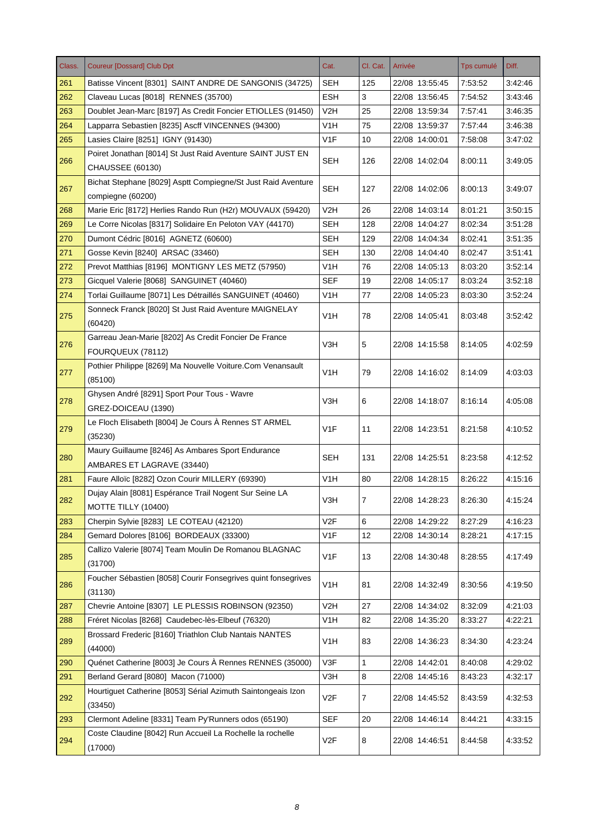| Class. | <b>Coureur [Dossard] Club Dpt</b>                                                 | Cat.             | Cl. Cat.       | Arrivée        | Tps cumulé | Diff.   |
|--------|-----------------------------------------------------------------------------------|------------------|----------------|----------------|------------|---------|
| 261    | Batisse Vincent [8301] SAINT ANDRE DE SANGONIS (34725)                            | SEH              | 125            | 22/08 13:55:45 | 7:53:52    | 3:42:46 |
| 262    | Claveau Lucas [8018] RENNES (35700)                                               | <b>ESH</b>       | 3              | 22/08 13:56:45 | 7:54:52    | 3:43:46 |
| 263    | Doublet Jean-Marc [8197] As Credit Foncier ETIOLLES (91450)                       | V <sub>2</sub> H | 25             | 22/08 13:59:34 | 7:57:41    | 3:46:35 |
| 264    | Lapparra Sebastien [8235] Ascff VINCENNES (94300)                                 | V <sub>1</sub> H | 75             | 22/08 13:59:37 | 7:57:44    | 3:46:38 |
| 265    | Lasies Claire [8251] IGNY (91430)                                                 | V <sub>1F</sub>  | 10             | 22/08 14:00:01 | 7:58:08    | 3:47:02 |
| 266    | Poiret Jonathan [8014] St Just Raid Aventure SAINT JUST EN<br>CHAUSSEE (60130)    | <b>SEH</b>       | 126            | 22/08 14:02:04 | 8:00:11    | 3:49:05 |
| 267    | Bichat Stephane [8029] Asptt Compiegne/St Just Raid Aventure<br>compiegne (60200) | <b>SEH</b>       | 127            | 22/08 14:02:06 | 8:00:13    | 3:49:07 |
| 268    | Marie Eric [8172] Herlies Rando Run (H2r) MOUVAUX (59420)                         | V <sub>2</sub> H | 26             | 22/08 14:03:14 | 8:01:21    | 3:50:15 |
| 269    | Le Corre Nicolas [8317] Solidaire En Peloton VAY (44170)                          | <b>SEH</b>       | 128            | 22/08 14:04:27 | 8:02:34    | 3:51:28 |
| 270    | Dumont Cédric [8016] AGNETZ (60600)                                               | <b>SEH</b>       | 129            | 22/08 14:04:34 | 8:02:41    | 3:51:35 |
| 271    | Gosse Kevin [8240] ARSAC (33460)                                                  | <b>SEH</b>       | 130            | 22/08 14:04:40 | 8:02:47    | 3:51:41 |
| 272    | Prevot Matthias [8196] MONTIGNY LES METZ (57950)                                  | V1H              | 76             | 22/08 14:05:13 | 8:03:20    | 3:52:14 |
| 273    | Gicquel Valerie [8068] SANGUINET (40460)                                          | <b>SEF</b>       | 19             | 22/08 14:05:17 | 8:03:24    | 3:52:18 |
| 274    | Torlai Guillaume [8071] Les Détraillés SANGUINET (40460)                          | V1H              | 77             | 22/08 14:05:23 | 8:03:30    | 3:52:24 |
| 275    | Sonneck Franck [8020] St Just Raid Aventure MAIGNELAY<br>(60420)                  | V1H              | 78             | 22/08 14:05:41 | 8:03:48    | 3.52.42 |
| 276    | Garreau Jean-Marie [8202] As Credit Foncier De France<br>FOURQUEUX (78112)        | V3H              | 5              | 22/08 14:15:58 | 8:14:05    | 4:02:59 |
| 277    | Pothier Philippe [8269] Ma Nouvelle Voiture.Com Venansault<br>(85100)             | V <sub>1</sub> H | 79             | 22/08 14:16:02 | 8:14:09    | 4:03:03 |
| 278    | Ghysen André [8291] Sport Pour Tous - Wavre                                       | V3H              | 6              | 22/08 14:18:07 | 8:16:14    | 4:05:08 |
|        | GREZ-DOICEAU (1390)                                                               |                  |                |                |            |         |
| 279    | Le Floch Elisabeth [8004] Je Cours À Rennes ST ARMEL<br>(35230)                   | V <sub>1F</sub>  | 11             | 22/08 14:23:51 | 8:21:58    | 4:10:52 |
| 280    | Maury Guillaume [8246] As Ambares Sport Endurance<br>AMBARES ET LAGRAVE (33440)   | <b>SEH</b>       | 131            | 22/08 14:25:51 | 8:23:58    | 4:12:52 |
| 281    | Faure Alloïc [8282] Ozon Courir MILLERY (69390)                                   | V1H              | 80             | 22/08 14:28:15 | 8:26:22    | 4:15:16 |
| 282    | Dujay Alain [8081] Espérance Trail Nogent Sur Seine LA<br>MOTTE TILLY (10400)     | V3H              | $\overline{7}$ | 22/08 14:28:23 | 8:26:30    | 4:15:24 |
| 283    | Cherpin Sylvie [8283] LE COTEAU (42120)                                           | V <sub>2</sub> F | 6              | 22/08 14:29:22 | 8:27:29    | 4:16:23 |
| 284    | Gemard Dolores [8106] BORDEAUX (33300)                                            | V <sub>1</sub> F | 12             | 22/08 14:30:14 | 8:28:21    | 4:17:15 |
| 285    | Callizo Valerie [8074] Team Moulin De Romanou BLAGNAC<br>(31700)                  | V <sub>1</sub> F | 13             | 22/08 14:30:48 | 8:28:55    | 4:17:49 |
| 286    | Foucher Sébastien [8058] Courir Fonsegrives quint fonsegrives<br>(31130)          | V <sub>1</sub> H | 81             | 22/08 14:32:49 | 8:30:56    | 4:19:50 |
| 287    | Chevrie Antoine [8307] LE PLESSIS ROBINSON (92350)                                | V2H              | 27             | 22/08 14:34:02 | 8:32:09    | 4:21:03 |
| 288    | Fréret Nicolas [8268] Caudebec-lès-Elbeuf (76320)                                 | V <sub>1</sub> H | 82             | 22/08 14:35:20 | 8:33:27    | 4:22:21 |
| 289    | Brossard Frederic [8160] Triathlon Club Nantais NANTES<br>(44000)                 | V <sub>1</sub> H | 83             | 22/08 14:36:23 | 8:34:30    | 4:23:24 |
| 290    | Quénet Catherine [8003] Je Cours À Rennes RENNES (35000)                          | V3F              | 1              | 22/08 14:42:01 | 8:40:08    | 4:29:02 |
| 291    | Berland Gerard [8080] Macon (71000)                                               | V3H              | 8              | 22/08 14:45:16 | 8:43:23    | 4:32:17 |
|        | Hourtiguet Catherine [8053] Sérial Azimuth Saintongeais Izon                      |                  |                |                |            |         |
| 292    | (33450)                                                                           | V <sub>2F</sub>  | 7              | 22/08 14:45:52 | 8:43:59    | 4:32:53 |
| 293    | Clermont Adeline [8331] Team Py'Runners odos (65190)                              | <b>SEF</b>       | 20             | 22/08 14:46:14 | 8:44:21    | 4:33:15 |
| 294    | Coste Claudine [8042] Run Accueil La Rochelle la rochelle<br>(17000)              | V <sub>2</sub> F | 8              | 22/08 14:46:51 | 8:44:58    | 4:33:52 |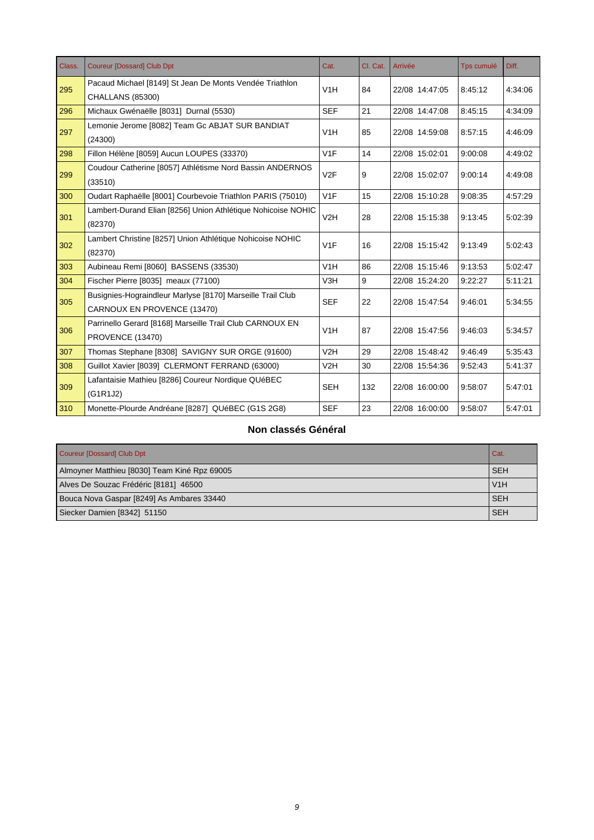| Class. | <b>Coureur [Dossard] Club Dpt</b>                            | Cat.             | Cl. Cat. | Arrivée        | <b>Tps cumulé</b> | Diff.   |
|--------|--------------------------------------------------------------|------------------|----------|----------------|-------------------|---------|
| 295    | Pacaud Michael [8149] St Jean De Monts Vendée Triathlon      | V1H              | 84       | 22/08 14:47:05 | 8:45:12           | 4:34:06 |
|        | <b>CHALLANS (85300)</b>                                      |                  |          |                |                   |         |
| 296    | Michaux Gwénaëlle [8031] Durnal (5530)                       | <b>SEF</b>       | 21       | 22/08 14:47:08 | 8:45:15           | 4:34:09 |
| 297    | Lemonie Jerome [8082] Team Gc ABJAT SUR BANDIAT              | V1H              | 85       | 22/08 14:59:08 | 8:57:15           | 4:46:09 |
|        | (24300)                                                      |                  |          |                |                   |         |
| 298    | Fillon Hélène [8059] Aucun LOUPES (33370)                    | V1F              | 14       | 22/08 15:02:01 | 9:00:08           | 4:49:02 |
| 299    | Coudour Catherine [8057] Athlétisme Nord Bassin ANDERNOS     | V <sub>2</sub> F | 9        | 22/08 15:02:07 | 9:00:14           | 4:49:08 |
|        | (33510)                                                      |                  |          |                |                   |         |
| 300    | Oudart Raphaëlle [8001] Courbevoie Triathlon PARIS (75010)   | V1F              | 15       | 22/08 15:10:28 | 9:08:35           | 4:57:29 |
| 301    | Lambert-Durand Elian [8256] Union Athlétique Nohicoise NOHIC | V2H              | 28       | 22/08 15:15:38 | 9:13:45           | 5:02:39 |
|        | (82370)                                                      |                  |          |                |                   |         |
| 302    | Lambert Christine [8257] Union Athlétique Nohicoise NOHIC    | V1F              | 16       | 22/08 15:15:42 | 9:13:49           | 5:02:43 |
|        | (82370)                                                      |                  |          |                |                   |         |
| 303    | Aubineau Remi [8060] BASSENS (33530)                         | V1H              | 86       | 22/08 15:15:46 | 9:13:53           | 5:02:47 |
| 304    | Fischer Pierre [8035] meaux (77100)                          | V3H              | 9        | 22/08 15:24:20 | 9:22:27           | 5.11.21 |
| 305    | Busignies-Hograindleur Marlyse [8170] Marseille Trail Club   | <b>SEF</b>       | 22       | 22/08 15:47:54 | 9:46:01           | 5:34:55 |
|        | CARNOUX EN PROVENCE (13470)                                  |                  |          |                |                   |         |
| 306    | Parrinello Gerard [8168] Marseille Trail Club CARNOUX EN     | V1H              | 87       | 22/08 15:47:56 | 9:46:03           | 5:34:57 |
|        | PROVENCE (13470)                                             |                  |          |                |                   |         |
| 307    | Thomas Stephane [8308] SAVIGNY SUR ORGE (91600)              | V2H              | 29       | 22/08 15:48:42 | 9:46:49           | 5:35:43 |
| 308    | Guillot Xavier [8039] CLERMONT FERRAND (63000)               | V2H              | 30       | 22/08 15:54:36 | 9:52:43           | 5:41:37 |
| 309    | Lafantaisie Mathieu [8286] Coureur Nordique QUéBEC           | <b>SEH</b>       | 132      |                | 9:58:07           | 5:47:01 |
|        | (G1R1J2)                                                     |                  |          | 22/08 16:00:00 |                   |         |
| 310    | Monette-Plourde Andréane [8287] QUéBEC (G1S 2G8)             | <b>SEF</b>       | 23       | 22/08 16:00:00 | 9:58:07           | 5:47:01 |

#### **Non classés Général**

| Coureur [Dossard] Club Dpt                   | Cat.       |
|----------------------------------------------|------------|
| Almoyner Matthieu [8030] Team Kiné Rpz 69005 | <b>SEH</b> |
| Alves De Souzac Frédéric [8181] 46500        | V1H        |
| Bouca Nova Gaspar [8249] As Ambares 33440    | <b>SEH</b> |
| Siecker Damien [8342] 51150                  | <b>SEH</b> |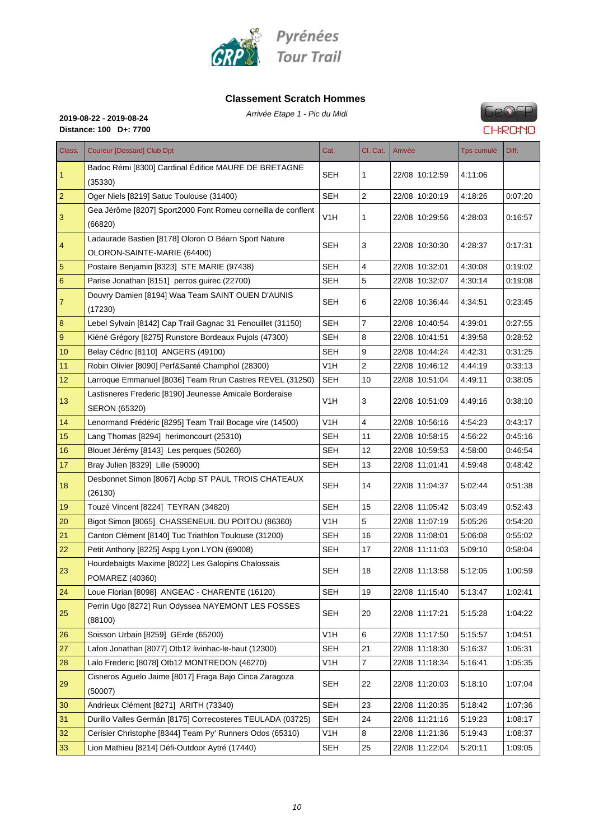

#### **Classement Scratch Hommes**

Arrivée Etape 1 - Pic du Midi **2019-08-22 - 2019-08-24**

**Distance: 100 D+: 7700**

## **FROSED CHRONO**

| Class.         | <b>Coureur [Dossard] Club Dpt</b>                                                   | Cat.             | Cl. Cat.       | Arrivée        | <b>Tps cumulé</b> | Diff.   |
|----------------|-------------------------------------------------------------------------------------|------------------|----------------|----------------|-------------------|---------|
| $\mathbf{1}$   | Badoc Rémi [8300] Cardinal Édifice MAURE DE BRETAGNE<br>(35330)                     | <b>SEH</b>       | 1              | 22/08 10:12:59 | 4:11:06           |         |
| $\overline{2}$ | Oger Niels [8219] Satuc Toulouse (31400)                                            | <b>SEH</b>       | 2              | 22/08 10:20:19 | 4:18:26           | 0.07:20 |
| 3              | Gea Jérôme [8207] Sport2000 Font Romeu corneilla de conflent<br>(66820)             | V <sub>1</sub> H | 1              | 22/08 10:29:56 | 4:28:03           | 0:16:57 |
| 4              | Ladaurade Bastien [8178] Oloron O Béarn Sport Nature<br>OLORON-SAINTE-MARIE (64400) | <b>SEH</b>       | 3              | 22/08 10:30:30 | 4:28:37           | 0:17:31 |
| 5              | Postaire Benjamin [8323] STE MARIE (97438)                                          | <b>SEH</b>       | 4              | 22/08 10:32:01 | 4:30:08           | 0:19:02 |
| 6              | Parise Jonathan [8151] perros guirec (22700)                                        | <b>SEH</b>       | 5              | 22/08 10:32:07 | 4.30:14           | 0.19:08 |
| 7              | Douvry Damien [8194] Waa Team SAINT OUEN D'AUNIS<br>(17230)                         | SEH              | 6              | 22/08 10:36:44 | 4:34:51           | 0:23:45 |
| 8              | Lebel Sylvain [8142] Cap Trail Gagnac 31 Fenouillet (31150)                         | <b>SEH</b>       | $\overline{7}$ | 22/08 10:40:54 | 4:39:01           | 0.27:55 |
| 9              | Kiéné Grégory [8275] Runstore Bordeaux Pujols (47300)                               | <b>SEH</b>       | 8              | 22/08 10:41:51 | 4:39:58           | 0:28:52 |
| 10             | Belay Cédric [8110] ANGERS (49100)                                                  | <b>SEH</b>       | 9              | 22/08 10:44:24 | 4:42:31           | 0.31:25 |
| 11             | Robin Olivier [8090] Perf&Santé Champhol (28300)                                    | V <sub>1</sub> H | 2              | 22/08 10:46:12 | 4:44:19           | 0:33:13 |
| 12             | Larroque Emmanuel [8036] Team Rrun Castres REVEL (31250)                            | <b>SEH</b>       | 10             | 22/08 10:51:04 | 4:49:11           | 0:38:05 |
| 13             | Lastisneres Frederic [8190] Jeunesse Amicale Borderaise<br>SERON (65320)            | V <sub>1</sub> H | 3              | 22/08 10:51:09 | 4:49:16           | 0.38:10 |
| 14             | Lenormand Frédéric [8295] Team Trail Bocage vire (14500)                            | V1H              | 4              | 22/08 10:56:16 | 4:54:23           | 0:43:17 |
| 15             | Lang Thomas [8294] herimoncourt (25310)                                             | <b>SEH</b>       | 11             | 22/08 10:58:15 | 4:56:22           | 0:45:16 |
| 16             | Blouet Jérémy [8143] Les perques (50260)                                            | <b>SEH</b>       | 12             | 22/08 10:59:53 | 4:58:00           | 0:46:54 |
| 17             | Bray Julien [8329] Lille (59000)                                                    | <b>SEH</b>       | 13             | 22/08 11:01:41 | 4:59:48           | 0:48:42 |
| 18             | Desbonnet Simon [8067] Acbp ST PAUL TROIS CHATEAUX<br>(26130)                       | SEH              | 14             | 22/08 11:04:37 | 5:02:44           | 0:51:38 |
| 19             | Touzé Vincent [8224] TEYRAN (34820)                                                 | <b>SEH</b>       | 15             | 22/08 11:05:42 | 5:03:49           | 0:52:43 |
| 20             | Bigot Simon [8065] CHASSENEUIL DU POITOU (86360)                                    | V <sub>1</sub> H | 5              | 22/08 11:07:19 | 5:05:26           | 0:54:20 |
| 21             | Canton Clément [8140] Tuc Triathlon Toulouse (31200)                                | <b>SEH</b>       | 16             | 22/08 11:08:01 | 5.06.08           | 0.55:02 |
| 22             | Petit Anthony [8225] Aspg Lyon LYON (69008)                                         | SEH              | 17             | 22/08 11:11:03 | 5:09:10           | 0:58:04 |
| 23             | Hourdebaigts Maxime [8022] Les Galopins Chalossais<br>POMAREZ (40360)               | <b>SEH</b>       | 18             | 22/08 11:13:58 | 5:12:05           | 1:00:59 |
| 24             | Loue Florian [8098] ANGEAC - CHARENTE (16120)                                       | <b>SEH</b>       | 19             | 22/08 11:15:40 | 5.13:47           | 1:02:41 |
| 25             | Perrin Ugo [8272] Run Odyssea NAYEMONT LES FOSSES<br>(88100)                        | <b>SEH</b>       | 20             | 22/08 11:17:21 | 5:15:28           | 1:04:22 |
| 26             | Soisson Urbain [8259] GErde (65200)                                                 | V1H              | 6              | 22/08 11:17:50 | 5:15:57           | 1:04:51 |
| 27             | Lafon Jonathan [8077] Otb12 livinhac-le-haut (12300)                                | <b>SEH</b>       | 21             | 22/08 11:18:30 | 5.16:37           | 1:05:31 |
| 28             | Lalo Frederic [8078] Otb12 MONTREDON (46270)                                        | V1H              | $\overline{7}$ | 22/08 11:18:34 | 5.16:41           | 1:05:35 |
| 29             | Cisneros Aguelo Jaime [8017] Fraga Bajo Cinca Zaragoza<br>(50007)                   | <b>SEH</b>       | 22             | 22/08 11:20:03 | 5:18:10           | 1:07:04 |
| 30             | Andrieux Clément [8271] ARITH (73340)                                               | <b>SEH</b>       | 23             | 22/08 11:20:35 | 5.18:42           | 1.07.36 |
| 31             | Durillo Valles Germán [8175] Correcosteres TEULADA (03725)                          | <b>SEH</b>       | 24             | 22/08 11:21:16 | 5:19:23           | 1:08:17 |
| 32             | Cerisier Christophe [8344] Team Py' Runners Odos (65310)                            | V <sub>1</sub> H | 8              | 22/08 11:21:36 | 5:19:43           | 1.08.37 |
| 33             | Lion Mathieu [8214] Défi-Outdoor Aytré (17440)                                      | <b>SEH</b>       | 25             | 22/08 11:22:04 | 5:20:11           | 1:09:05 |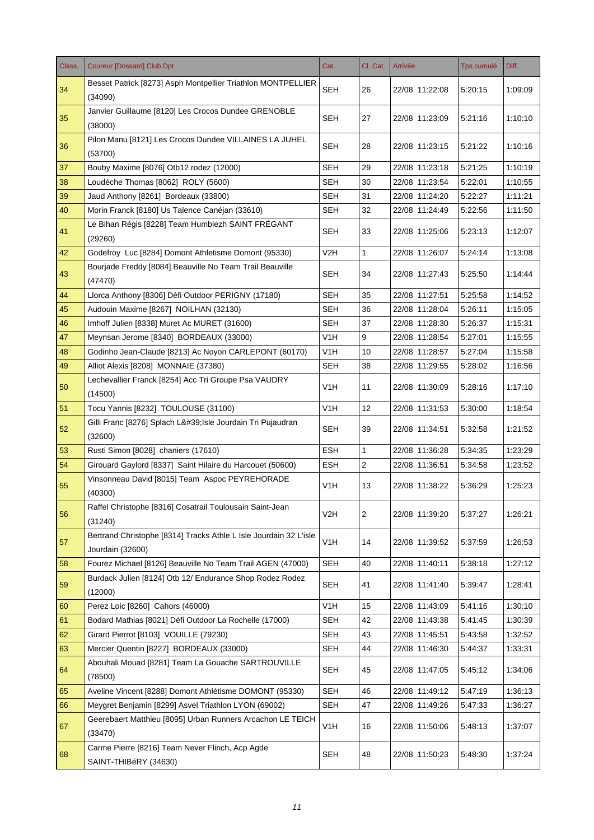| Class. | <b>Coureur [Dossard] Club Dpt</b>                                                     | Cat.             | Cl. Cat.       | Arrivée        | <b>Tps cumulé</b> | Diff.   |
|--------|---------------------------------------------------------------------------------------|------------------|----------------|----------------|-------------------|---------|
| 34     | Besset Patrick [8273] Asph Montpellier Triathlon MONTPELLIER<br>(34090)               | <b>SEH</b>       | 26             | 22/08 11:22:08 | 5:20:15           | 1:09:09 |
| 35     | Janvier Guillaume [8120] Les Crocos Dundee GRENOBLE<br>(38000)                        | SEH              | 27             | 22/08 11:23:09 | 5:21:16           | 1:10:10 |
| 36     | Pilon Manu [8121] Les Crocos Dundee VILLAINES LA JUHEL<br>(53700)                     | <b>SEH</b>       | 28             | 22/08 11:23:15 | 5:21:22           | 1:10:16 |
| 37     | Bouby Maxime [8076] Otb12 rodez (12000)                                               | <b>SEH</b>       | 29             | 22/08 11:23:18 | 5:21:25           | 1:10:19 |
| 38     | Loudèche Thomas [8062] ROLY (5600)                                                    | <b>SEH</b>       | 30             | 22/08 11:23:54 | 5:22:01           | 1:10:55 |
| 39     | Jaud Anthony [8261] Bordeaux (33800)                                                  | <b>SEH</b>       | 31             | 22/08 11:24:20 | 5:22:27           | 1:11:21 |
| 40     | Morin Franck [8180] Us Talence Canéjan (33610)                                        | SEH              | 32             | 22/08 11:24:49 | 5:22:56           | 1:11:50 |
| 41     | Le Bihan Régis [8228] Team Humblezh SAINT FRÉGANT<br>(29260)                          | <b>SEH</b>       | 33             | 22/08 11:25:06 | 5:23:13           | 1:12:07 |
| 42     | Godefroy Luc [8284] Domont Athletisme Domont (95330)                                  | V2H              | 1              | 22/08 11:26:07 | 5:24:14           | 1:13:08 |
| 43     | Bourjade Freddy [8084] Beauville No Team Trail Beauville<br>(47470)                   | SEH              | 34             | 22/08 11:27:43 | 5:25:50           | 1:14:44 |
| 44     | Llorca Anthony [8306] Défi Outdoor PERIGNY (17180)                                    | SEH              | 35             | 22/08 11:27:51 | 5:25:58           | 1:14:52 |
| 45     | Audouin Maxime [8267] NOILHAN (32130)                                                 | <b>SEH</b>       | 36             | 22/08 11:28:04 | 5:26:11           | 1:15:05 |
| 46     | Imhoff Julien [8338] Muret Ac MURET (31600)                                           | <b>SEH</b>       | 37             | 22/08 11:28:30 | 5:26:37           | 1:15:31 |
| 47     | Meynsan Jerome [8340] BORDEAUX (33000)                                                | V1H              | 9              | 22/08 11:28:54 | 5:27:01           | 1:15:55 |
| 48     | Godinho Jean-Claude [8213] Ac Noyon CARLEPONT (60170)                                 | V1H              | 10             | 22/08 11:28:57 | 5:27:04           | 1:15:58 |
| 49     | Alliot Alexis [8208] MONNAIE (37380)                                                  | <b>SEH</b>       | 38             | 22/08 11:29:55 | 5:28:02           | 1:16:56 |
| 50     | Lechevallier Franck [8254] Acc Tri Groupe Psa VAUDRY<br>(14500)                       | V <sub>1</sub> H | 11             | 22/08 11:30:09 | 5:28:16           | 1:17:10 |
| 51     | Tocu Yannis [8232] TOULOUSE (31100)                                                   | V1H              | 12             | 22/08 11:31:53 | 5:30:00           | 1:18:54 |
| 52     | Gilli Franc [8276] Splach L'Isle Jourdain Tri Pujaudran<br>(32600)                    | SEH              | 39             | 22/08 11:34:51 | 5:32:58           | 1:21:52 |
| 53     | Rusti Simon [8028] chaniers (17610)                                                   | <b>ESH</b>       | 1              | 22/08 11:36:28 | 5:34:35           | 1:23:29 |
| 54     | Girouard Gaylord [8337] Saint Hilaire du Harcouet (50600)                             | <b>ESH</b>       | $\sqrt{2}$     | 22/08 11:36:51 | 5:34:58           | 1:23:52 |
| 55     | Vinsonneau David [8015] Team Aspoc PEYREHORADE<br>(40300)                             | V1H              | 13             | 22/08 11:38:22 | 5:36:29           | 1:25:23 |
| 56     | Raffel Christophe [8316] Cosatrail Toulousain Saint-Jean<br>(31240)                   | V <sub>2</sub> H | $\overline{c}$ | 22/08 11:39:20 | 5:37:27           | 1:26:21 |
| 57     | Bertrand Christophe [8314] Tracks Athle L Isle Jourdain 32 L'isle<br>Jourdain (32600) | V <sub>1</sub> H | 14             | 22/08 11:39:52 | 5:37:59           | 1:26:53 |
| 58     | Fourez Michael [8126] Beauville No Team Trail AGEN (47000)                            | <b>SEH</b>       | 40             | 22/08 11:40:11 | 5:38:18           | 1:27:12 |
| 59     | Burdack Julien [8124] Otb 12/ Endurance Shop Rodez Rodez<br>(12000)                   | <b>SEH</b>       | 41             | 22/08 11:41:40 | 5:39:47           | 1:28:41 |
| 60     | Perez Loic [8260] Cahors (46000)                                                      | V1H              | 15             | 22/08 11:43:09 | 5:41:16           | 1:30:10 |
| 61     | Bodard Mathias [8021] Défi Outdoor La Rochelle (17000)                                | <b>SEH</b>       | 42             | 22/08 11:43:38 | 5:41:45           | 1:30:39 |
| 62     | Girard Pierrot [8103] VOUILLE (79230)                                                 | <b>SEH</b>       | 43             | 22/08 11:45:51 | 5:43:58           | 1:32:52 |
| 63     | Mercier Quentin [8227] BORDEAUX (33000)                                               | <b>SEH</b>       | 44             | 22/08 11:46:30 | 5:44:37           | 1:33:31 |
| 64     | Abouhali Mouad [8281] Team La Gouache SARTROUVILLE<br>(78500)                         | <b>SEH</b>       | 45             | 22/08 11:47:05 | 5:45:12           | 1:34:06 |
| 65     | Aveline Vincent [8288] Domont Athlétisme DOMONT (95330)                               | <b>SEH</b>       | 46             | 22/08 11:49:12 | 5:47:19           | 1:36:13 |
| 66     | Meygret Benjamin [8299] Asvel Triathlon LYON (69002)                                  | <b>SEH</b>       | 47             | 22/08 11:49:26 | 5:47:33           | 1:36:27 |
| 67     | Geerebaert Matthieu [8095] Urban Runners Arcachon LE TEICH<br>(33470)                 | V <sub>1</sub> H | 16             | 22/08 11:50:06 | 5:48:13           | 1:37:07 |
| 68     | Carme Pierre [8216] Team Never Flinch, Acp Agde<br>SAINT-THIBéRY (34630)              | <b>SEH</b>       | 48             | 22/08 11:50:23 | 5:48:30           | 1:37:24 |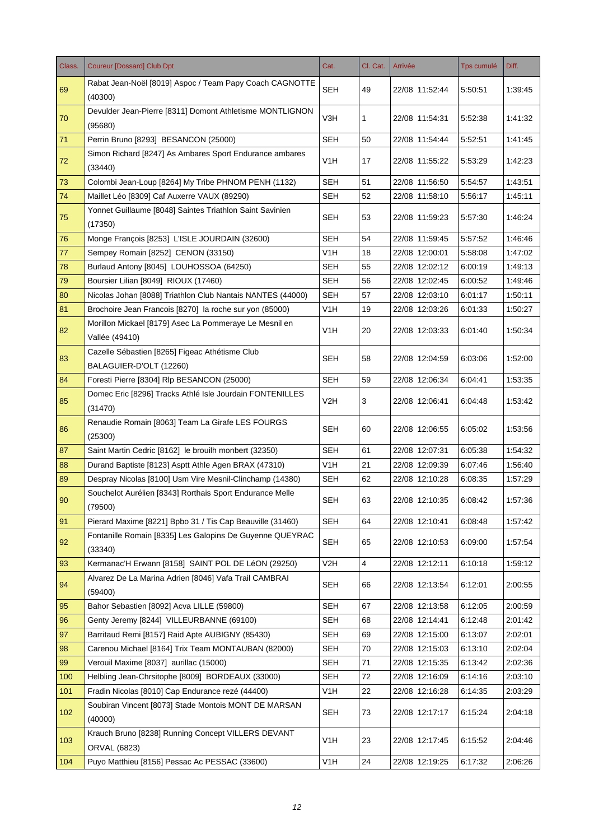| Class. | <b>Coureur [Dossard] Club Dpt</b>                                         | Cat.             | Cl. Cat.       | Arrivée        | <b>Tps cumulé</b> | Diff.   |
|--------|---------------------------------------------------------------------------|------------------|----------------|----------------|-------------------|---------|
| 69     | Rabat Jean-Noël [8019] Aspoc / Team Papy Coach CAGNOTTE<br>(40300)        | <b>SEH</b>       | 49             | 22/08 11:52:44 | 5:50:51           | 1:39:45 |
| 70     | Devulder Jean-Pierre [8311] Domont Athletisme MONTLIGNON<br>(95680)       | V3H              | 1              | 22/08 11:54:31 | 5:52:38           | 1:41:32 |
| 71     | Perrin Bruno [8293] BESANCON (25000)                                      | <b>SEH</b>       | 50             | 22/08 11:54:44 | 5:52:51           | 1:41:45 |
| 72     | Simon Richard [8247] As Ambares Sport Endurance ambares<br>(33440)        | V1H              | 17             | 22/08 11:55:22 | 5:53:29           | 1:42:23 |
| 73     | Colombi Jean-Loup [8264] My Tribe PHNOM PENH (1132)                       | <b>SEH</b>       | 51             | 22/08 11:56:50 | 5:54:57           | 1:43:51 |
| 74     | Maillet Léo [8309] Caf Auxerre VAUX (89290)                               | <b>SEH</b>       | 52             | 22/08 11:58:10 | 5:56:17           | 1:45:11 |
| 75     | Yonnet Guillaume [8048] Saintes Triathlon Saint Savinien<br>(17350)       | <b>SEH</b>       | 53             | 22/08 11:59:23 | 5:57:30           | 1:46:24 |
| 76     | Monge François [8253] L'ISLE JOURDAIN (32600)                             | SEH              | 54             | 22/08 11:59:45 | 5:57:52           | 1:46:46 |
| 77     | Sempey Romain [8252] CENON (33150)                                        | V1H              | 18             | 22/08 12:00:01 | 5:58:08           | 1:47:02 |
| 78     | Burlaud Antony [8045] LOUHOSSOA (64250)                                   | <b>SEH</b>       | 55             | 22/08 12:02:12 | 6:00:19           | 1:49:13 |
| 79     | Boursier Lilian [8049] RIOUX (17460)                                      | <b>SEH</b>       | 56             | 22/08 12:02:45 | 6:00:52           | 1:49:46 |
| 80     | Nicolas Johan [8088] Triathlon Club Nantais NANTES (44000)                | SEH              | 57             | 22/08 12:03:10 | 6:01:17           | 1:50:11 |
| 81     | Brochoire Jean Francois [8270] la roche sur yon (85000)                   | V1H              | 19             | 22/08 12:03:26 | 6.01.33           | 1:50:27 |
| 82     | Morillon Mickael [8179] Asec La Pommeraye Le Mesnil en<br>Vallée (49410)  | V1H              | 20             | 22/08 12:03:33 | 6:01:40           | 1:50:34 |
| 83     | Cazelle Sébastien [8265] Figeac Athétisme Club<br>BALAGUIER-D'OLT (12260) | SEH              | 58             | 22/08 12:04:59 | 6:03:06           | 1:52:00 |
| 84     | Foresti Pierre [8304] Rlp BESANCON (25000)                                | <b>SEH</b>       | 59             | 22/08 12:06:34 | 6:04:41           | 1:53:35 |
| 85     | Domec Eric [8296] Tracks Athlé Isle Jourdain FONTENILLES<br>(31470)       | V2H              | 3              | 22/08 12:06:41 | 6:04:48           | 1:53:42 |
| 86     | Renaudie Romain [8063] Team La Girafe LES FOURGS<br>(25300)               | <b>SEH</b>       | 60             | 22/08 12:06:55 | 6:05:02           | 1:53:56 |
| 87     | Saint Martin Cedric [8162] le brouilh monbert (32350)                     | <b>SEH</b>       | 61             | 22/08 12:07:31 | 6:05:38           | 1:54:32 |
| 88     | Durand Baptiste [8123] Asptt Athle Agen BRAX (47310)                      | V1H              | 21             | 22/08 12:09:39 | 6:07:46           | 1:56:40 |
| 89     | Despray Nicolas [8100] Usm Vire Mesnil-Clinchamp (14380)                  | <b>SEH</b>       | 62             | 22/08 12:10:28 | 6:08:35           | 1:57:29 |
| 90     | Souchelot Aurélien [8343] Rorthais Sport Endurance Melle<br>(79500)       | <b>SEH</b>       | 63             | 22/08 12:10:35 | 6:08:42           | 1:57:36 |
| 91     | Pierard Maxime [8221] Bpbo 31 / Tis Cap Beauville (31460)                 | <b>SEH</b>       | 64             | 22/08 12:10:41 | 6:08:48           | 1:57:42 |
| 92     | Fontanille Romain [8335] Les Galopins De Guyenne QUEYRAC<br>(33340)       | <b>SEH</b>       | 65             | 22/08 12:10:53 | 6:09:00           | 1:57:54 |
| 93     | Kermanac'H Erwann [8158] SAINT POL DE LéON (29250)                        | V <sub>2</sub> H | $\overline{4}$ | 22/08 12:12:11 | 6:10:18           | 1:59:12 |
| 94     | Alvarez De La Marina Adrien [8046] Vafa Trail CAMBRAI<br>(59400)          | <b>SEH</b>       | 66             | 22/08 12:13:54 | 6:12:01           | 2:00:55 |
| 95     | Bahor Sebastien [8092] Acva LILLE (59800)                                 | <b>SEH</b>       | 67             | 22/08 12:13:58 | 6:12:05           | 2:00:59 |
| 96     | Genty Jeremy [8244] VILLEURBANNE (69100)                                  | <b>SEH</b>       | 68             | 22/08 12:14:41 | 6.12.48           | 2:01:42 |
| 97     | Barritaud Remi [8157] Raid Apte AUBIGNY (85430)                           | <b>SEH</b>       | 69             | 22/08 12:15:00 | 6:13:07           | 2:02:01 |
| 98     | Carenou Michael [8164] Trix Team MONTAUBAN (82000)                        | <b>SEH</b>       | 70             | 22/08 12:15:03 | 6:13:10           | 2:02:04 |
| 99     | Verouil Maxime [8037] aurillac (15000)                                    | <b>SEH</b>       | 71             | 22/08 12:15:35 | 6:13:42           | 2:02:36 |
| 100    | Helbling Jean-Chrsitophe [8009] BORDEAUX (33000)                          | <b>SEH</b>       | 72             | 22/08 12:16:09 | 6:14:16           | 2:03:10 |
| 101    | Fradin Nicolas [8010] Cap Endurance rezé (44400)                          | V <sub>1</sub> H | 22             | 22/08 12:16:28 | 6:14:35           | 2:03:29 |
| 102    | Soubiran Vincent [8073] Stade Montois MONT DE MARSAN<br>(40000)           | <b>SEH</b>       | 73             | 22/08 12:17:17 | 6:15:24           | 2:04:18 |
| 103    | Krauch Bruno [8238] Running Concept VILLERS DEVANT<br>ORVAL (6823)        | V <sub>1</sub> H | 23             | 22/08 12:17:45 | 6:15:52           | 2:04:46 |
| 104    | Puyo Matthieu [8156] Pessac Ac PESSAC (33600)                             | V <sub>1</sub> H | 24             | 22/08 12:19:25 | 6:17:32           | 2:06:26 |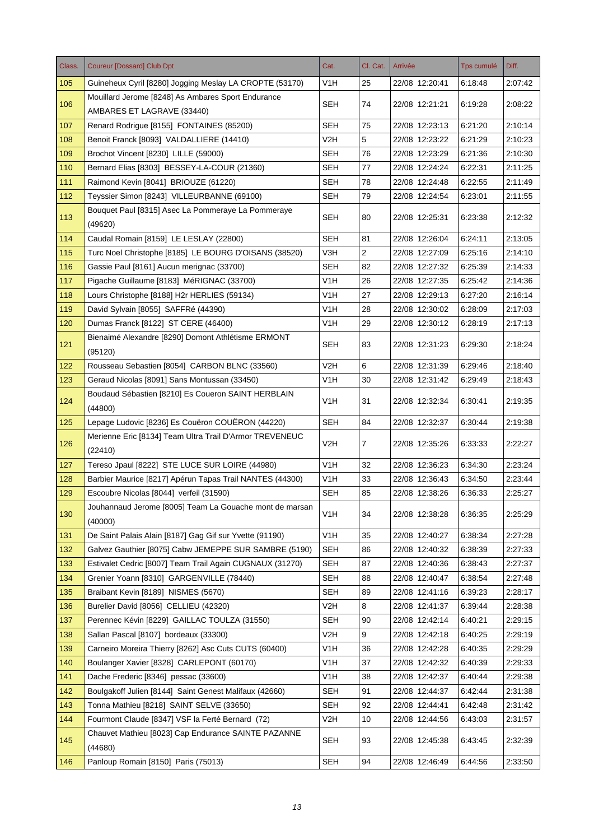| Class. | <b>Coureur [Dossard] Club Dpt</b>                         | Cat.             | Cl. Cat.       | Arrivée        | <b>Tps cumulé</b> | Diff.   |
|--------|-----------------------------------------------------------|------------------|----------------|----------------|-------------------|---------|
| 105    | Guineheux Cyril [8280] Jogging Meslay LA CROPTE (53170)   | V1H              | 25             | 22/08 12:20:41 | 6:18:48           | 2:07:42 |
| 106    | Mouillard Jerome [8248] As Ambares Sport Endurance        | <b>SEH</b>       | 74             | 22/08 12:21:21 | 6:19:28           | 2:08:22 |
|        | AMBARES ET LAGRAVE (33440)                                |                  |                |                |                   |         |
| 107    | Renard Rodrigue [8155] FONTAINES (85200)                  | <b>SEH</b>       | 75             | 22/08 12:23:13 | 6:21:20           | 2:10:14 |
| 108    | Benoit Franck [8093] VALDALLIERE (14410)                  | V2H              | 5              | 22/08 12:23:22 | 6:21:29           | 2:10:23 |
| 109    | Brochot Vincent [8230] LILLE (59000)                      | <b>SEH</b>       | 76             | 22/08 12:23:29 | 6:21:36           | 2:10:30 |
| 110    | Bernard Elias [8303] BESSEY-LA-COUR (21360)               | <b>SEH</b>       | 77             | 22/08 12:24:24 | 6:22:31           | 2:11:25 |
| 111    | Raimond Kevin [8041] BRIOUZE (61220)                      | SEH              | 78             | 22/08 12:24:48 | 6:22:55           | 2:11:49 |
| 112    | Teyssier Simon [8243] VILLEURBANNE (69100)                | <b>SEH</b>       | 79             | 22/08 12:24:54 | 6:23:01           | 2:11:55 |
| 113    | Bouquet Paul [8315] Asec La Pommeraye La Pommeraye        | <b>SEH</b>       | 80             | 22/08 12:25:31 | 6:23:38           | 2:12:32 |
|        | (49620)                                                   |                  |                |                |                   |         |
| 114    | Caudal Romain [8159] LE LESLAY (22800)                    | SEH              | 81             | 22/08 12:26:04 | 6:24:11           | 2:13:05 |
| 115    | Turc Noel Christophe [8185] LE BOURG D'OISANS (38520)     | V3H              | $\overline{2}$ | 22/08 12:27:09 | 6:25:16           | 2:14:10 |
| 116    | Gassie Paul [8161] Aucun merignac (33700)                 | SEH              | 82             | 22/08 12:27:32 | 6:25:39           | 2:14:33 |
| 117    | Pigache Guillaume [8183] MéRIGNAC (33700)                 | V <sub>1</sub> H | 26             | 22/08 12:27:35 | 6:25:42           | 2:14:36 |
| 118    | Lours Christophe [8188] H2r HERLIES (59134)               | V1H              | 27             | 22/08 12:29:13 | 6:27:20           | 2:16:14 |
| 119    | David Sylvain [8055] SAFFRé (44390)                       | V1H              | 28             | 22/08 12:30:02 | 6:28:09           | 2:17:03 |
| 120    | Dumas Franck [8122] ST CERE (46400)                       | V <sub>1</sub> H | 29             | 22/08 12:30:12 | 6:28:19           | 2:17:13 |
| 121    | Bienaimé Alexandre [8290] Domont Athlétisme ERMONT        | SEH              | 83             | 22/08 12:31:23 | 6:29:30           | 2:18:24 |
|        | (95120)                                                   |                  |                |                |                   |         |
| 122    | Rousseau Sebastien [8054] CARBON BLNC (33560)             | V2H              | 6              | 22/08 12:31:39 | 6:29:46           | 2:18:40 |
| 123    | Geraud Nicolas [8091] Sans Montussan (33450)              | V <sub>1</sub> H | 30             | 22/08 12:31:42 | 6:29:49           | 2:18:43 |
| 124    | Boudaud Sébastien [8210] Es Coueron SAINT HERBLAIN        | V <sub>1</sub> H | 31             | 22/08 12:32:34 | 6:30:41           | 2:19:35 |
|        | (44800)                                                   |                  |                |                |                   |         |
| 125    | Lepage Ludovic [8236] Es Couëron COUERON (44220)          | <b>SEH</b>       | 84             | 22/08 12:32:37 | 6:30:44           | 2:19:38 |
| 126    | Merienne Eric [8134] Team Ultra Trail D'Armor TREVENEUC   | V2H              | $\overline{7}$ | 22/08 12:35:26 | 6:33:33           | 2:22:27 |
| 127    | (22410)<br>Tereso Jpaul [8222] STE LUCE SUR LOIRE (44980) | V1H              | 32             | 22/08 12:36:23 | 6:34:30           | 2:23:24 |
| 128    | Barbier Maurice [8217] Apérun Tapas Trail NANTES (44300)  | V <sub>1</sub> H | 33             | 22/08 12:36:43 | 6:34:50           | 2:23:44 |
| 129    | Escoubre Nicolas [8044] verfeil (31590)                   | <b>SEH</b>       | 85             | 22/08 12:38:26 | 6:36:33           | 2:25:27 |
|        | Jouhannaud Jerome [8005] Team La Gouache mont de marsan   |                  |                |                |                   |         |
| 130    | (40000)                                                   | V <sub>1</sub> H | 34             | 22/08 12:38:28 | 6:36:35           | 2:25:29 |
| 131    | De Saint Palais Alain [8187] Gag Gif sur Yvette (91190)   | V <sub>1</sub> H | 35             | 22/08 12:40:27 | 6:38:34           | 2:27:28 |
| 132    | Galvez Gauthier [8075] Cabw JEMEPPE SUR SAMBRE (5190)     | <b>SEH</b>       | 86             | 22/08 12:40:32 | 6:38:39           | 2.27.33 |
| 133    | Estivalet Cedric [8007] Team Trail Again CUGNAUX (31270)  | <b>SEH</b>       | 87             | 22/08 12:40:36 | 6.38.43           | 2:27:37 |
| 134    | Grenier Yoann [8310] GARGENVILLE (78440)                  | <b>SEH</b>       | 88             | 22/08 12:40:47 | 6:38:54           | 2:27:48 |
| 135    | Braibant Kevin [8189] NISMES (5670)                       | <b>SEH</b>       | 89             | 22/08 12:41:16 | 6.39.23           | 2:28:17 |
| 136    | Burelier David [8056] CELLIEU (42320)                     | V2H              | 8              | 22/08 12:41:37 | 6:39:44           | 2:28:38 |
| 137    | Perennec Kévin [8229] GAILLAC TOULZA (31550)              | <b>SEH</b>       | 90             | 22/08 12:42:14 | 6:40:21           | 2:29:15 |
| 138    | Sallan Pascal [8107] bordeaux (33300)                     | V2H              | 9              | 22/08 12:42:18 | 6:40:25           | 2:29:19 |
| 139    | Carneiro Moreira Thierry [8262] Asc Cuts CUTS (60400)     | V <sub>1</sub> H | 36             | 22/08 12:42:28 | 6:40:35           | 2:29:29 |
| 140    | Boulanger Xavier [8328] CARLEPONT (60170)                 | V <sub>1</sub> H | 37             | 22/08 12:42:32 | 6:40:39           | 2:29:33 |
| 141    | Dache Frederic [8346] pessac (33600)                      | V1H              | 38             | 22/08 12:42:37 | 6:40:44           | 2:29:38 |
| 142    | Boulgakoff Julien [8144] Saint Genest Malifaux (42660)    | <b>SEH</b>       | 91             | 22/08 12:44:37 | 6:42:44           | 2:31:38 |
| 143    | Tonna Mathieu [8218] SAINT SELVE (33650)                  | <b>SEH</b>       | 92             | 22/08 12:44:41 | 6:42:48           | 2:31:42 |
| 144    | Fourmont Claude [8347] VSF la Ferté Bernard (72)          | V <sub>2</sub> H | 10             | 22/08 12:44:56 | 6:43:03           | 2:31:57 |
|        | Chauvet Mathieu [8023] Cap Endurance SAINTE PAZANNE       |                  |                |                |                   |         |
| 145    | (44680)                                                   | <b>SEH</b>       | 93             | 22/08 12:45:38 | 6:43:45           | 2:32:39 |
| 146    | Panloup Romain [8150] Paris (75013)                       | <b>SEH</b>       | 94             | 22/08 12:46:49 | 6:44:56           | 2:33:50 |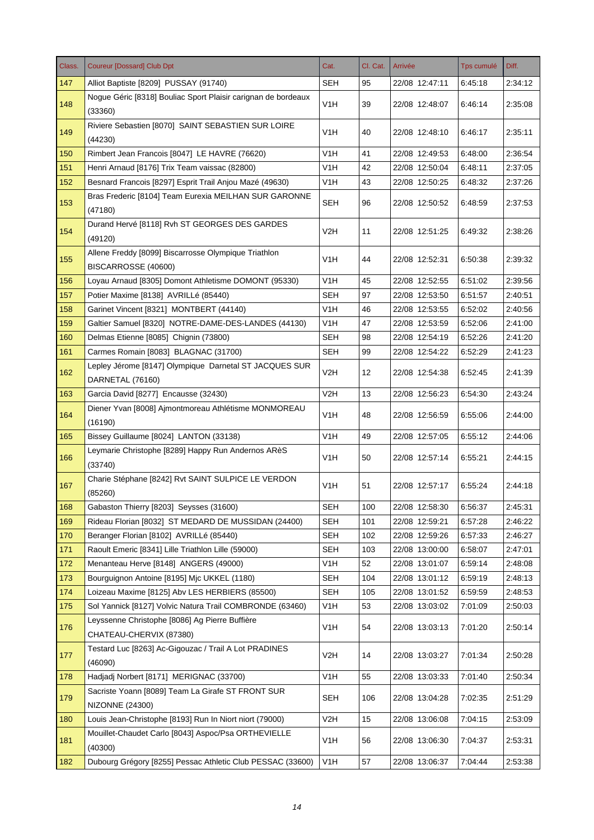| Class. | <b>Coureur [Dossard] Club Dpt</b>                                           | Cat.             | Cl. Cat. | Arrivée        | <b>Tps cumulé</b> | Diff.   |
|--------|-----------------------------------------------------------------------------|------------------|----------|----------------|-------------------|---------|
| 147    | Alliot Baptiste [8209] PUSSAY (91740)                                       | <b>SEH</b>       | 95       | 22/08 12:47:11 | 6:45:18           | 2:34:12 |
| 148    | Nogue Géric [8318] Bouliac Sport Plaisir carignan de bordeaux<br>(33360)    | V1H              | 39       | 22/08 12:48:07 | 6:46:14           | 2:35:08 |
| 149    | Riviere Sebastien [8070] SAINT SEBASTIEN SUR LOIRE<br>(44230)               | V <sub>1</sub> H | 40       | 22/08 12:48:10 | 6:46:17           | 2:35:11 |
| 150    | Rimbert Jean Francois [8047] LE HAVRE (76620)                               | V1H              | 41       | 22/08 12:49:53 | 6:48:00           | 2:36:54 |
| 151    | Henri Arnaud [8176] Trix Team vaissac (82800)                               | V1H              | 42       | 22/08 12:50:04 | 6:48:11           | 2:37:05 |
| 152    | Besnard Francois [8297] Esprit Trail Anjou Mazé (49630)                     | V <sub>1</sub> H | 43       | 22/08 12:50:25 | 6:48:32           | 2:37:26 |
| 153    | Bras Frederic [8104] Team Eurexia MEILHAN SUR GARONNE<br>(47180)            | <b>SEH</b>       | 96       | 22/08 12:50:52 | 6:48:59           | 2:37:53 |
| 154    | Durand Hervé [8118] Rvh ST GEORGES DES GARDES<br>(49120)                    | V2H              | 11       | 22/08 12:51:25 | 6:49:32           | 2:38:26 |
| 155    | Allene Freddy [8099] Biscarrosse Olympique Triathlon<br>BISCARROSSE (40600) | V1H              | 44       | 22/08 12:52:31 | 6:50:38           | 2:39:32 |
| 156    | Loyau Arnaud [8305] Domont Athletisme DOMONT (95330)                        | V1H              | 45       | 22/08 12:52:55 | 6:51:02           | 2:39:56 |
| 157    | Potier Maxime [8138] AVRILLé (85440)                                        | <b>SEH</b>       | 97       | 22/08 12:53:50 | 6:51:57           | 2:40:51 |
| 158    | Garinet Vincent [8321] MONTBERT (44140)                                     | V1H              | 46       | 22/08 12:53:55 | 6:52:02           | 2:40:56 |
| 159    | Galtier Samuel [8320] NOTRE-DAME-DES-LANDES (44130)                         | V1H              | 47       | 22/08 12:53:59 | 6:52:06           | 2:41:00 |
| 160    | Delmas Etienne [8085] Chignin (73800)                                       | <b>SEH</b>       | 98       | 22/08 12:54:19 | 6:52:26           | 2:41:20 |
| 161    | Carmes Romain [8083] BLAGNAC (31700)                                        | <b>SEH</b>       | 99       | 22/08 12:54:22 | 6:52:29           | 2:41:23 |
| 162    | Lepley Jérome [8147] Olympique Darnetal ST JACQUES SUR<br>DARNETAL (76160)  | V <sub>2</sub> H | 12       | 22/08 12:54:38 | 6:52:45           | 2:41:39 |
| 163    | Garcia David [8277] Encausse (32430)                                        | V2H              | 13       | 22/08 12:56:23 | 6:54:30           | 2:43:24 |
| 164    | Diener Yvan [8008] Ajmontmoreau Athlétisme MONMOREAU<br>(16190)             | V <sub>1</sub> H | 48       | 22/08 12:56:59 | 6:55:06           | 2:44:00 |
| 165    | Bissey Guillaume [8024] LANTON (33138)                                      | V1H              | 49       | 22/08 12:57:05 | 6:55:12           | 2:44:06 |
| 166    | Leymarie Christophe [8289] Happy Run Andernos ARèS<br>(33740)               | V1H              | 50       | 22/08 12:57:14 | 6:55:21           | 2:44:15 |
| 167    | Charie Stéphane [8242] Rvt SAINT SULPICE LE VERDON<br>(85260)               | V1H              | 51       | 22/08 12:57:17 | 6:55:24           | 2:44:18 |
| 168    | Gabaston Thierry [8203] Seysses (31600)                                     | <b>SEH</b>       | 100      | 22/08 12:58:30 | 6:56:37           | 2:45:31 |
| 169    | Rideau Florian [8032] ST MEDARD DE MUSSIDAN (24400)                         | <b>SEH</b>       | 101      | 22/08 12:59:21 | 6:57:28           | 2:46:22 |
| 170    | Beranger Florian [8102] AVRILLé (85440)                                     | <b>SEH</b>       | 102      | 22/08 12:59:26 | 6:57:33           | 2:46:27 |
| 171    | Raoult Emeric [8341] Lille Triathlon Lille (59000)                          | <b>SEH</b>       | 103      | 22/08 13:00:00 | 6:58:07           | 2:47:01 |
| 172    | Menanteau Herve [8148] ANGERS (49000)                                       | V <sub>1</sub> H | 52       | 22/08 13:01:07 | 6:59:14           | 2:48:08 |
| 173    | Bourguignon Antoine [8195] Mjc UKKEL (1180)                                 | <b>SEH</b>       | 104      | 22/08 13:01:12 | 6:59:19           | 2:48:13 |
| 174    | Loizeau Maxime [8125] Abv LES HERBIERS (85500)                              | <b>SEH</b>       | 105      | 22/08 13:01:52 | 6:59:59           | 2:48:53 |
| 175    | Sol Yannick [8127] Volvic Natura Trail COMBRONDE (63460)                    | V <sub>1</sub> H | 53       | 22/08 13:03:02 | 7:01:09           | 2:50:03 |
| 176    | Leyssenne Christophe [8086] Ag Pierre Buffière<br>CHATEAU-CHERVIX (87380)   | V <sub>1</sub> H | 54       | 22/08 13:03:13 | 7:01:20           | 2:50:14 |
| 177    | Testard Luc [8263] Ac-Gigouzac / Trail A Lot PRADINES<br>(46090)            | V <sub>2</sub> H | 14       | 22/08 13:03:27 | 7:01:34           | 2:50:28 |
| 178    | Hadjadj Norbert [8171] MERIGNAC (33700)                                     | V <sub>1</sub> H | 55       | 22/08 13:03:33 | 7:01:40           | 2:50:34 |
| 179    | Sacriste Yoann [8089] Team La Girafe ST FRONT SUR<br><b>NIZONNE (24300)</b> | <b>SEH</b>       | 106      | 22/08 13:04:28 | 7:02:35           | 2:51:29 |
| 180    | Louis Jean-Christophe [8193] Run In Niort niort (79000)                     | V <sub>2</sub> H | 15       | 22/08 13:06:08 | 7:04:15           | 2:53:09 |
| 181    | Mouillet-Chaudet Carlo [8043] Aspoc/Psa ORTHEVIELLE<br>(40300)              | V <sub>1</sub> H | 56       | 22/08 13:06:30 | 7:04:37           | 2:53:31 |
| 182    | Dubourg Grégory [8255] Pessac Athletic Club PESSAC (33600)                  | V1H              | 57       | 22/08 13:06:37 | 7:04:44           | 2:53:38 |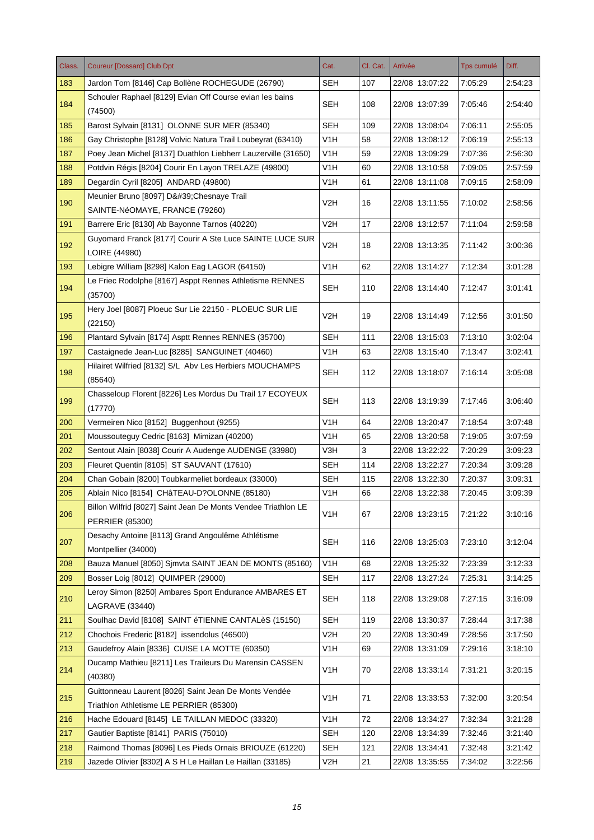| Class. | <b>Coureur [Dossard] Club Dpt</b>                                                       | Cat.             | Cl. Cat. | Arrivée        | <b>Tps cumulé</b> | Diff.   |
|--------|-----------------------------------------------------------------------------------------|------------------|----------|----------------|-------------------|---------|
| 183    | Jardon Tom [8146] Cap Bollène ROCHEGUDE (26790)                                         | SEH              | 107      | 22/08 13:07:22 | 7:05:29           | 2:54:23 |
| 184    | Schouler Raphael [8129] Evian Off Course evian les bains<br>(74500)                     | <b>SEH</b>       | 108      | 22/08 13:07:39 | 7:05:46           | 2:54:40 |
| 185    | Barost Sylvain [8131] OLONNE SUR MER (85340)                                            | <b>SEH</b>       | 109      | 22/08 13:08:04 | 7:06:11           | 2:55:05 |
| 186    | Gay Christophe [8128] Volvic Natura Trail Loubeyrat (63410)                             | V1H              | 58       | 22/08 13:08:12 | 7:06:19           | 2:55:13 |
| 187    | Poey Jean Michel [8137] Duathlon Liebherr Lauzerville (31650)                           | V <sub>1</sub> H | 59       | 22/08 13:09:29 | 7:07:36           | 2:56:30 |
| 188    | Potdvin Régis [8204] Courir En Layon TRELAZE (49800)                                    | V1H              | 60       | 22/08 13:10:58 | 7:09:05           | 2:57:59 |
| 189    | Degardin Cyril [8205] ANDARD (49800)                                                    | V <sub>1</sub> H | 61       | 22/08 13:11:08 | 7:09:15           | 2:58:09 |
|        | Meunier Bruno [8097] D' Chesnaye Trail                                                  |                  |          |                |                   |         |
| 190    | SAINTE-NéOMAYE, FRANCE (79260)                                                          | V2H              | 16       | 22/08 13:11:55 | 7:10:02           | 2.58.56 |
| 191    | Barrere Eric [8130] Ab Bayonne Tarnos (40220)                                           | V2H              | 17       | 22/08 13:12:57 | 7:11:04           | 2:59:58 |
|        | Guyomard Franck [8177] Courir A Ste Luce SAINTE LUCE SUR                                |                  |          |                |                   |         |
| 192    | LOIRE (44980)                                                                           | V <sub>2</sub> H | 18       | 22/08 13:13:35 | 7:11:42           | 3:00:36 |
| 193    | Lebigre William [8298] Kalon Eag LAGOR (64150)                                          | V1H              | 62       | 22/08 13:14:27 | 7:12:34           | 3:01:28 |
|        | Le Friec Rodolphe [8167] Asppt Rennes Athletisme RENNES                                 |                  |          |                |                   |         |
| 194    | (35700)                                                                                 | SEH              | 110      | 22/08 13:14:40 | 7:12:47           | 3:01:41 |
| 195    | Hery Joel [8087] Ploeuc Sur Lie 22150 - PLOEUC SUR LIE<br>(22150)                       | V2H              | 19       | 22/08 13:14:49 | 7:12:56           | 3:01:50 |
| 196    | Plantard Sylvain [8174] Asptt Rennes RENNES (35700)                                     | <b>SEH</b>       | 111      | 22/08 13:15:03 | 7:13:10           | 3:02:04 |
| 197    | Castaignede Jean-Luc [8285] SANGUINET (40460)                                           | V1H              | 63       | 22/08 13:15:40 | 7:13:47           | 3:02:41 |
| 198    | Hilairet Wilfried [8132] S/L Abv Les Herbiers MOUCHAMPS<br>(85640)                      | SEH              | 112      | 22/08 13:18:07 | 7:16:14           | 3:05:08 |
| 199    | Chasseloup Florent [8226] Les Mordus Du Trail 17 ECOYEUX                                | <b>SEH</b>       | 113      | 22/08 13:19:39 | 7:17:46           | 3:06:40 |
|        | (17770)                                                                                 |                  |          |                |                   |         |
| 200    | Vermeiren Nico [8152] Buggenhout (9255)                                                 | V1H              | 64       | 22/08 13:20:47 | 7:18:54           | 3:07:48 |
| 201    | Moussouteguy Cedric [8163] Mimizan (40200)                                              | V <sub>1</sub> H | 65       | 22/08 13:20:58 | 7:19:05           | 3:07:59 |
| 202    | Sentout Alain [8038] Courir A Audenge AUDENGE (33980)                                   | V3H              | 3        | 22/08 13:22:22 | 7:20:29           | 3:09:23 |
| 203    | Fleuret Quentin [8105] ST SAUVANT (17610)                                               | <b>SEH</b>       | 114      | 22/08 13:22:27 | 7:20:34           | 3:09:28 |
| 204    | Chan Gobain [8200] Toubkarmeliet bordeaux (33000)                                       | <b>SEH</b>       | 115      | 22/08 13:22:30 | 7:20:37           | 3:09:31 |
| 205    | Ablain Nico [8154] CHâTEAU-D?OLONNE (85180)                                             | V <sub>1</sub> H | 66       | 22/08 13:22:38 | 7:20:45           | 3:09:39 |
| 206    | Billon Wilfrid [8027] Saint Jean De Monts Vendee Triathlon LE<br><b>PERRIER (85300)</b> | V <sub>1</sub> H | 67       | 22/08 13:23:15 | 7:21:22           | 3:10:16 |
| 207    | Desachy Antoine [8113] Grand Angoulême Athlétisme<br>Montpellier (34000)                | <b>SEH</b>       | 116      | 22/08 13:25:03 | 7:23:10           | 3:12:04 |
| 208    | Bauza Manuel [8050] Simvta SAINT JEAN DE MONTS (85160)                                  | V <sub>1</sub> H | 68       | 22/08 13:25:32 | 7:23:39           | 3:12:33 |
| 209    | Bosser Loig [8012] QUIMPER (29000)                                                      | <b>SEH</b>       | 117      | 22/08 13:27:24 | 7:25:31           | 3:14:25 |
|        | Leroy Simon [8250] Ambares Sport Endurance AMBARES ET                                   |                  |          |                |                   |         |
| 210    | <b>LAGRAVE (33440)</b>                                                                  | <b>SEH</b>       | 118      | 22/08 13:29:08 | 7:27:15           | 3:16:09 |
| 211    | Soulhac David [8108] SAINT éTIENNE CANTALèS (15150)                                     | <b>SEH</b>       | 119      | 22/08 13:30:37 | 7:28:44           | 3:17:38 |
| 212    | Chochois Frederic [8182] issendolus (46500)                                             | V <sub>2</sub> H | 20       | 22/08 13:30:49 | 7:28:56           | 3:17:50 |
| 213    | Gaudefroy Alain [8336] CUISE LA MOTTE (60350)                                           | V <sub>1</sub> H | 69       | 22/08 13:31:09 | 7:29:16           | 3:18:10 |
|        | Ducamp Mathieu [8211] Les Traileurs Du Marensin CASSEN                                  |                  |          |                |                   |         |
| 214    | (40380)                                                                                 | V <sub>1</sub> H | 70       | 22/08 13:33:14 | 7:31:21           | 3:20:15 |
| 215    | Guittonneau Laurent [8026] Saint Jean De Monts Vendée                                   | V <sub>1</sub> H | 71       | 22/08 13:33:53 | 7:32:00           | 3:20:54 |
|        | Triathlon Athletisme LE PERRIER (85300)                                                 |                  |          |                |                   |         |
| 216    | Hache Edouard [8145] LE TAILLAN MEDOC (33320)                                           | V <sub>1</sub> H | 72       | 22/08 13:34:27 | 7:32:34           | 3:21:28 |
| 217    | Gautier Baptiste [8141] PARIS (75010)                                                   | <b>SEH</b>       | 120      | 22/08 13:34:39 | 7:32:46           | 3:21:40 |
| 218    | Raimond Thomas [8096] Les Pieds Ornais BRIOUZE (61220)                                  | <b>SEH</b>       | 121      | 22/08 13:34:41 | 7:32:48           | 3:21:42 |
| 219    | Jazede Olivier [8302] A S H Le Haillan Le Haillan (33185)                               | V <sub>2</sub> H | 21       | 22/08 13:35:55 | 7:34:02           | 3:22:56 |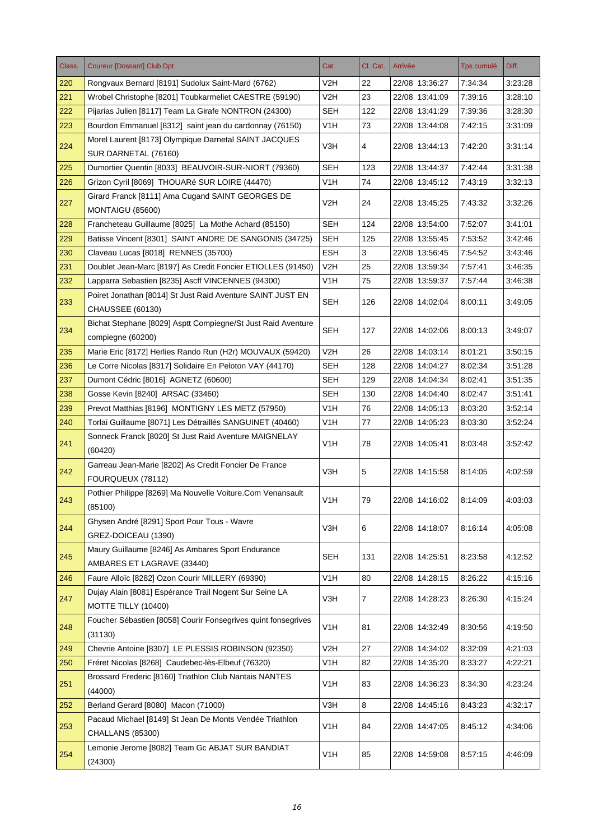| Class. | <b>Coureur [Dossard] Club Dpt</b>                                                 | Cat.             | Cl. Cat. | Arrivée        | Tps cumulé | Diff.   |
|--------|-----------------------------------------------------------------------------------|------------------|----------|----------------|------------|---------|
| 220    | Rongvaux Bernard [8191] Sudolux Saint-Mard (6762)                                 | V2H              | 22       | 22/08 13:36:27 | 7:34:34    | 3:23:28 |
| 221    | Wrobel Christophe [8201] Toubkarmeliet CAESTRE (59190)                            | V <sub>2</sub> H | 23       | 22/08 13:41:09 | 7:39:16    | 3:28:10 |
| 222    | Pijarias Julien [8117] Team La Girafe NONTRON (24300)                             | <b>SEH</b>       | 122      | 22/08 13:41:29 | 7:39:36    | 3:28:30 |
| 223    | Bourdon Emmanuel [8312] saint jean du cardonnay (76150)                           | V <sub>1</sub> H | 73       | 22/08 13:44:08 | 7:42:15    | 3:31:09 |
| 224    | Morel Laurent [8173] Olympique Darnetal SAINT JACQUES<br>SUR DARNETAL (76160)     | V3H              | 4        | 22/08 13:44:13 | 7:42:20    | 3:31:14 |
| 225    | Dumortier Quentin [8033] BEAUVOIR-SUR-NIORT (79360)                               | <b>SEH</b>       | 123      | 22/08 13:44:37 | 7:42:44    | 3:31:38 |
| 226    | Grizon Cyril [8069] THOUARé SUR LOIRE (44470)                                     | V <sub>1</sub> H | 74       | 22/08 13:45:12 | 7:43:19    | 3:32:13 |
| 227    | Girard Franck [8111] Ama Cugand SAINT GEORGES DE                                  | V2H              | 24       | 22/08 13:45:25 | 7:43:32    | 3:32:26 |
|        | MONTAIGU (85600)                                                                  |                  |          |                |            |         |
| 228    | Francheteau Guillaume [8025] La Mothe Achard (85150)                              | <b>SEH</b>       | 124      | 22/08 13:54:00 | 7:52:07    | 3:41:01 |
| 229    | Batisse Vincent [8301] SAINT ANDRE DE SANGONIS (34725)                            | <b>SEH</b>       | 125      | 22/08 13:55:45 | 7:53:52    | 3:42:46 |
| 230    | Claveau Lucas [8018] RENNES (35700)                                               | <b>ESH</b>       | 3        | 22/08 13:56:45 | 7:54:52    | 3:43:46 |
| 231    | Doublet Jean-Marc [8197] As Credit Foncier ETIOLLES (91450)                       | V <sub>2</sub> H | 25       | 22/08 13:59:34 | 7:57:41    | 3:46:35 |
| 232    | Lapparra Sebastien [8235] Ascff VINCENNES (94300)                                 | V <sub>1</sub> H | 75       | 22/08 13:59:37 | 7:57:44    | 3:46:38 |
| 233    | Poiret Jonathan [8014] St Just Raid Aventure SAINT JUST EN<br>CHAUSSEE (60130)    | SEH              | 126      | 22/08 14:02:04 | 8:00:11    | 3:49:05 |
| 234    | Bichat Stephane [8029] Asptt Compiegne/St Just Raid Aventure<br>compiegne (60200) | <b>SEH</b>       | 127      | 22/08 14:02:06 | 8:00:13    | 3:49:07 |
| 235    | Marie Eric [8172] Herlies Rando Run (H2r) MOUVAUX (59420)                         | V2H              | 26       | 22/08 14:03:14 | 8:01:21    | 3:50:15 |
| 236    | Le Corre Nicolas [8317] Solidaire En Peloton VAY (44170)                          | <b>SEH</b>       | 128      | 22/08 14:04:27 | 8:02:34    | 3:51:28 |
| 237    | Dumont Cédric [8016] AGNETZ (60600)                                               | <b>SEH</b>       | 129      | 22/08 14:04:34 | 8:02:41    | 3:51:35 |
| 238    | Gosse Kevin [8240] ARSAC (33460)                                                  | SEH              | 130      | 22/08 14:04:40 | 8:02:47    | 3:51:41 |
| 239    | Prevot Matthias [8196] MONTIGNY LES METZ (57950)                                  | V <sub>1</sub> H | 76       | 22/08 14:05:13 | 8:03:20    | 3:52:14 |
| 240    | Torlai Guillaume [8071] Les Détraillés SANGUINET (40460)                          | V <sub>1</sub> H | 77       | 22/08 14:05:23 | 8:03:30    | 3:52:24 |
| 241    | Sonneck Franck [8020] St Just Raid Aventure MAIGNELAY<br>(60420)                  | V <sub>1</sub> H | 78       | 22/08 14:05:41 | 8:03:48    | 3:52:42 |
| 242    | Garreau Jean-Marie [8202] As Credit Foncier De France                             | V3H              | 5        | 22/08 14:15:58 | 8:14:05    | 4:02:59 |
|        | FOURQUEUX (78112)                                                                 |                  |          |                |            |         |
| 243    | Pothier Philippe [8269] Ma Nouvelle Voiture.Com Venansault<br>(85100)             | V <sub>1</sub> H | 79       | 22/08 14:16:02 | 8:14:09    | 4:03:03 |
| 244    | Ghysen André [8291] Sport Pour Tous - Wavre                                       | V3H              | 6        | 22/08 14:18:07 | 8:16:14    | 4:05:08 |
|        | GREZ-DOICEAU (1390)                                                               |                  |          |                |            |         |
| 245    | Maury Guillaume [8246] As Ambares Sport Endurance<br>AMBARES ET LAGRAVE (33440)   | SEH              | 131      | 22/08 14:25:51 | 8:23:58    | 4:12:52 |
| 246    | Faure Alloïc [8282] Ozon Courir MILLERY (69390)                                   | V <sub>1</sub> H | 80       | 22/08 14:28:15 | 8:26:22    | 4:15:16 |
| 247    | Dujay Alain [8081] Espérance Trail Nogent Sur Seine LA<br>MOTTE TILLY (10400)     | V3H              | 7        | 22/08 14:28:23 | 8:26:30    | 4:15:24 |
| 248    | Foucher Sébastien [8058] Courir Fonsegrives quint fonsegrives<br>(31130)          | V <sub>1</sub> H | 81       | 22/08 14:32:49 | 8:30:56    | 4:19:50 |
| 249    | Chevrie Antoine [8307] LE PLESSIS ROBINSON (92350)                                | V <sub>2</sub> H | 27       | 22/08 14:34:02 | 8:32:09    | 4:21:03 |
|        | Fréret Nicolas [8268] Caudebec-lès-Elbeuf (76320)                                 | V <sub>1</sub> H |          |                |            |         |
| 250    | Brossard Frederic [8160] Triathlon Club Nantais NANTES                            |                  | 82       | 22/08 14:35:20 | 8:33:27    | 4:22:21 |
| 251    | (44000)                                                                           | V <sub>1</sub> H | 83       | 22/08 14:36:23 | 8:34:30    | 4:23:24 |
| 252    | Berland Gerard [8080] Macon (71000)                                               | V3H              | 8        | 22/08 14:45:16 | 8:43:23    | 4:32:17 |
| 253    | Pacaud Michael [8149] St Jean De Monts Vendée Triathlon<br>CHALLANS (85300)       | V <sub>1</sub> H | 84       | 22/08 14:47:05 | 8:45:12    | 4:34:06 |
| 254    | Lemonie Jerome [8082] Team Gc ABJAT SUR BANDIAT<br>(24300)                        | V <sub>1</sub> H | 85       | 22/08 14:59:08 | 8:57:15    | 4:46:09 |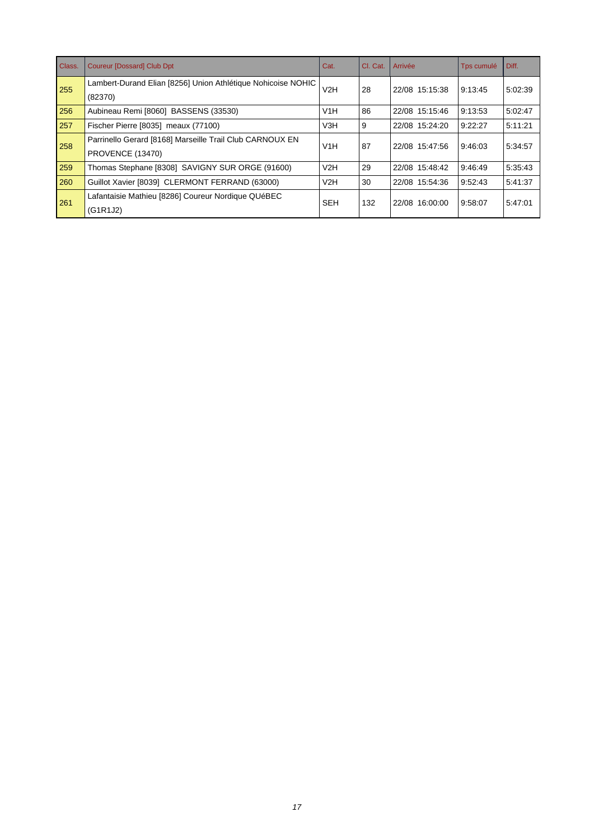| Class. | <b>Coureur [Dossard] Club Dpt</b>                                            | Cat.             | CI. Cat. | Arrivée        | Tps cumulé | Diff.   |
|--------|------------------------------------------------------------------------------|------------------|----------|----------------|------------|---------|
| 255    | Lambert-Durand Elian [8256] Union Athlétique Nohicoise NOHIC<br>(82370)      | V2H              | 28       | 22/08 15:15:38 | 9:13:45    | 5:02:39 |
| 256    | Aubineau Remi [8060] BASSENS (33530)                                         | V1H              | 86       | 22/08 15:15:46 | 9:13:53    | 5:02:47 |
| 257    | Fischer Pierre [8035] meaux (77100)                                          | V <sub>3</sub> H | 9        | 22/08 15:24:20 | 9:22:27    | 5:11:21 |
| 258    | Parrinello Gerard [8168] Marseille Trail Club CARNOUX EN<br>PROVENCE (13470) | V1H              | 87       | 22/08 15:47:56 | 9:46:03    | 5:34:57 |
| 259    | Thomas Stephane [8308] SAVIGNY SUR ORGE (91600)                              | V2H              | 29       | 22/08 15:48:42 | 9:46:49    | 5:35:43 |
| 260    | Guillot Xavier [8039] CLERMONT FERRAND (63000)                               | V2H              | 30       | 22/08 15:54:36 | 9:52:43    | 5:41:37 |
| 261    | Lafantaisie Mathieu [8286] Coureur Nordique QUéBEC<br>(G1R1J2)               | <b>SEH</b>       | 132      | 22/08 16:00:00 | 9:58:07    | 5:47:01 |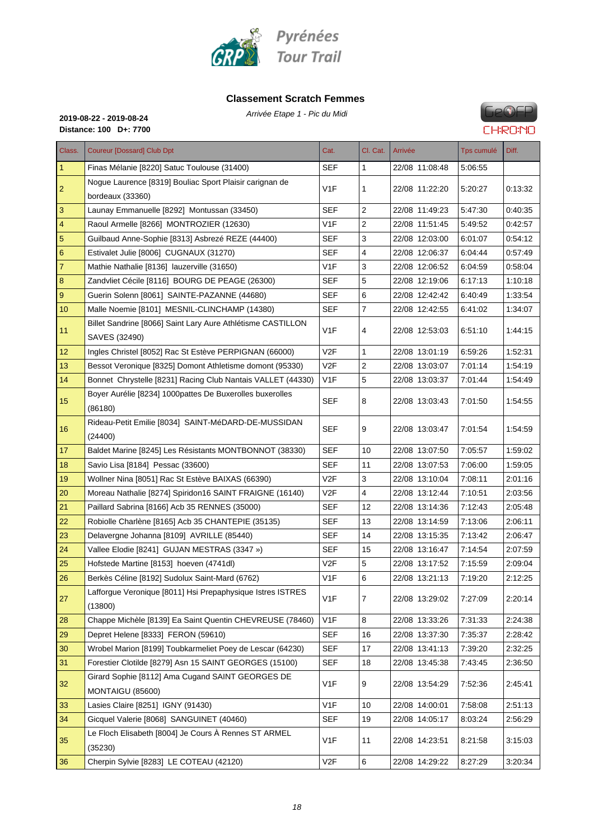

#### **Classement Scratch Femmes**



**Distance: 100 D+: 7700**

## Arrivée Etape 1 - Pic du Midi **2019-08-22 - 2019-08-24**

| Class.                  | <b>Coureur [Dossard] Club Dpt</b>                                            | Cat.             | Cl. Cat.       | Arrivée        | Tps cumulé | Diff.   |
|-------------------------|------------------------------------------------------------------------------|------------------|----------------|----------------|------------|---------|
| 1                       | Finas Mélanie [8220] Satuc Toulouse (31400)                                  | SEF              | 1              | 22/08 11:08:48 | 5:06:55    |         |
| $\overline{c}$          | Nogue Laurence [8319] Bouliac Sport Plaisir carignan de<br>bordeaux (33360)  | V <sub>1</sub> F | 1              | 22/08 11:22:20 | 5:20:27    | 0:13:32 |
| 3                       | Launay Emmanuelle [8292] Montussan (33450)                                   | <b>SEF</b>       | $\overline{c}$ | 22/08 11:49:23 | 5:47:30    | 0:40:35 |
| $\overline{\mathbf{4}}$ | Raoul Armelle [8266] MONTROZIER (12630)                                      | V <sub>1</sub> F | 2              | 22/08 11:51:45 | 5:49:52    | 0:42:57 |
| $\overline{5}$          | Guilbaud Anne-Sophie [8313] Asbrezé REZE (44400)                             | <b>SEF</b>       | 3              | 22/08 12:03:00 | 6:01:07    | 0:54:12 |
| 6                       | Estivalet Julie [8006] CUGNAUX (31270)                                       | <b>SEF</b>       | 4              | 22/08 12:06:37 | 6:04:44    | 0:57:49 |
| 7                       | Mathie Nathalie [8136] lauzerville (31650)                                   | V <sub>1</sub> F | 3              | 22/08 12:06:52 | 6:04:59    | 0:58:04 |
| 8                       | Zandvliet Cécile [8116] BOURG DE PEAGE (26300)                               | SEF              | 5              | 22/08 12:19:06 | 6:17:13    | 1:10:18 |
| 9                       | Guerin Solenn [8061] SAINTE-PAZANNE (44680)                                  | <b>SEF</b>       | 6              | 22/08 12:42:42 | 6:40:49    | 1:33:54 |
| 10                      | Malle Noemie [8101] MESNIL-CLINCHAMP (14380)                                 | <b>SEF</b>       | 7              | 22/08 12:42:55 | 6:41:02    | 1:34:07 |
| 11                      | Billet Sandrine [8066] Saint Lary Aure Athlétisme CASTILLON<br>SAVES (32490) | V <sub>1F</sub>  | 4              | 22/08 12:53:03 | 6:51:10    | 1:44:15 |
| 12                      | Ingles Christel [8052] Rac St Estève PERPIGNAN (66000)                       | V2F              | 1              | 22/08 13:01:19 | 6:59:26    | 1:52:31 |
| 13                      | Bessot Veronique [8325] Domont Athletisme domont (95330)                     | V2F              | 2              | 22/08 13:03:07 | 7:01:14    | 1:54:19 |
| 14                      | Bonnet Chrystelle [8231] Racing Club Nantais VALLET (44330)                  | V <sub>1</sub> F | 5              | 22/08 13:03:37 | 7:01:44    | 1:54:49 |
| 15 <sub>15</sub>        | Boyer Aurélie [8234] 1000pattes De Buxerolles buxerolles<br>(86180)          | <b>SEF</b>       | 8              | 22/08 13:03:43 | 7:01:50    | 1:54:55 |
| 16                      | Rideau-Petit Emilie [8034] SAINT-MéDARD-DE-MUSSIDAN<br>(24400)               | <b>SEF</b>       | 9              | 22/08 13:03:47 | 7:01:54    | 1:54:59 |
| 17                      | Baldet Marine [8245] Les Résistants MONTBONNOT (38330)                       | <b>SEF</b>       | 10             | 22/08 13:07:50 | 7:05:57    | 1:59:02 |
| 18                      | Savio Lisa [8184] Pessac (33600)                                             | <b>SEF</b>       | 11             | 22/08 13:07:53 | 7:06:00    | 1.59.05 |
| 19                      | Wollner Nina [8051] Rac St Estève BAIXAS (66390)                             | V <sub>2F</sub>  | 3              | 22/08 13:10:04 | 7:08:11    | 2:01:16 |
| 20                      | Moreau Nathalie [8274] Spiridon16 SAINT FRAIGNE (16140)                      | V2F              | 4              | 22/08 13:12:44 | 7:10:51    | 2:03:56 |
| 21                      | Paillard Sabrina [8166] Acb 35 RENNES (35000)                                | <b>SEF</b>       | 12             | 22/08 13:14:36 | 7:12:43    | 2:05:48 |
| 22                      | Robiolle Charlène [8165] Acb 35 CHANTEPIE (35135)                            | <b>SEF</b>       | 13             | 22/08 13:14:59 | 7:13:06    | 2:06:11 |
| 23                      | Delavergne Johanna [8109] AVRILLE (85440)                                    | <b>SEF</b>       | 14             | 22/08 13:15:35 | 7:13:42    | 2:06:47 |
| 24                      | Vallee Elodie [8241] GUJAN MESTRAS (3347 »)                                  | <b>SEF</b>       | 15             | 22/08 13:16:47 | 7:14:54    | 2:07:59 |
| 25                      | Hofstede Martine [8153] hoeven (4741dl)                                      | V2F              | 5              | 22/08 13:17:52 | 7:15:59    | 2:09:04 |
| 26                      | Berkès Céline [8192] Sudolux Saint-Mard (6762)                               | V <sub>1</sub> F | 6              | 22/08 13:21:13 | 7:19:20    | 2:12:25 |
| 27                      | Lafforgue Veronique [8011] Hsi Prepaphysique Istres ISTRES<br>(13800)        | V <sub>1</sub> F | $\overline{7}$ | 22/08 13:29:02 | 7:27:09    | 2:20:14 |
| 28                      | Chappe Michèle [8139] Ea Saint Quentin CHEVREUSE (78460)                     | V1F              | 8              | 22/08 13:33:26 | 7:31:33    | 2:24:38 |
| 29                      | Depret Helene [8333] FERON (59610)                                           | <b>SEF</b>       | 16             | 22/08 13:37:30 | 7:35:37    | 2:28:42 |
| 30                      | Wrobel Marion [8199] Toubkarmeliet Poey de Lescar (64230)                    | <b>SEF</b>       | 17             | 22/08 13:41:13 | 7:39:20    | 2:32:25 |
| 31                      | Forestier Clotilde [8279] Asn 15 SAINT GEORGES (15100)                       | <b>SEF</b>       | 18             | 22/08 13:45:38 | 7:43:45    | 2.36.50 |
| 32                      | Girard Sophie [8112] Ama Cugand SAINT GEORGES DE<br>MONTAIGU (85600)         | V1F              | 9              | 22/08 13:54:29 | 7:52:36    | 2:45:41 |
| 33                      | Lasies Claire [8251] IGNY (91430)                                            | V <sub>1F</sub>  | 10             | 22/08 14:00:01 | 7:58:08    | 2:51:13 |
| 34                      | Gicquel Valerie [8068] SANGUINET (40460)                                     | <b>SEF</b>       | 19             | 22/08 14:05:17 | 8:03:24    | 2:56:29 |
| 35                      | Le Floch Elisabeth [8004] Je Cours À Rennes ST ARMEL<br>(35230)              | V <sub>1</sub> F | 11             | 22/08 14:23:51 | 8:21:58    | 3:15:03 |
| 36                      | Cherpin Sylvie [8283] LE COTEAU (42120)                                      | V2F              | 6              | 22/08 14:29:22 | 8:27:29    | 3:20:34 |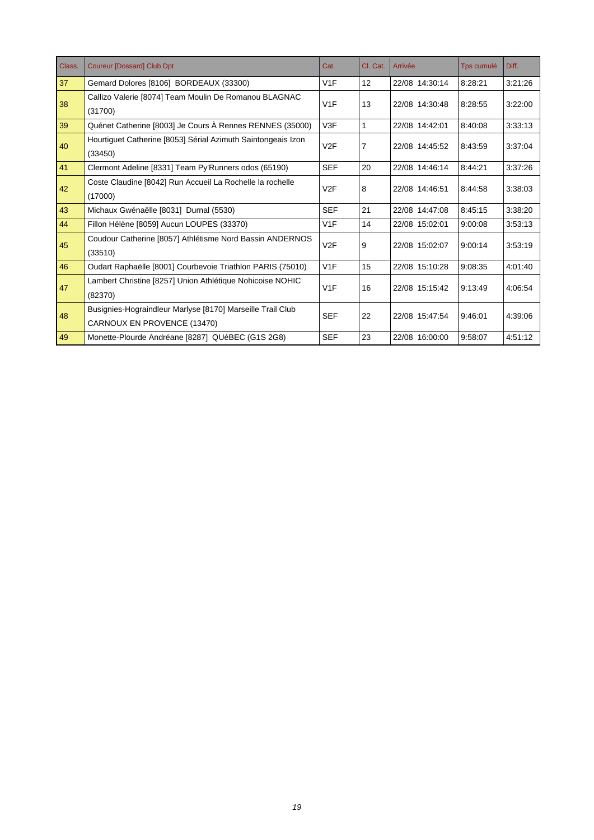| Class. | <b>Coureur [Dossard] Club Dpt</b>                            | Cat.             | Cl. Cat. | Arrivée        | Tps cumulé | Diff.   |
|--------|--------------------------------------------------------------|------------------|----------|----------------|------------|---------|
| 37     | Gemard Dolores [8106] BORDEAUX (33300)                       | V1F              | 12       | 22/08 14:30:14 | 8:28:21    | 3:21:26 |
| 38     | Callizo Valerie [8074] Team Moulin De Romanou BLAGNAC        | V1F              | 13       | 22/08 14:30:48 | 8:28:55    | 3:22:00 |
|        | (31700)                                                      |                  |          |                |            |         |
| 39     | Quénet Catherine [8003] Je Cours À Rennes RENNES (35000)     | V3F              | 1        | 22/08 14:42:01 | 8:40:08    | 3:33:13 |
| 40     | Hourtiguet Catherine [8053] Sérial Azimuth Saintongeais Izon | V2F              | 7        | 22/08 14:45:52 | 8:43:59    | 3:37:04 |
|        | (33450)                                                      |                  |          |                |            |         |
| 41     | Clermont Adeline [8331] Team Py'Runners odos (65190)         | <b>SEF</b>       | 20       | 22/08 14:46:14 | 8:44:21    | 3:37:26 |
| 42     | Coste Claudine [8042] Run Accueil La Rochelle la rochelle    | V <sub>2</sub> F | 8        | 22/08 14:46:51 | 8:44:58    | 3:38:03 |
|        | (17000)                                                      |                  |          |                |            |         |
| 43     | Michaux Gwénaëlle [8031] Durnal (5530)                       | <b>SEF</b>       | 21       | 22/08 14:47:08 | 8:45:15    | 3:38:20 |
| 44     | Fillon Hélène [8059] Aucun LOUPES (33370)                    | V1F              | 14       | 22/08 15:02:01 | 9:00:08    | 3:53:13 |
| 45     | Coudour Catherine [8057] Athlétisme Nord Bassin ANDERNOS     | V <sub>2</sub> F | 9        | 22/08 15:02:07 | 9:00:14    | 3:53:19 |
|        | (33510)                                                      |                  |          |                |            |         |
| 46     | Oudart Raphaëlle [8001] Courbevoie Triathlon PARIS (75010)   | V1F              | 15       | 22/08 15:10:28 | 9:08:35    | 4:01:40 |
| 47     | Lambert Christine [8257] Union Athlétique Nohicoise NOHIC    |                  | 16       | 22/08 15:15:42 | 9:13:49    | 4:06:54 |
|        | (82370)                                                      | V1F              |          |                |            |         |
|        | Busignies-Hograindleur Marlyse [8170] Marseille Trail Club   | <b>SEF</b>       | 22       | 22/08 15:47:54 |            |         |
| 48     | CARNOUX EN PROVENCE (13470)                                  |                  |          |                | 9:46:01    | 4:39:06 |
| 49     | Monette-Plourde Andréane [8287] QUéBEC (G1S 2G8)             | <b>SEF</b>       | 23       | 22/08 16:00:00 | 9:58:07    | 4:51:12 |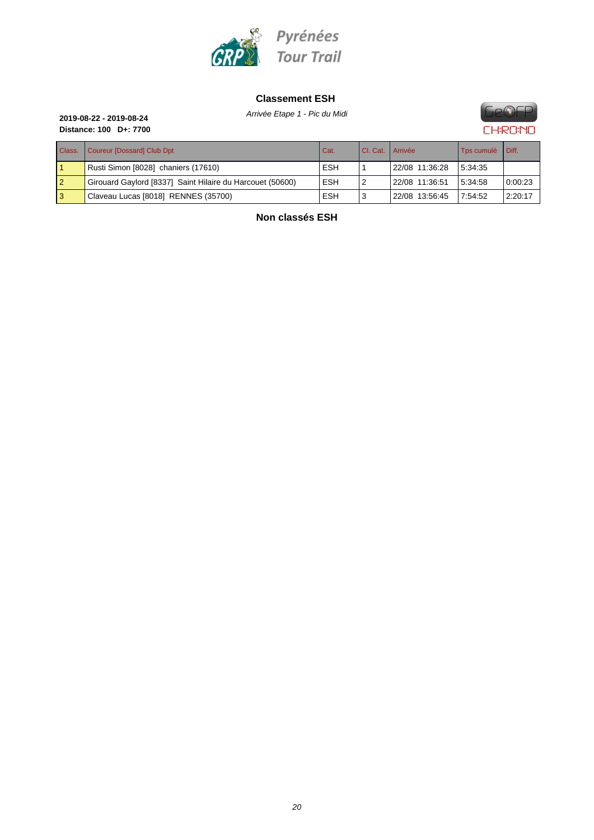

#### **Classement ESH**

Arrivée Etape 1 - Pic du Midi **2019-08-22 - 2019-08-24**



**Distance: 100 D+: 7700**

| P13181106.100 1.100<br>urro         |            |                      |                |                   |       |  |  |
|-------------------------------------|------------|----------------------|----------------|-------------------|-------|--|--|
| Class.   Coureur [Dossard] Club Dpt | Cat.       | I CI. Cat.   Arrivée |                | <b>Tos cumulé</b> | Diff. |  |  |
| Rusti Simon [8028] chaniers (17610) | <b>ESH</b> |                      | 22/08 11:36:28 | 15.34.35          |       |  |  |

**Non classés ESH**

2 Girouard Gaylord [8337] Saint Hilaire du Harcouet (50600) ESH 2 22/08 11:36:51 5:34:58 [0:00:23](http://www.geofp.com) 3 Claveau Lucas [8018] RENNES (35700) Claveau Lucas [8018] RENNES (35700)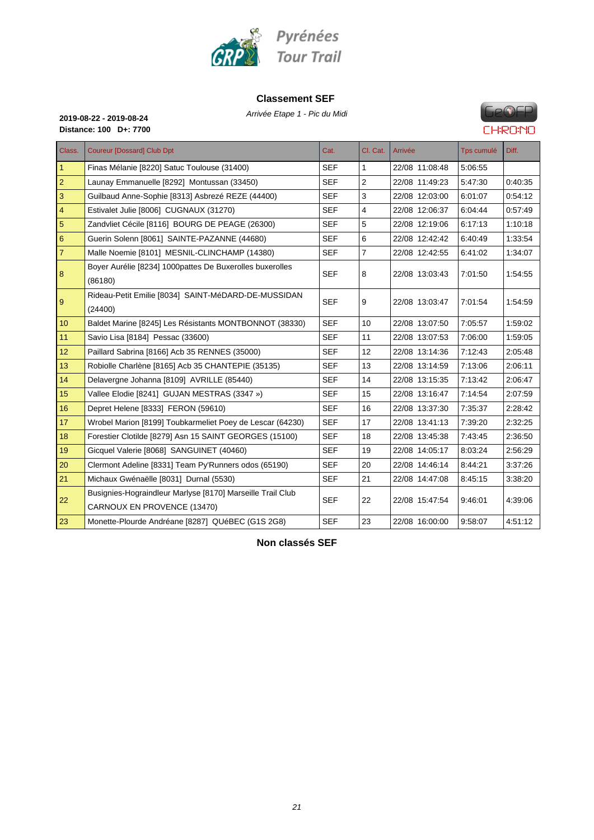

#### **Classement SEF**

Arrivée Etape 1 - Pic du Midi **2019-08-22 - 2019-08-24**



## **GPOFP CHRONO**

**Distance: 100 D+: 7700**

| Class.         | <b>Coureur [Dossard] Club Dpt</b>                                                         | Cat.       | Cl. Cat.       | Arrivée        | Tps cumulé | Diff.   |
|----------------|-------------------------------------------------------------------------------------------|------------|----------------|----------------|------------|---------|
| $\mathbf{1}$   | Finas Mélanie [8220] Satuc Toulouse (31400)                                               | <b>SEF</b> | 1              | 22/08 11:08:48 | 5:06:55    |         |
| $\overline{2}$ | Launay Emmanuelle [8292] Montussan (33450)                                                | <b>SEF</b> | $\overline{2}$ | 22/08 11:49:23 | 5:47:30    | 0:40:35 |
| 3              | Guilbaud Anne-Sophie [8313] Asbrezé REZE (44400)                                          | <b>SEF</b> | 3              | 22/08 12:03:00 | 6:01:07    | 0:54:12 |
| $\overline{4}$ | Estivalet Julie [8006] CUGNAUX (31270)                                                    | <b>SEF</b> | 4              | 22/08 12:06:37 | 6:04:44    | 0:57:49 |
| 5              | Zandvliet Cécile [8116] BOURG DE PEAGE (26300)                                            | <b>SEF</b> | 5              | 22/08 12:19:06 | 6:17:13    | 1:10:18 |
| 6              | Guerin Solenn [8061] SAINTE-PAZANNE (44680)                                               | <b>SEF</b> | 6              | 22/08 12:42:42 | 6:40:49    | 1:33:54 |
| $\overline{7}$ | Malle Noemie [8101] MESNIL-CLINCHAMP (14380)                                              | <b>SEF</b> | $\overline{7}$ | 22/08 12:42:55 | 6:41:02    | 1:34:07 |
| 8              | Boyer Aurélie [8234] 1000pattes De Buxerolles buxerolles<br>(86180)                       | <b>SEF</b> | 8              | 22/08 13:03:43 | 7:01:50    | 1:54:55 |
| 9              | Rideau-Petit Emilie [8034] SAINT-MéDARD-DE-MUSSIDAN<br>(24400)                            | <b>SEF</b> | 9              | 22/08 13:03:47 | 7:01:54    | 1:54:59 |
| 10             | Baldet Marine [8245] Les Résistants MONTBONNOT (38330)                                    | <b>SEF</b> | 10             | 22/08 13:07:50 | 7:05:57    | 1:59:02 |
| 11             | Savio Lisa [8184] Pessac (33600)                                                          | <b>SEF</b> | 11             | 22/08 13:07:53 | 7:06:00    | 1:59:05 |
| 12             | Paillard Sabrina [8166] Acb 35 RENNES (35000)                                             | <b>SEF</b> | 12             | 22/08 13:14:36 | 7:12:43    | 2:05:48 |
| 13             | Robiolle Charlène [8165] Acb 35 CHANTEPIE (35135)                                         | <b>SEF</b> | 13             | 22/08 13:14:59 | 7:13:06    | 2:06:11 |
| 14             | Delavergne Johanna [8109] AVRILLE (85440)                                                 | <b>SEF</b> | 14             | 22/08 13:15:35 | 7:13:42    | 2:06:47 |
| 15             | Vallee Elodie [8241] GUJAN MESTRAS (3347 »)                                               | <b>SEF</b> | 15             | 22/08 13:16:47 | 7:14:54    | 2:07:59 |
| 16             | Depret Helene [8333] FERON (59610)                                                        | <b>SEF</b> | 16             | 22/08 13:37:30 | 7:35:37    | 2:28:42 |
| 17             | Wrobel Marion [8199] Toubkarmeliet Poey de Lescar (64230)                                 | <b>SEF</b> | 17             | 22/08 13:41:13 | 7:39:20    | 2:32:25 |
| 18             | Forestier Clotilde [8279] Asn 15 SAINT GEORGES (15100)                                    | <b>SEF</b> | 18             | 22/08 13:45:38 | 7:43:45    | 2:36:50 |
| 19             | Gicquel Valerie [8068] SANGUINET (40460)                                                  | <b>SEF</b> | 19             | 22/08 14:05:17 | 8:03:24    | 2:56:29 |
| 20             | Clermont Adeline [8331] Team Py'Runners odos (65190)                                      | <b>SEF</b> | 20             | 22/08 14:46:14 | 8:44:21    | 3:37:26 |
| 21             | Michaux Gwénaëlle [8031] Durnal (5530)                                                    | <b>SEF</b> | 21             | 22/08 14:47:08 | 8:45:15    | 3:38:20 |
| 22             | Busignies-Hograindleur Marlyse [8170] Marseille Trail Club<br>CARNOUX EN PROVENCE (13470) | <b>SEF</b> | 22             | 22/08 15:47:54 | 9:46:01    | 4:39:06 |
| 23             | Monette-Plourde Andréane [8287] QUéBEC (G1S 2G8)                                          | <b>SEF</b> | 23             | 22/08 16:00:00 | 9:58:07    | 4.51.12 |

**Non classés SEF**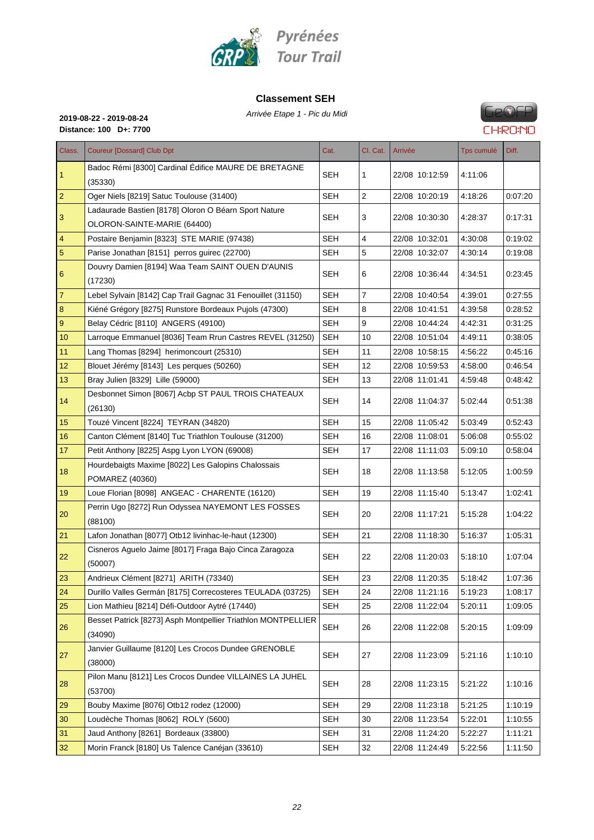

#### **Classement SEH**

Arrivée Etape 1 - Pic du Midi **2019-08-22 - 2019-08-24**



**Distance: 100 D+: 7700**

| Class.         | <b>Coureur [Dossard] Club Dpt</b>                                                   | Cat.       | Cl. Cat.       | Arrivée        | Tps cumulé | Diff.   |
|----------------|-------------------------------------------------------------------------------------|------------|----------------|----------------|------------|---------|
| 1              | Badoc Rémi [8300] Cardinal Édifice MAURE DE BRETAGNE<br>(35330)                     | SEH        | 1              | 22/08 10:12:59 | 4:11:06    |         |
| $\overline{2}$ | Oger Niels [8219] Satuc Toulouse (31400)                                            | <b>SEH</b> | 2              | 22/08 10:20:19 | 4:18:26    | 0.07:20 |
| 3              | Ladaurade Bastien [8178] Oloron O Béarn Sport Nature<br>OLORON-SAINTE-MARIE (64400) | SEH        | 3              | 22/08 10:30:30 | 4:28:37    | 0:17:31 |
| $\overline{4}$ | Postaire Benjamin [8323] STE MARIE (97438)                                          | <b>SEH</b> | 4              | 22/08 10:32:01 | 4:30:08    | 0.19:02 |
| $\overline{5}$ | Parise Jonathan [8151] perros guirec (22700)                                        | SEH        | 5              | 22/08 10:32:07 | 4:30:14    | 0:19:08 |
| 6              | Douvry Damien [8194] Waa Team SAINT OUEN D'AUNIS<br>(17230)                         | SEH        | 6              | 22/08 10:36:44 | 4:34:51    | 0:23:45 |
| 7              | Lebel Sylvain [8142] Cap Trail Gagnac 31 Fenouillet (31150)                         | <b>SEH</b> | $\overline{7}$ | 22/08 10:40:54 | 4:39:01    | 0:27:55 |
| $\bf8$         | Kiéné Grégory [8275] Runstore Bordeaux Pujols (47300)                               | <b>SEH</b> | 8              | 22/08 10:41:51 | 4:39:58    | 0:28:52 |
| $9\,$          | Belay Cédric [8110] ANGERS (49100)                                                  | <b>SEH</b> | 9              | 22/08 10:44:24 | 4:42:31    | 0:31:25 |
| 10             | Larroque Emmanuel [8036] Team Rrun Castres REVEL (31250)                            | <b>SEH</b> | 10             | 22/08 10:51:04 | 4:49:11    | 0.38:05 |
| 11             | Lang Thomas [8294] herimoncourt (25310)                                             | SEH        | 11             | 22/08 10:58:15 | 4:56:22    | 0.45:16 |
| 12             | Blouet Jérémy [8143] Les perques (50260)                                            | <b>SEH</b> | 12             | 22/08 10:59:53 | 4:58:00    | 0:46:54 |
| 13             | Bray Julien [8329] Lille (59000)                                                    | <b>SEH</b> | 13             | 22/08 11:01:41 | 4:59:48    | 0:48:42 |
| 14             | Desbonnet Simon [8067] Acbp ST PAUL TROIS CHATEAUX<br>(26130)                       | <b>SEH</b> | 14             | 22/08 11:04:37 | 5:02:44    | 0:51:38 |
| 15             | Touzé Vincent [8224] TEYRAN (34820)                                                 | <b>SEH</b> | 15             | 22/08 11:05:42 | 5:03:49    | 0:52:43 |
| 16             | Canton Clément [8140] Tuc Triathlon Toulouse (31200)                                | <b>SEH</b> | 16             | 22/08 11:08:01 | 5:06:08    | 0.55:02 |
| 17             | Petit Anthony [8225] Aspg Lyon LYON (69008)                                         | SEH        | 17             | 22/08 11:11:03 | 5.09.10    | 0.58:04 |
| 18             | Hourdebaigts Maxime [8022] Les Galopins Chalossais<br>POMAREZ (40360)               | <b>SEH</b> | 18             | 22/08 11:13:58 | 5:12:05    | 1:00:59 |
| 19             | Loue Florian [8098] ANGEAC - CHARENTE (16120)                                       | <b>SEH</b> | 19             | 22/08 11:15:40 | 5:13:47    | 1:02:41 |
| 20             | Perrin Ugo [8272] Run Odyssea NAYEMONT LES FOSSES<br>(88100)                        | SEH        | 20             | 22/08 11:17:21 | 5:15:28    | 1:04:22 |
| 21             | Lafon Jonathan [8077] Otb12 livinhac-le-haut (12300)                                | SEH        | 21             | 22/08 11:18:30 | 5:16:37    | 1:05:31 |
| 22             | Cisneros Aguelo Jaime [8017] Fraga Bajo Cinca Zaragoza<br>(50007)                   | SEH        | 22             | 22/08 11:20:03 | 5:18:10    | 1:07:04 |
| 23             | Andrieux Clément [8271] ARITH (73340)                                               | <b>SEH</b> | 23             | 22/08 11:20:35 | 5:18:42    | 1:07:36 |
| 24             | Durillo Valles Germán [8175] Correcosteres TEULADA (03725)                          | <b>SEH</b> | 24             | 22/08 11:21:16 | 5:19:23    | 1:08:17 |
| 25             | Lion Mathieu [8214] Défi-Outdoor Aytré (17440)                                      | <b>SEH</b> | 25             | 22/08 11:22:04 | 5:20:11    | 1:09:05 |
| 26             | Besset Patrick [8273] Asph Montpellier Triathlon MONTPELLIER<br>(34090)             | <b>SEH</b> | 26             | 22/08 11:22:08 | 5.20:15    | 1:09:09 |
| 27             | Janvier Guillaume [8120] Les Crocos Dundee GRENOBLE<br>(38000)                      | <b>SEH</b> | 27             | 22/08 11:23:09 | 5.21:16    | 1:10:10 |
| 28             | Pilon Manu [8121] Les Crocos Dundee VILLAINES LA JUHEL<br>(53700)                   | <b>SEH</b> | 28             | 22/08 11:23:15 | 5:21:22    | 1:10:16 |
| 29             | Bouby Maxime [8076] Otb12 rodez (12000)                                             | <b>SEH</b> | 29             | 22/08 11:23:18 | 5:21:25    | 1:10:19 |
| 30             | Loudèche Thomas [8062] ROLY (5600)                                                  | <b>SEH</b> | 30             | 22/08 11:23:54 | 5:22:01    | 1:10:55 |
| 31             | Jaud Anthony [8261] Bordeaux (33800)                                                | <b>SEH</b> | 31             | 22/08 11:24:20 | 5:22:27    | 1:11:21 |
| 32             | Morin Franck [8180] Us Talence Canéjan (33610)                                      | <b>SEH</b> | 32             | 22/08 11:24:49 | 5:22:56    | 1:11:50 |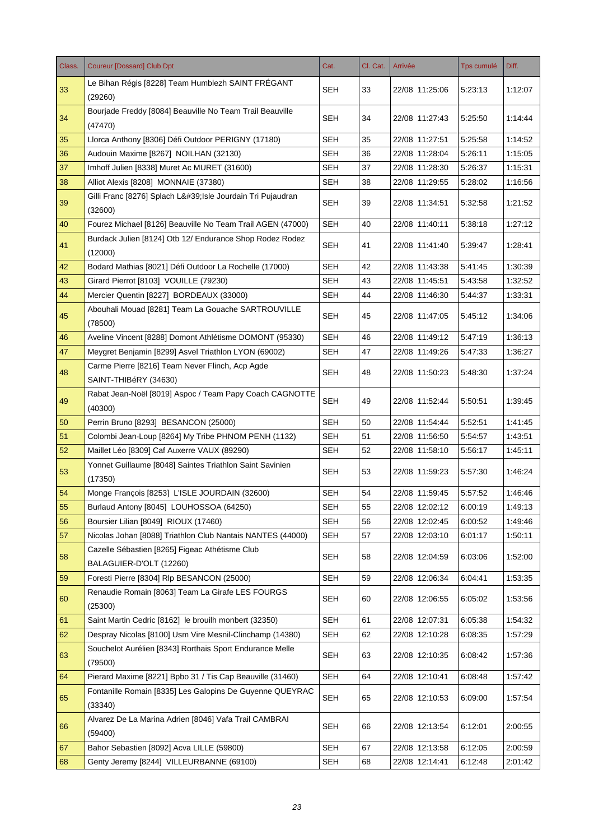| Class. | <b>Coureur [Dossard] Club Dpt</b>                                                                       | Cat.       | Cl. Cat. | Arrivée        | <b>Tps cumulé</b> | Diff.   |
|--------|---------------------------------------------------------------------------------------------------------|------------|----------|----------------|-------------------|---------|
| 33     | Le Bihan Régis [8228] Team Humblezh SAINT FRÉGANT                                                       | <b>SEH</b> | 33       | 22/08 11:25:06 | 5:23:13           | 1:12:07 |
|        | (29260)                                                                                                 |            |          |                |                   |         |
| 34     | Bourjade Freddy [8084] Beauville No Team Trail Beauville<br>(47470)                                     | SEH        | 34       | 22/08 11:27:43 | 5:25:50           | 1:14:44 |
| 35     | Llorca Anthony [8306] Défi Outdoor PERIGNY (17180)                                                      | <b>SEH</b> | 35       | 22/08 11:27:51 | 5:25:58           | 1:14:52 |
| 36     | Audouin Maxime [8267] NOILHAN (32130)                                                                   | SEH        | 36       | 22/08 11:28:04 | 5:26:11           | 1:15:05 |
| 37     | Imhoff Julien [8338] Muret Ac MURET (31600)                                                             | <b>SEH</b> | 37       | 22/08 11:28:30 | 5:26:37           | 1:15:31 |
| 38     | Alliot Alexis [8208] MONNAIE (37380)                                                                    | SEH        | 38       | 22/08 11:29:55 | 5:28:02           | 1:16:56 |
| 39     | Gilli Franc [8276] Splach L' Isle Jourdain Tri Pujaudran<br>(32600)                                     | SEH        | 39       | 22/08 11:34:51 | 5:32:58           | 1:21:52 |
| 40     | Fourez Michael [8126] Beauville No Team Trail AGEN (47000)                                              | <b>SEH</b> | 40       | 22/08 11:40:11 | 5:38:18           | 1:27:12 |
|        | Burdack Julien [8124] Otb 12/ Endurance Shop Rodez Rodez                                                |            |          |                |                   |         |
| 41     | (12000)                                                                                                 | <b>SEH</b> | 41       | 22/08 11:41:40 | 5:39:47           | 1:28:41 |
| 42     | Bodard Mathias [8021] Défi Outdoor La Rochelle (17000)                                                  | <b>SEH</b> | 42       | 22/08 11:43:38 | 5:41:45           | 1:30:39 |
| 43     | Girard Pierrot [8103] VOUILLE (79230)                                                                   | <b>SEH</b> | 43       | 22/08 11:45:51 | 5:43:58           | 1:32:52 |
| 44     | Mercier Quentin [8227] BORDEAUX (33000)                                                                 | <b>SEH</b> | 44       | 22/08 11:46:30 | 5:44:37           | 1:33:31 |
| 45     | Abouhali Mouad [8281] Team La Gouache SARTROUVILLE                                                      | <b>SEH</b> | 45       | 22/08 11:47:05 | 5:45:12           | 1:34:06 |
| 46     | (78500)<br>Aveline Vincent [8288] Domont Athlétisme DOMONT (95330)                                      | <b>SEH</b> | 46       | 22/08 11:49:12 | 5:47:19           | 1:36:13 |
| 47     |                                                                                                         | <b>SEH</b> | 47       | 22/08 11:49:26 | 5.47.33           | 1:36:27 |
|        | Meygret Benjamin [8299] Asvel Triathlon LYON (69002)<br>Carme Pierre [8216] Team Never Flinch, Acp Agde |            |          |                |                   |         |
| 48     | SAINT-THIBéRY (34630)                                                                                   | SEH        | 48       | 22/08 11:50:23 | 5:48:30           | 1:37:24 |
| 49     | Rabat Jean-Noël [8019] Aspoc / Team Papy Coach CAGNOTTE                                                 | <b>SEH</b> | 49       | 22/08 11:52:44 | 5:50:51           | 1:39:45 |
|        | (40300)                                                                                                 |            |          |                |                   |         |
| 50     | Perrin Bruno [8293] BESANCON (25000)                                                                    | <b>SEH</b> | 50       | 22/08 11:54:44 | 5:52:51           | 1:41:45 |
| 51     | Colombi Jean-Loup [8264] My Tribe PHNOM PENH (1132)                                                     | <b>SEH</b> | 51       | 22/08 11:56:50 | 5:54:57           | 1:43:51 |
| 52     | Maillet Léo [8309] Caf Auxerre VAUX (89290)                                                             | <b>SEH</b> | 52       | 22/08 11:58:10 | 5:56:17           | 1:45:11 |
| 53     | Yonnet Guillaume [8048] Saintes Triathlon Saint Savinien                                                | <b>SEH</b> | 53       | 22/08 11:59:23 | 5:57:30           | 1:46:24 |
|        | (17350)                                                                                                 |            |          |                |                   |         |
| 54     | Monge François [8253] L'ISLE JOURDAIN (32600)                                                           | SEH        | 54       | 22/08 11:59:45 | 5:57:52           | 1:46:46 |
| 55     | Burlaud Antony [8045] LOUHOSSOA (64250)                                                                 | <b>SEH</b> | 55       | 22/08 12:02:12 | 6:00:19           | 1:49:13 |
| 56     | Boursier Lilian [8049] RIOUX (17460)                                                                    | <b>SEH</b> | 56       | 22/08 12:02:45 | 6:00:52           | 1:49:46 |
| 57     | Nicolas Johan [8088] Triathlon Club Nantais NANTES (44000)                                              | <b>SEH</b> | 57       | 22/08 12:03:10 | 6:01:17           | 1:50:11 |
| 58     | Cazelle Sébastien [8265] Figeac Athétisme Club<br>BALAGUIER-D'OLT (12260)                               | <b>SEH</b> | 58       | 22/08 12:04:59 | 6:03:06           | 1:52:00 |
| 59     | Foresti Pierre [8304] Rlp BESANCON (25000)                                                              | <b>SEH</b> | 59       | 22/08 12:06:34 | 6:04:41           | 1:53:35 |
| 60     | Renaudie Romain [8063] Team La Girafe LES FOURGS                                                        | <b>SEH</b> | 60       | 22/08 12:06:55 | 6:05:02           | 1:53:56 |
|        | (25300)                                                                                                 |            |          |                |                   |         |
| 61     | Saint Martin Cedric [8162] le brouilh monbert (32350)                                                   | <b>SEH</b> | 61       | 22/08 12:07:31 | 6:05:38           | 1:54:32 |
| 62     | Despray Nicolas [8100] Usm Vire Mesnil-Clinchamp (14380)                                                | <b>SEH</b> | 62       | 22/08 12:10:28 | 6:08:35           | 1:57:29 |
| 63     | Souchelot Aurélien [8343] Rorthais Sport Endurance Melle<br>(79500)                                     | <b>SEH</b> | 63       | 22/08 12:10:35 | 6:08:42           | 1:57:36 |
| 64     | Pierard Maxime [8221] Bpbo 31 / Tis Cap Beauville (31460)                                               | <b>SEH</b> | 64       | 22/08 12:10:41 | 6:08:48           | 1:57:42 |
|        | Fontanille Romain [8335] Les Galopins De Guyenne QUEYRAC                                                |            |          |                |                   |         |
| 65     | (33340)                                                                                                 | <b>SEH</b> | 65       | 22/08 12:10:53 | 6:09:00           | 1:57:54 |
|        | Alvarez De La Marina Adrien [8046] Vafa Trail CAMBRAI                                                   | <b>SEH</b> | 66       | 22/08 12:13:54 | 6:12:01           | 2:00:55 |
| 66     | (59400)                                                                                                 |            |          |                |                   |         |
| 67     | Bahor Sebastien [8092] Acva LILLE (59800)                                                               | <b>SEH</b> | 67       | 22/08 12:13:58 | 6:12:05           | 2:00:59 |
| 68     | Genty Jeremy [8244] VILLEURBANNE (69100)                                                                | <b>SEH</b> | 68       | 22/08 12:14:41 | 6:12:48           | 2:01:42 |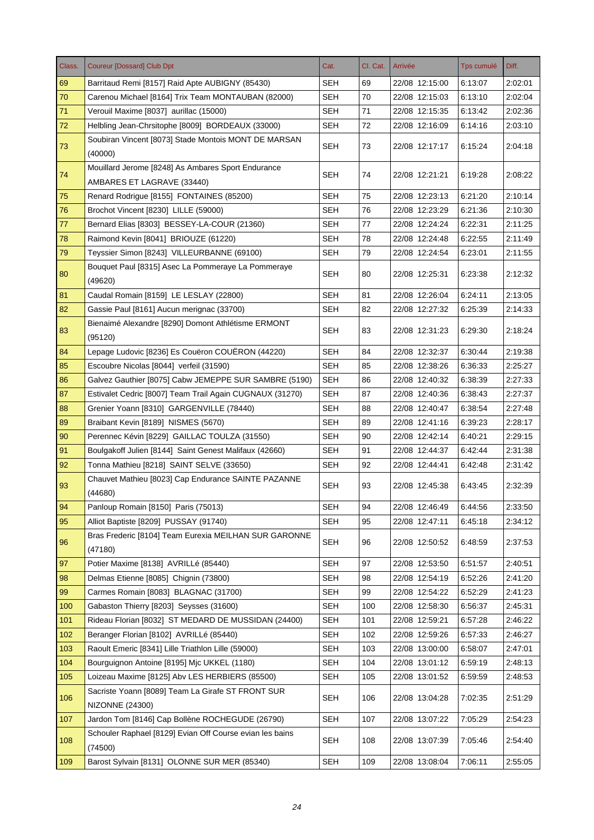| Class. | <b>Coureur [Dossard] Club Dpt</b>                                   | Cat.       | Cl. Cat. | Arrivée        | <b>Tps cumulé</b> | Diff.   |
|--------|---------------------------------------------------------------------|------------|----------|----------------|-------------------|---------|
| 69     | Barritaud Remi [8157] Raid Apte AUBIGNY (85430)                     | SEH        | 69       | 22/08 12:15:00 | 6:13:07           | 2:02:01 |
| 70     | Carenou Michael [8164] Trix Team MONTAUBAN (82000)                  | <b>SEH</b> | 70       | 22/08 12:15:03 | 6:13:10           | 2:02:04 |
| 71     | Verouil Maxime [8037] aurillac (15000)                              | <b>SEH</b> | 71       | 22/08 12:15:35 | 6:13:42           | 2:02:36 |
| 72     | Helbling Jean-Chrsitophe [8009] BORDEAUX (33000)                    | <b>SEH</b> | 72       | 22/08 12:16:09 | 6:14:16           | 2:03:10 |
| 73     | Soubiran Vincent [8073] Stade Montois MONT DE MARSAN<br>(40000)     | SEH        | 73       | 22/08 12:17:17 | 6:15:24           | 2:04:18 |
|        | Mouillard Jerome [8248] As Ambares Sport Endurance                  |            |          |                |                   |         |
| 74     | AMBARES ET LAGRAVE (33440)                                          | <b>SEH</b> | 74       | 22/08 12:21:21 | 6:19:28           | 2:08:22 |
| 75     | Renard Rodrigue [8155] FONTAINES (85200)                            | <b>SEH</b> | 75       | 22/08 12:23:13 | 6:21:20           | 2:10:14 |
| 76     | Brochot Vincent [8230] LILLE (59000)                                | <b>SEH</b> | 76       | 22/08 12:23:29 | 6:21:36           | 2:10:30 |
| 77     | Bernard Elias [8303] BESSEY-LA-COUR (21360)                         | SEH        | 77       | 22/08 12:24:24 | 6:22:31           | 2:11:25 |
| 78     | Raimond Kevin [8041] BRIOUZE (61220)                                | <b>SEH</b> | 78       | 22/08 12:24:48 | 6:22:55           | 2:11:49 |
| 79     | Teyssier Simon [8243] VILLEURBANNE (69100)                          | SEH        | 79       | 22/08 12:24:54 | 6:23:01           | 2:11:55 |
| 80     | Bouquet Paul [8315] Asec La Pommeraye La Pommeraye<br>(49620)       | SEH        | 80       | 22/08 12:25:31 | 6:23:38           | 2:12:32 |
| 81     | Caudal Romain [8159] LE LESLAY (22800)                              | <b>SEH</b> | 81       | 22/08 12:26:04 | 6:24:11           | 2:13:05 |
| 82     | Gassie Paul [8161] Aucun merignac (33700)                           | <b>SEH</b> | 82       | 22/08 12:27:32 | 6:25:39           | 2:14:33 |
| 83     | Bienaimé Alexandre [8290] Domont Athlétisme ERMONT<br>(95120)       | <b>SEH</b> | 83       | 22/08 12:31:23 | 6:29:30           | 2:18:24 |
| 84     | Lepage Ludovic [8236] Es Couëron COUËRON (44220)                    | <b>SEH</b> | 84       | 22/08 12:32:37 | 6:30:44           | 2:19:38 |
| 85     | Escoubre Nicolas [8044] verfeil (31590)                             | <b>SEH</b> | 85       | 22/08 12:38:26 | 6:36:33           | 2:25:27 |
| 86     | Galvez Gauthier [8075] Cabw JEMEPPE SUR SAMBRE (5190)               | <b>SEH</b> | 86       | 22/08 12:40:32 | 6:38:39           | 2:27:33 |
| 87     | Estivalet Cedric [8007] Team Trail Again CUGNAUX (31270)            | <b>SEH</b> | 87       | 22/08 12:40:36 | 6:38:43           | 2:27:37 |
| 88     | Grenier Yoann [8310] GARGENVILLE (78440)                            | <b>SEH</b> | 88       | 22/08 12:40:47 | 6:38:54           | 2:27:48 |
| 89     | Braibant Kevin [8189] NISMES (5670)                                 | <b>SEH</b> | 89       | 22/08 12:41:16 | 6:39:23           | 2:28:17 |
| 90     | Perennec Kévin [8229] GAILLAC TOULZA (31550)                        | <b>SEH</b> | 90       | 22/08 12:42:14 | 6:40:21           | 2:29:15 |
| 91     | Boulgakoff Julien [8144] Saint Genest Malifaux (42660)              | SEH        | 91       | 22/08 12:44:37 | 6:42:44           | 2:31:38 |
| 92     | Tonna Mathieu [8218] SAINT SELVE (33650)                            | <b>SEH</b> | 92       | 22/08 12:44:41 | 6:42:48           | 2:31:42 |
| 93     | Chauvet Mathieu [8023] Cap Endurance SAINTE PAZANNE<br>(44680)      | <b>SEH</b> | 93       | 22/08 12:45:38 | 6:43:45           | 2:32:39 |
| 94     | Panloup Romain [8150] Paris (75013)                                 | <b>SEH</b> | 94       | 22/08 12:46:49 | 6:44:56           | 2:33:50 |
| 95     | Alliot Baptiste [8209] PUSSAY (91740)                               | <b>SEH</b> | 95       | 22/08 12:47:11 | 6:45:18           | 2:34:12 |
| 96     | Bras Frederic [8104] Team Eurexia MEILHAN SUR GARONNE<br>(47180)    | <b>SEH</b> | 96       | 22/08 12:50:52 | 6:48:59           | 2:37:53 |
| 97     | Potier Maxime [8138] AVRILLé (85440)                                | <b>SEH</b> | 97       | 22/08 12:53:50 | 6:51:57           | 2:40:51 |
| 98     | Delmas Etienne [8085] Chignin (73800)                               | <b>SEH</b> | 98       | 22/08 12:54:19 | 6:52:26           | 2:41:20 |
| 99     | Carmes Romain [8083] BLAGNAC (31700)                                | <b>SEH</b> | 99       | 22/08 12:54:22 | 6.52.29           | 2:41:23 |
| 100    | Gabaston Thierry [8203] Seysses (31600)                             | <b>SEH</b> | 100      | 22/08 12:58:30 | 6:56:37           | 2:45:31 |
| 101    | Rideau Florian [8032] ST MEDARD DE MUSSIDAN (24400)                 | <b>SEH</b> | 101      | 22/08 12:59:21 | 6:57:28           | 2:46:22 |
| 102    | Beranger Florian [8102] AVRILLé (85440)                             | <b>SEH</b> | 102      | 22/08 12:59:26 | 6:57:33           | 2:46:27 |
| 103    | Raoult Emeric [8341] Lille Triathlon Lille (59000)                  | <b>SEH</b> | 103      | 22/08 13:00:00 | 6:58:07           | 2:47:01 |
| 104    | Bourguignon Antoine [8195] Mjc UKKEL (1180)                         | <b>SEH</b> | 104      | 22/08 13:01:12 | 6:59:19           | 2:48:13 |
| 105    | Loizeau Maxime [8125] Abv LES HERBIERS (85500)                      | <b>SEH</b> | 105      | 22/08 13:01:52 | 6:59:59           | 2:48:53 |
|        | Sacriste Yoann [8089] Team La Girafe ST FRONT SUR                   |            |          |                |                   |         |
| 106    | <b>NIZONNE (24300)</b>                                              | <b>SEH</b> | 106      | 22/08 13:04:28 | 7:02:35           | 2:51:29 |
| 107    | Jardon Tom [8146] Cap Bollène ROCHEGUDE (26790)                     | <b>SEH</b> | 107      | 22/08 13:07:22 | 7:05:29           | 2:54:23 |
| 108    | Schouler Raphael [8129] Evian Off Course evian les bains<br>(74500) | <b>SEH</b> | 108      | 22/08 13:07:39 | 7:05:46           | 2:54:40 |
| 109    | Barost Sylvain [8131] OLONNE SUR MER (85340)                        | <b>SEH</b> | 109      | 22/08 13:08:04 | 7:06:11           | 2:55:05 |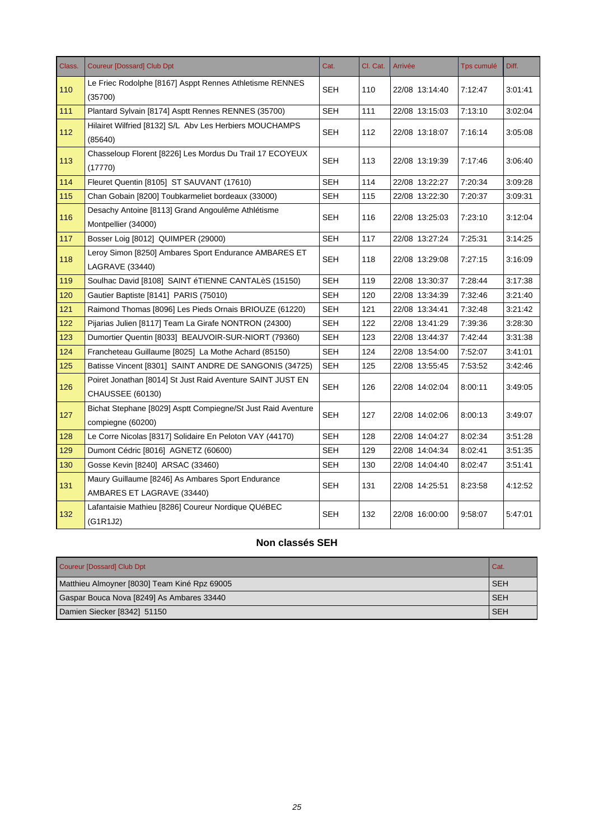| Class. | <b>Coureur [Dossard] Club Dpt</b>                                                     | Cat.       | Cl. Cat. | Arrivée        | Tps cumulé | Diff.   |
|--------|---------------------------------------------------------------------------------------|------------|----------|----------------|------------|---------|
| 110    | Le Friec Rodolphe [8167] Asppt Rennes Athletisme RENNES<br>(35700)                    | <b>SEH</b> | 110      | 22/08 13:14:40 | 7:12:47    | 3:01:41 |
| 111    | Plantard Sylvain [8174] Asptt Rennes RENNES (35700)                                   | <b>SEH</b> | 111      | 22/08 13:15:03 | 7:13:10    | 3:02:04 |
| 112    | Hilairet Wilfried [8132] S/L Abv Les Herbiers MOUCHAMPS<br>(85640)                    | <b>SEH</b> | 112      | 22/08 13:18:07 | 7:16:14    | 3:05:08 |
| 113    | Chasseloup Florent [8226] Les Mordus Du Trail 17 ECOYEUX<br>(17770)                   | <b>SEH</b> | 113      | 22/08 13:19:39 | 7:17:46    | 3:06:40 |
| 114    | Fleuret Quentin [8105] ST SAUVANT (17610)                                             | <b>SEH</b> | 114      | 22/08 13:22:27 | 7:20:34    | 3:09:28 |
| 115    | Chan Gobain [8200] Toubkarmeliet bordeaux (33000)                                     | <b>SEH</b> | 115      | 22/08 13:22:30 | 7:20:37    | 3:09:31 |
| 116    | Desachy Antoine [8113] Grand Angoulême Athlétisme<br>Montpellier (34000)              | SEH        | 116      | 22/08 13:25:03 | 7:23:10    | 3:12:04 |
| 117    | Bosser Loig [8012] QUIMPER (29000)                                                    | <b>SEH</b> | 117      | 22/08 13:27:24 | 7:25:31    | 3:14:25 |
| 118    | Leroy Simon [8250] Ambares Sport Endurance AMBARES ET<br><b>LAGRAVE (33440)</b>       | <b>SEH</b> | 118      | 22/08 13:29:08 | 7:27:15    | 3:16:09 |
| 119    | Soulhac David [8108] SAINT éTIENNE CANTALèS (15150)                                   | <b>SEH</b> | 119      | 22/08 13:30:37 | 7:28:44    | 3:17:38 |
| 120    | Gautier Baptiste [8141] PARIS (75010)                                                 | <b>SEH</b> | 120      | 22/08 13:34:39 | 7:32:46    | 3:21:40 |
| 121    | Raimond Thomas [8096] Les Pieds Ornais BRIOUZE (61220)                                | SEH        | 121      | 22/08 13:34:41 | 7:32:48    | 3:21:42 |
| 122    | Pijarias Julien [8117] Team La Girafe NONTRON (24300)                                 | <b>SEH</b> | 122      | 22/08 13:41:29 | 7:39:36    | 3:28:30 |
| 123    | Dumortier Quentin [8033] BEAUVOIR-SUR-NIORT (79360)                                   | SEH        | 123      | 22/08 13:44:37 | 7:42:44    | 3:31:38 |
| 124    | Francheteau Guillaume [8025] La Mothe Achard (85150)                                  | <b>SEH</b> | 124      | 22/08 13:54:00 | 7:52:07    | 3:41:01 |
| 125    | Batisse Vincent [8301] SAINT ANDRE DE SANGONIS (34725)                                | <b>SEH</b> | 125      | 22/08 13:55:45 | 7:53:52    | 3:42:46 |
| 126    | Poiret Jonathan [8014] St Just Raid Aventure SAINT JUST EN<br><b>CHAUSSEE (60130)</b> | <b>SEH</b> | 126      | 22/08 14:02:04 | 8:00:11    | 3:49:05 |
| 127    | Bichat Stephane [8029] Asptt Compiegne/St Just Raid Aventure<br>compiegne (60200)     | <b>SEH</b> | 127      | 22/08 14:02:06 | 8:00:13    | 3:49:07 |
| 128    | Le Corre Nicolas [8317] Solidaire En Peloton VAY (44170)                              | <b>SEH</b> | 128      | 22/08 14:04:27 | 8:02:34    | 3:51:28 |
| 129    | Dumont Cédric [8016] AGNETZ (60600)                                                   | <b>SEH</b> | 129      | 22/08 14:04:34 | 8:02:41    | 3:51:35 |
| 130    | Gosse Kevin [8240] ARSAC (33460)                                                      | <b>SEH</b> | 130      | 22/08 14:04:40 | 8:02:47    | 3:51:41 |
| 131    | Maury Guillaume [8246] As Ambares Sport Endurance<br>AMBARES ET LAGRAVE (33440)       | <b>SEH</b> | 131      | 22/08 14:25:51 | 8:23:58    | 4:12:52 |
| 132    | Lafantaisie Mathieu [8286] Coureur Nordique QUéBEC<br>(G1R1J2)                        | <b>SEH</b> | 132      | 22/08 16:00:00 | 9:58:07    | 5:47:01 |

### **Non classés SEH**

| Coureur [Dossard] Club Dpt                   | Cat.       |
|----------------------------------------------|------------|
| Matthieu Almoyner [8030] Team Kiné Rpz 69005 | <b>SEH</b> |
| Gaspar Bouca Nova [8249] As Ambares 33440    | <b>SEH</b> |
| Damien Siecker [8342] 51150                  | <b>SEH</b> |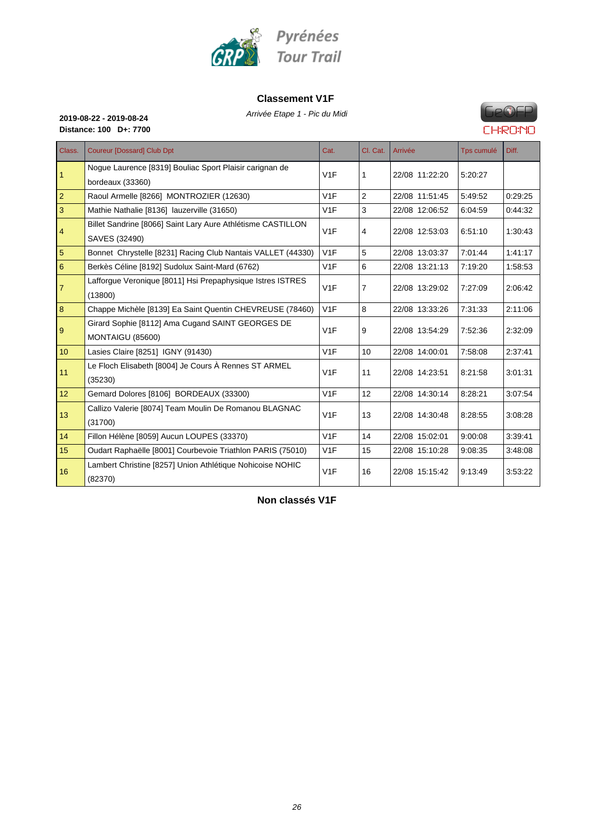

#### **Classement V1F**

Arrivée Etape 1 - Pic du Midi **2019-08-22 - 2019-08-24**



**Distance: 100 D+: 7700**

| Class.           | <b>Coureur [Dossard] Club Dpt</b>                                            | Cat.             | Cl. Cat.       | Arrivée        | Tps cumulé | Diff.   |
|------------------|------------------------------------------------------------------------------|------------------|----------------|----------------|------------|---------|
| 1                | Nogue Laurence [8319] Bouliac Sport Plaisir carignan de<br>bordeaux (33360)  | V1F              | 1              | 22/08 11:22:20 | 5:20:27    |         |
| $\overline{2}$   | Raoul Armelle [8266] MONTROZIER (12630)                                      | V1F              | 2              | 22/08 11:51:45 | 5:49:52    | 0:29:25 |
| 3                | Mathie Nathalie [8136] lauzerville (31650)                                   | V1F              | 3              | 22/08 12:06:52 | 6:04:59    | 0:44:32 |
| 4                | Billet Sandrine [8066] Saint Lary Aure Athlétisme CASTILLON<br>SAVES (32490) | V1F              | 4              | 22/08 12:53:03 | 6:51:10    | 1:30:43 |
| 5                | Bonnet Chrystelle [8231] Racing Club Nantais VALLET (44330)                  | V1F              | 5              | 22/08 13:03:37 | 7:01:44    | 1:41:17 |
| 6                | Berkès Céline [8192] Sudolux Saint-Mard (6762)                               | V1F              | 6              | 22/08 13:21:13 | 7:19:20    | 1:58:53 |
| $\overline{7}$   | Lafforgue Veronique [8011] Hsi Prepaphysique Istres ISTRES<br>(13800)        | V1F              | $\overline{7}$ | 22/08 13:29:02 | 7:27:09    | 2:06:42 |
| 8                | Chappe Michèle [8139] Ea Saint Quentin CHEVREUSE (78460)                     | V1F              | 8              | 22/08 13:33:26 | 7:31:33    | 2:11:06 |
| 9                | Girard Sophie [8112] Ama Cugand SAINT GEORGES DE<br><b>MONTAIGU (85600)</b>  | V1F              | 9              | 22/08 13:54:29 | 7:52:36    | 2:32:09 |
| 10 <sup>10</sup> | Lasies Claire [8251] IGNY (91430)                                            | V <sub>1</sub> F | 10             | 22/08 14:00:01 | 7:58:08    | 2:37:41 |
| 11               | Le Floch Elisabeth [8004] Je Cours À Rennes ST ARMEL<br>(35230)              | V1F              | 11             | 22/08 14:23:51 | 8:21:58    | 3:01:31 |
| 12 <sup>2</sup>  | Gemard Dolores [8106] BORDEAUX (33300)                                       | V1F              | 12             | 22/08 14:30:14 | 8:28:21    | 3:07:54 |
| 13               | Callizo Valerie [8074] Team Moulin De Romanou BLAGNAC<br>(31700)             | V1F              | 13             | 22/08 14:30:48 | 8:28:55    | 3:08:28 |
| 14               | Fillon Hélène [8059] Aucun LOUPES (33370)                                    | V1F              | 14             | 22/08 15:02:01 | 9:00:08    | 3:39:41 |
| 15               | Oudart Raphaëlle [8001] Courbevoie Triathlon PARIS (75010)                   | V1F              | 15             | 22/08 15:10:28 | 9:08:35    | 3:48:08 |
| 16               | Lambert Christine [8257] Union Athlétique Nohicoise NOHIC<br>(82370)         | V1F              | 16             | 22/08 15:15:42 | 9:13:49    | 3:53:22 |

**Non classés V1F**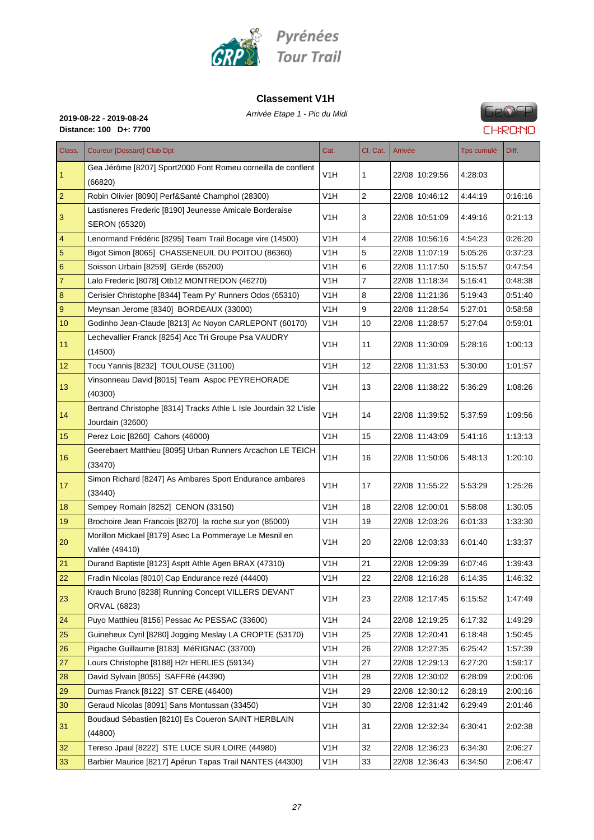

#### **Classement V1H**

Arrivée Etape 1 - Pic du Midi **2019-08-22 - 2019-08-24**



**Distance: 100 D+: 7700**

| Class.         | <b>Coureur [Dossard] Club Dpt</b>                                                     | Cat.             | Cl. Cat.       | Arrivée        | Tps cumulé | Diff.   |
|----------------|---------------------------------------------------------------------------------------|------------------|----------------|----------------|------------|---------|
| 1              | Gea Jérôme [8207] Sport2000 Font Romeu corneilla de conflent<br>(66820)               | V <sub>1</sub> H | 1              | 22/08 10:29:56 | 4:28:03    |         |
| $\overline{2}$ | Robin Olivier [8090] Perf&Santé Champhol (28300)                                      | V <sub>1</sub> H | 2              | 22/08 10:46:12 | 4:44:19    | 0:16:16 |
|                | Lastisneres Frederic [8190] Jeunesse Amicale Borderaise                               |                  |                |                |            |         |
| 3              | SERON (65320)                                                                         | V <sub>1</sub> H | 3              | 22/08 10:51:09 | 4:49:16    | 0.21:13 |
| 4              | Lenormand Frédéric [8295] Team Trail Bocage vire (14500)                              | V1H              | $\overline{4}$ | 22/08 10:56:16 | 4:54:23    | 0.26:20 |
| 5              | Bigot Simon [8065] CHASSENEUIL DU POITOU (86360)                                      | V <sub>1</sub> H | 5              | 22/08 11:07:19 | 5:05:26    | 0.37:23 |
| 6              | Soisson Urbain [8259] GErde (65200)                                                   | V <sub>1</sub> H | 6              | 22/08 11:17:50 | 5.15:57    | 0.47:54 |
| 7              | Lalo Frederic [8078] Otb12 MONTREDON (46270)                                          | V1H              | 7              | 22/08 11:18:34 | 5:16:41    | 0:48:38 |
| 8              | Cerisier Christophe [8344] Team Py' Runners Odos (65310)                              | V <sub>1</sub> H | 8              | 22/08 11:21:36 | 5:19:43    | 0:51:40 |
| 9              | Meynsan Jerome [8340] BORDEAUX (33000)                                                | V1H              | 9              | 22/08 11:28:54 | 5:27:01    | 0:58:58 |
| 10             | Godinho Jean-Claude [8213] Ac Noyon CARLEPONT (60170)                                 | V <sub>1</sub> H | 10             | 22/08 11:28:57 | 5:27:04    | 0:59:01 |
| 11             | Lechevallier Franck [8254] Acc Tri Groupe Psa VAUDRY<br>(14500)                       | V <sub>1</sub> H | 11             | 22/08 11:30:09 | 5:28:16    | 1:00:13 |
| 12             | Tocu Yannis [8232] TOULOUSE (31100)                                                   | V <sub>1</sub> H | 12             | 22/08 11:31:53 | 5:30:00    | 1:01:57 |
| 13             | Vinsonneau David [8015] Team Aspoc PEYREHORADE<br>(40300)                             | V <sub>1</sub> H | 13             | 22/08 11:38:22 | 5:36:29    | 1:08:26 |
| 14             | Bertrand Christophe [8314] Tracks Athle L Isle Jourdain 32 L'isle<br>Jourdain (32600) | V <sub>1</sub> H | 14             | 22/08 11:39:52 | 5.37:59    | 1:09:56 |
| 15             | Perez Loic [8260] Cahors (46000)                                                      | V <sub>1</sub> H | 15             | 22/08 11:43:09 | 5.41.16    | 1:13:13 |
| 16             | Geerebaert Matthieu [8095] Urban Runners Arcachon LE TEICH<br>(33470)                 | V <sub>1</sub> H | 16             | 22/08 11:50:06 | 5:48:13    | 1:20:10 |
| 17             | Simon Richard [8247] As Ambares Sport Endurance ambares<br>(33440)                    | V <sub>1</sub> H | 17             | 22/08 11:55:22 | 5:53:29    | 1:25:26 |
| 18             | Sempey Romain [8252] CENON (33150)                                                    | V <sub>1</sub> H | 18             | 22/08 12:00:01 | 5.58.08    | 1:30:05 |
| 19             | Brochoire Jean Francois [8270] la roche sur yon (85000)                               | V <sub>1</sub> H | 19             | 22/08 12:03:26 | 6:01:33    | 1:33:30 |
| 20             | Morillon Mickael [8179] Asec La Pommeraye Le Mesnil en<br>Vallée (49410)              | V1H              | 20             | 22/08 12:03:33 | 6:01:40    | 1:33:37 |
| 21             | Durand Baptiste [8123] Asptt Athle Agen BRAX (47310)                                  | V <sub>1</sub> H | 21             | 22/08 12:09:39 | 6:07:46    | 1.39.43 |
| 22             | Fradin Nicolas [8010] Cap Endurance rezé (44400)                                      | V <sub>1</sub> H | 22             | 22/08 12:16:28 | 6:14:35    | 1.46.32 |
| 23             | Krauch Bruno [8238] Running Concept VILLERS DEVANT<br>ORVAL (6823)                    | V <sub>1</sub> H | 23             | 22/08 12:17:45 | 6.15.52    | 1:47:49 |
| 24             | Puyo Matthieu [8156] Pessac Ac PESSAC (33600)                                         | V1H              | 24             | 22/08 12:19:25 | 6:17:32    | 1:49:29 |
| 25             | Guineheux Cyril [8280] Jogging Meslay LA CROPTE (53170)                               | V <sub>1</sub> H | 25             | 22/08 12:20:41 | 6:18:48    | 1:50:45 |
| 26             | Pigache Guillaume [8183] MéRIGNAC (33700)                                             | V <sub>1</sub> H | 26             | 22/08 12:27:35 | 6.25.42    | 1.57.39 |
| 27             | Lours Christophe [8188] H2r HERLIES (59134)                                           | V <sub>1</sub> H | 27             | 22/08 12:29:13 | 6.27.20    | 1.59:17 |
| 28             | David Sylvain [8055] SAFFRé (44390)                                                   | V <sub>1</sub> H | 28             | 22/08 12:30:02 | 6:28:09    | 2:00:06 |
| 29             | Dumas Franck [8122] ST CERE (46400)                                                   | V1H              | 29             | 22/08 12:30:12 | 6:28:19    | 2:00:16 |
| 30             | Geraud Nicolas [8091] Sans Montussan (33450)                                          | V <sub>1</sub> H | 30             | 22/08 12:31:42 | 6:29:49    | 2:01:46 |
| 31             | Boudaud Sébastien [8210] Es Coueron SAINT HERBLAIN<br>(44800)                         | V1H              | 31             | 22/08 12:32:34 | 6:30:41    | 2:02:38 |
| 32             | Tereso Jpaul [8222] STE LUCE SUR LOIRE (44980)                                        | V <sub>1</sub> H | 32             | 22/08 12:36:23 | 6:34:30    | 2:06:27 |
| 33             | Barbier Maurice [8217] Apérun Tapas Trail NANTES (44300)                              | V <sub>1</sub> H | 33             | 22/08 12:36:43 | 6.34.50    | 2.06.47 |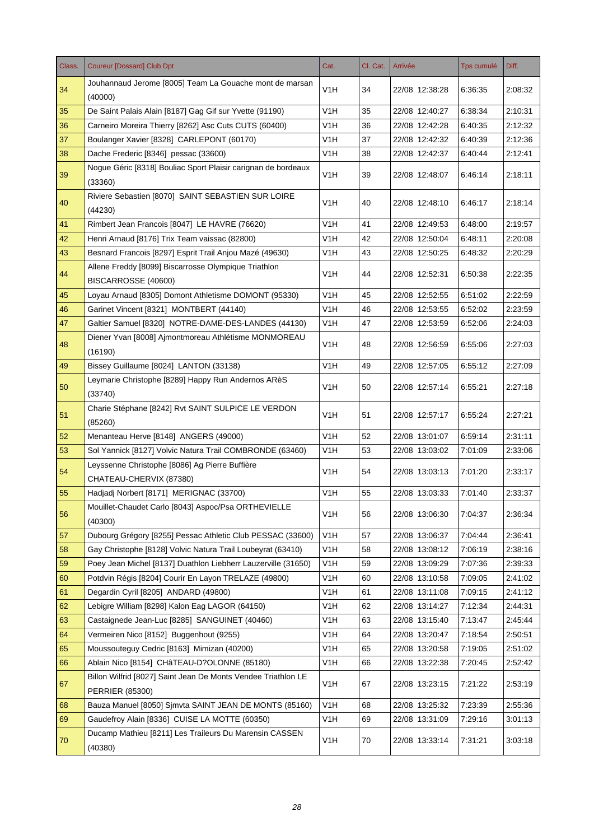| Class. | <b>Coureur [Dossard] Club Dpt</b>                                                       | Cat.             | Cl. Cat. | Arrivée        | <b>Tps cumulé</b> | Diff.   |
|--------|-----------------------------------------------------------------------------------------|------------------|----------|----------------|-------------------|---------|
| 34     | Jouhannaud Jerome [8005] Team La Gouache mont de marsan<br>(40000)                      | V1H              | 34       | 22/08 12:38:28 | 6:36:35           | 2:08:32 |
| 35     | De Saint Palais Alain [8187] Gag Gif sur Yvette (91190)                                 | V1H              | 35       | 22/08 12:40:27 | 6:38:34           | 2:10:31 |
| 36     | Carneiro Moreira Thierry [8262] Asc Cuts CUTS (60400)                                   | V1H              | 36       | 22/08 12:42:28 | 6:40:35           | 2:12:32 |
| 37     | Boulanger Xavier [8328] CARLEPONT (60170)                                               | V <sub>1</sub> H | 37       | 22/08 12:42:32 | 6:40:39           | 2:12:36 |
| 38     | Dache Frederic [8346] pessac (33600)                                                    | V1H              | 38       | 22/08 12:42:37 | 6:40:44           | 2:12:41 |
| 39     | Nogue Géric [8318] Bouliac Sport Plaisir carignan de bordeaux<br>(33360)                | V <sub>1</sub> H | 39       | 22/08 12:48:07 | 6:46:14           | 2:18:11 |
| 40     | Riviere Sebastien [8070] SAINT SEBASTIEN SUR LOIRE<br>(44230)                           | V1H              | 40       | 22/08 12:48:10 | 6:46:17           | 2:18:14 |
| 41     | Rimbert Jean Francois [8047] LE HAVRE (76620)                                           | V1H              | 41       | 22/08 12:49:53 | 6:48:00           | 2:19:57 |
| 42     | Henri Arnaud [8176] Trix Team vaissac (82800)                                           | V1H              | 42       | 22/08 12:50:04 | 6:48:11           | 2:20:08 |
| 43     | Besnard Francois [8297] Esprit Trail Anjou Mazé (49630)                                 | V1H              | 43       | 22/08 12:50:25 | 6:48:32           | 2:20:29 |
| 44     | Allene Freddy [8099] Biscarrosse Olympique Triathlon<br>BISCARROSSE (40600)             | V1H              | 44       | 22/08 12:52:31 | 6:50:38           | 2:22:35 |
| 45     | Loyau Arnaud [8305] Domont Athletisme DOMONT (95330)                                    | V1H              | 45       | 22/08 12:52:55 | 6:51:02           | 2:22:59 |
| 46     | Garinet Vincent [8321] MONTBERT (44140)                                                 | V1H              | 46       | 22/08 12:53:55 | 6:52:02           | 2:23:59 |
| 47     | Galtier Samuel [8320] NOTRE-DAME-DES-LANDES (44130)                                     | V1H              | 47       | 22/08 12:53:59 | 6:52:06           | 2:24:03 |
| 48     | Diener Yvan [8008] Ajmontmoreau Athlétisme MONMOREAU<br>(16190)                         | V1H              | 48       | 22/08 12:56:59 | 6:55:06           | 2:27:03 |
| 49     | Bissey Guillaume [8024] LANTON (33138)                                                  | V1H              | 49       | 22/08 12:57:05 | 6:55:12           | 2:27:09 |
| 50     | Leymarie Christophe [8289] Happy Run Andernos ARèS<br>(33740)                           | V1H              | 50       | 22/08 12:57:14 | 6:55:21           | 2:27:18 |
| 51     | Charie Stéphane [8242] Rvt SAINT SULPICE LE VERDON<br>(85260)                           | V <sub>1</sub> H | 51       | 22/08 12:57:17 | 6:55:24           | 2:27:21 |
| 52     | Menanteau Herve [8148] ANGERS (49000)                                                   | V1H              | 52       | 22/08 13:01:07 | 6:59:14           | 2:31:11 |
| 53     | Sol Yannick [8127] Volvic Natura Trail COMBRONDE (63460)                                | V1H              | 53       | 22/08 13:03:02 | 7:01:09           | 2:33:06 |
| 54     | Leyssenne Christophe [8086] Ag Pierre Buffière<br>CHATEAU-CHERVIX (87380)               | V1H              | 54       | 22/08 13:03:13 | 7:01:20           | 2:33:17 |
| 55     | Hadjadj Norbert [8171] MERIGNAC (33700)                                                 | V <sub>1</sub> H | 55       | 22/08 13:03:33 | 7:01:40           | 2:33:37 |
| 56     | Mouillet-Chaudet Carlo [8043] Aspoc/Psa ORTHEVIELLE<br>(40300)                          | V <sub>1</sub> H | 56       | 22/08 13:06:30 | 7:04:37           | 2:36:34 |
| 57     | Dubourg Grégory [8255] Pessac Athletic Club PESSAC (33600)                              | V <sub>1</sub> H | 57       | 22/08 13:06:37 | 7:04:44           | 2:36:41 |
| 58     | Gay Christophe [8128] Volvic Natura Trail Loubeyrat (63410)                             | V <sub>1</sub> H | 58       | 22/08 13:08:12 | 7:06:19           | 2:38:16 |
| 59     | Poey Jean Michel [8137] Duathlon Liebherr Lauzerville (31650)                           | V <sub>1</sub> H | 59       | 22/08 13:09:29 | 7:07:36           | 2:39:33 |
| 60     | Potdvin Régis [8204] Courir En Layon TRELAZE (49800)                                    | V <sub>1</sub> H | 60       | 22/08 13:10:58 | 7:09:05           | 2:41:02 |
| 61     | Degardin Cyril [8205] ANDARD (49800)                                                    | V <sub>1</sub> H | 61       | 22/08 13:11:08 | 7:09:15           | 2:41:12 |
| 62     | Lebigre William [8298] Kalon Eag LAGOR (64150)                                          | V <sub>1</sub> H | 62       | 22/08 13:14:27 | 7:12:34           | 2:44:31 |
| 63     | Castaignede Jean-Luc [8285] SANGUINET (40460)                                           | V <sub>1</sub> H | 63       | 22/08 13:15:40 | 7:13:47           | 2.45.44 |
| 64     | Vermeiren Nico [8152] Buggenhout (9255)                                                 | V <sub>1</sub> H | 64       | 22/08 13:20:47 | 7:18:54           | 2:50:51 |
| 65     | Moussouteguy Cedric [8163] Mimizan (40200)                                              | V <sub>1</sub> H | 65       | 22/08 13:20:58 | 7:19:05           | 2:51:02 |
| 66     | Ablain Nico [8154] CHâTEAU-D?OLONNE (85180)                                             | V1H              | 66       | 22/08 13:22:38 | 7:20:45           | 2:52:42 |
| 67     | Billon Wilfrid [8027] Saint Jean De Monts Vendee Triathlon LE<br><b>PERRIER (85300)</b> | V <sub>1</sub> H | 67       | 22/08 13:23:15 | 7:21:22           | 2:53:19 |
| 68     | Bauza Manuel [8050] Sjmvta SAINT JEAN DE MONTS (85160)                                  | V <sub>1</sub> H | 68       | 22/08 13:25:32 | 7:23:39           | 2:55:36 |
| 69     | Gaudefroy Alain [8336] CUISE LA MOTTE (60350)                                           | V <sub>1</sub> H | 69       | 22/08 13:31:09 | 7:29:16           | 3:01:13 |
| 70     | Ducamp Mathieu [8211] Les Traileurs Du Marensin CASSEN<br>(40380)                       | V <sub>1</sub> H | 70       | 22/08 13:33:14 | 7:31:21           | 3:03:18 |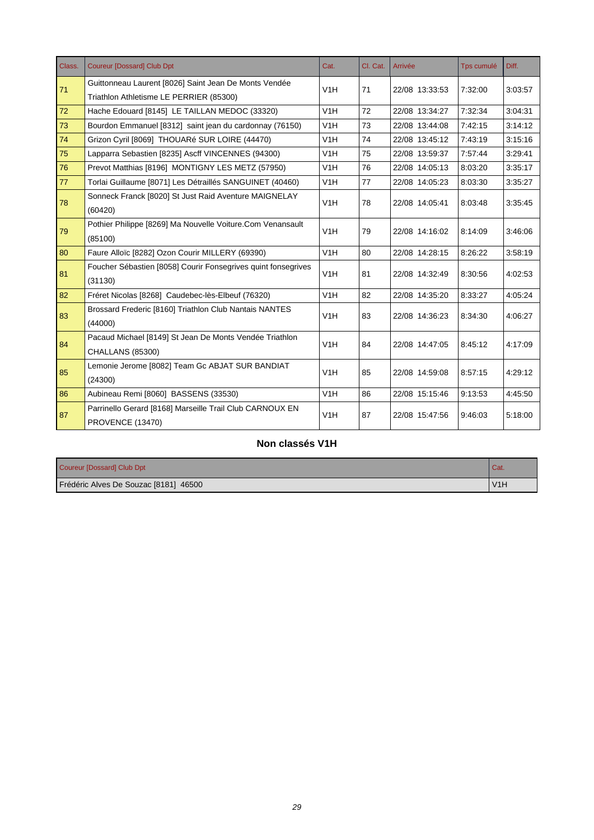| Class. | <b>Coureur [Dossard] Club Dpt</b>                             | Cat.             | Cl. Cat. | Arrivée        | Tps cumulé | Diff.   |
|--------|---------------------------------------------------------------|------------------|----------|----------------|------------|---------|
| 71     | Guittonneau Laurent [8026] Saint Jean De Monts Vendée         | V1H              | 71       |                | 7:32:00    | 3:03:57 |
|        | Triathlon Athletisme LE PERRIER (85300)                       |                  |          | 22/08 13:33:53 |            |         |
| 72     | Hache Edouard [8145] LE TAILLAN MEDOC (33320)                 | V1H              | 72       | 22/08 13:34:27 | 7:32:34    | 3:04:31 |
| 73     | Bourdon Emmanuel [8312] saint jean du cardonnay (76150)       | V <sub>1</sub> H | 73       | 22/08 13:44:08 | 7:42:15    | 3:14:12 |
| 74     | Grizon Cyril [8069] THOUARé SUR LOIRE (44470)                 | V1H              | 74       | 22/08 13:45:12 | 7:43:19    | 3:15:16 |
| 75     | Lapparra Sebastien [8235] Ascff VINCENNES (94300)             | V <sub>1</sub> H | 75       | 22/08 13:59:37 | 7:57:44    | 3:29:41 |
| 76     | Prevot Matthias [8196] MONTIGNY LES METZ (57950)              | V1H              | 76       | 22/08 14:05:13 | 8:03:20    | 3:35:17 |
| 77     | Torlai Guillaume [8071] Les Détraillés SANGUINET (40460)      | V <sub>1</sub> H | 77       | 22/08 14:05:23 | 8:03:30    | 3:35:27 |
| 78     | Sonneck Franck [8020] St Just Raid Aventure MAIGNELAY         | V <sub>1</sub> H | 78       | 22/08 14:05:41 | 8:03:48    | 3:35:45 |
|        | (60420)                                                       |                  |          |                |            |         |
| 79     | Pothier Philippe [8269] Ma Nouvelle Voiture.Com Venansault    | V1H              | 79       | 22/08 14:16:02 | 8:14:09    | 3:46:06 |
|        | (85100)                                                       |                  |          |                |            |         |
| 80     | Faure Alloïc [8282] Ozon Courir MILLERY (69390)               | V <sub>1</sub> H | 80       | 22/08 14:28:15 | 8:26:22    | 3:58:19 |
| 81     | Foucher Sébastien [8058] Courir Fonsegrives quint fonsegrives | V <sub>1</sub> H | 81       | 22/08 14:32:49 | 8:30:56    | 4:02:53 |
|        | (31130)                                                       |                  |          |                |            |         |
| 82     | Fréret Nicolas [8268] Caudebec-lès-Elbeuf (76320)             | V1H              | 82       | 22/08 14:35:20 | 8:33:27    | 4:05:24 |
| 83     | Brossard Frederic [8160] Triathlon Club Nantais NANTES        | V1H              | 83       | 22/08 14:36:23 | 8:34:30    | 4:06:27 |
|        | (44000)                                                       |                  |          |                |            |         |
| 84     | Pacaud Michael [8149] St Jean De Monts Vendée Triathlon       | V <sub>1</sub> H | 84       | 22/08 14:47:05 | 8:45:12    | 4:17:09 |
|        | <b>CHALLANS (85300)</b>                                       |                  |          |                |            |         |
| 85     | Lemonie Jerome [8082] Team Gc ABJAT SUR BANDIAT               | V <sub>1</sub> H |          |                | 8:57:15    | 4:29:12 |
|        | (24300)                                                       |                  | 85       | 22/08 14:59:08 |            |         |
| 86     | Aubineau Remi [8060] BASSENS (33530)                          | V <sub>1</sub> H | 86       | 22/08 15:15:46 | 9:13:53    | 4:45:50 |
|        | Parrinello Gerard [8168] Marseille Trail Club CARNOUX EN      | V1H              |          |                |            |         |
| 87     | PROVENCE (13470)                                              |                  | 87       | 22/08 15:47:56 | 9:46:03    | 5:18:00 |

### **Non classés V1H**

| Coureur [Dossard] Club Dpt            |                  |
|---------------------------------------|------------------|
| Frédéric Alves De Souzac [8181] 46500 | V <sub>1</sub> H |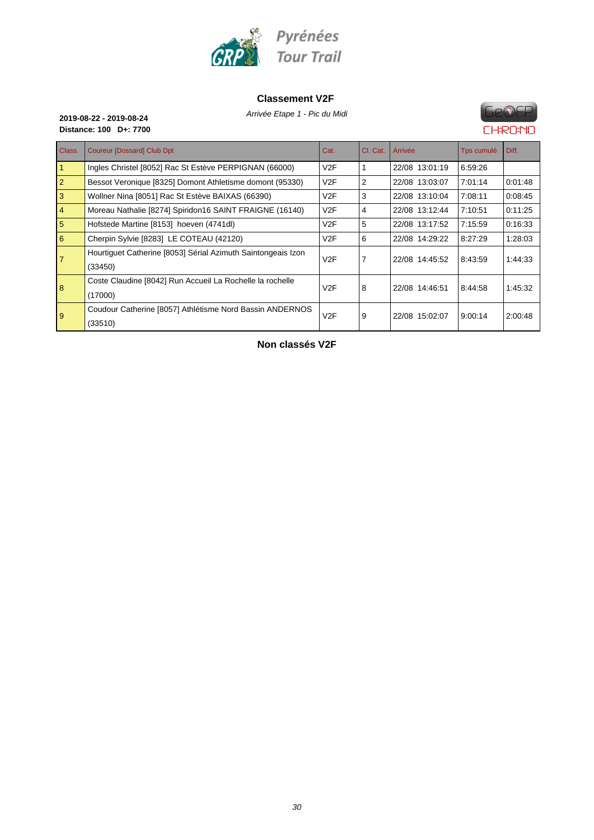

#### **Classement V2F**



8

9

## GeOFP **CHRONO**

|                 | Distance: 100 D+: 7700                                       |      |                |                |            | LHRUIL  |
|-----------------|--------------------------------------------------------------|------|----------------|----------------|------------|---------|
| Class.          | <b>Coureur [Dossard] Club Dpt</b>                            | Cat. | CI. Cat.       | Arrivée        | Tps cumulé | Diff.   |
|                 | Ingles Christel [8052] Rac St Estève PERPIGNAN (66000)       | V2F  |                | 22/08 13:01:19 | 6:59:26    |         |
| $\vert 2 \vert$ | Bessot Veronique [8325] Domont Athletisme domont (95330)     | V2F  | 2              | 22/08 13:03:07 | 7:01:14    | 0:01:48 |
| 3               | Wollner Nina [8051] Rac St Estève BAIXAS (66390)             | V2F  | 3              | 22/08 13:10:04 | 7:08:11    | 0:08:45 |
| $\vert 4 \vert$ | Moreau Nathalie [8274] Spiridon16 SAINT FRAIGNE (16140)      | V2F  | 4              | 22/08 13:12:44 | 7:10:51    | 0:11:25 |
| 5               | Hofstede Martine [8153] hoeven (4741dl)                      | V2F  | 5              | 22/08 13:17:52 | 7:15:59    | 0:16:33 |
| 6               | Cherpin Sylvie [8283] LE COTEAU (42120)                      | V2F  | 6              | 22/08 14:29:22 | 8:27:29    | 1.28.03 |
| $\overline{7}$  | Hourtiquet Catherine [8053] Sérial Azimuth Saintongeais Izon | V2F  | $\overline{7}$ | 22/08 14:45:52 | 8:43:59    | 1:44:33 |
|                 | (33450)                                                      |      |                |                |            |         |
|                 |                                                              |      |                |                |            |         |

| Houringuel Californie (6053) Serial Azimului Salmongeais izon | V2F |   | 22/08 14:45:52 | 8:43:59 | 1:44:33 |
|---------------------------------------------------------------|-----|---|----------------|---------|---------|
| (33450)                                                       |     |   |                |         |         |
| Coste Claudine [8042] Run Accueil La Rochelle la rochelle     | V2F | 8 | 22/08 14:46:51 | 8:44:58 | 1:45:32 |
| (17000)                                                       |     |   |                |         |         |
| Coudour Catherine [8057] Athlétisme Nord Bassin ANDERNOS      | V2F | 9 | 22/08 15:02:07 | 9:00:14 | 2:00:48 |
| (33510)                                                       |     |   |                |         |         |

**Non classés V2F**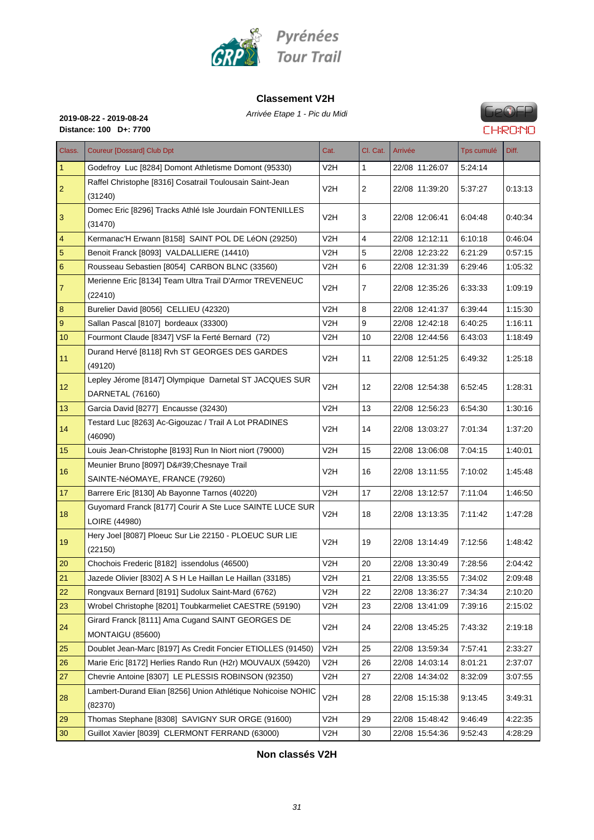

#### **Classement V2H**

Arrivée Etape 1 - Pic du Midi **2019-08-22 - 2019-08-24**



**Distance: 100 D+: 7700**

| Class.          | <b>Coureur [Dossard] Club Dpt</b>                                           | Cat.             | Cl. Cat.     | Arrivée        | Tps cumulé | Diff.   |
|-----------------|-----------------------------------------------------------------------------|------------------|--------------|----------------|------------|---------|
| $\mathbf{1}$    | Godefroy Luc [8284] Domont Athletisme Domont (95330)                        | V2H              | $\mathbf{1}$ | 22/08 11:26:07 | 5:24:14    |         |
| $\overline{2}$  | Raffel Christophe [8316] Cosatrail Toulousain Saint-Jean<br>(31240)         | V <sub>2</sub> H | 2            | 22/08 11:39:20 | 5:37:27    | 0:13:13 |
| 3               | Domec Eric [8296] Tracks Athlé Isle Jourdain FONTENILLES<br>(31470)         | V2H              | 3            | 22/08 12:06:41 | 6:04:48    | 0:40:34 |
| $\overline{4}$  | Kermanac'H Erwann [8158] SAINT POL DE LéON (29250)                          | V2H              | 4            | 22/08 12:12:11 | 6:10:18    | 0.46.04 |
| 5               | Benoit Franck [8093] VALDALLIERE (14410)                                    | V2H              | 5            | 22/08 12:23:22 | 6:21:29    | 0:57:15 |
| 6               | Rousseau Sebastien [8054] CARBON BLNC (33560)                               | V <sub>2</sub> H | 6            | 22/08 12:31:39 | 6:29:46    | 1:05:32 |
| $\overline{7}$  | Merienne Eric [8134] Team Ultra Trail D'Armor TREVENEUC<br>(22410)          | V2H              | 7            | 22/08 12:35:26 | 6:33:33    | 1:09:19 |
| 8               | Burelier David [8056] CELLIEU (42320)                                       | V2H              | 8            | 22/08 12:41:37 | 6:39:44    | 1:15:30 |
| 9               | Sallan Pascal [8107] bordeaux (33300)                                       | V2H              | 9            | 22/08 12:42:18 | 6:40:25    | 1:16:11 |
| 10              | Fourmont Claude [8347] VSF la Ferté Bernard (72)                            | V <sub>2</sub> H | 10           | 22/08 12:44:56 | 6:43:03    | 1:18:49 |
| 11              | Durand Hervé [8118] Rvh ST GEORGES DES GARDES<br>(49120)                    | V2H              | 11           | 22/08 12:51:25 | 6:49:32    | 1:25:18 |
| 12              | Lepley Jérome [8147] Olympique Darnetal ST JACQUES SUR<br>DARNETAL (76160)  | V2H              | 12           | 22/08 12:54:38 | 6:52:45    | 1:28:31 |
| 13              | Garcia David [8277] Encausse (32430)                                        | V2H              | 13           | 22/08 12:56:23 | 6:54:30    | 1:30:16 |
| 14              | Testard Luc [8263] Ac-Gigouzac / Trail A Lot PRADINES<br>(46090)            | V2H              | 14           | 22/08 13:03:27 | 7:01:34    | 1:37:20 |
| 15              | Louis Jean-Christophe [8193] Run In Niort niort (79000)                     | V2H              | 15           | 22/08 13:06:08 | 7:04:15    | 1:40:01 |
|                 | Meunier Bruno [8097] D' Chesnaye Trail                                      |                  |              |                |            |         |
| 16              | SAINTE-NéOMAYE, FRANCE (79260)                                              | V2H              | 16           | 22/08 13:11:55 | 7:10:02    | 1:45:48 |
| 17 <sub>2</sub> | Barrere Eric [8130] Ab Bayonne Tarnos (40220)                               | V <sub>2</sub> H | 17           | 22/08 13:12:57 | 7:11:04    | 1:46:50 |
| 18              | Guyomard Franck [8177] Courir A Ste Luce SAINTE LUCE SUR<br>LOIRE (44980)   | V <sub>2</sub> H | 18           | 22/08 13:13:35 | 7.11.42    | 1:47:28 |
| 19              | Hery Joel [8087] Ploeuc Sur Lie 22150 - PLOEUC SUR LIE<br>(22150)           | V <sub>2</sub> H | 19           | 22/08 13:14:49 | 7:12:56    | 1:48:42 |
| 20              | Chochois Frederic [8182] issendolus (46500)                                 | V2H              | 20           | 22/08 13:30:49 | 7:28:56    | 2:04:42 |
| 21              | Jazede Olivier [8302] A S H Le Haillan Le Haillan (33185)                   | V <sub>2</sub> H | 21           | 22/08 13:35:55 | 7:34:02    | 2:09:48 |
| 22              | Rongvaux Bernard [8191] Sudolux Saint-Mard (6762)                           | V2H              | 22           | 22/08 13:36:27 | 7:34:34    | 2:10:20 |
| 23              | Wrobel Christophe [8201] Toubkarmeliet CAESTRE (59190)                      | V <sub>2</sub> H | 23           | 22/08 13:41:09 | 7:39:16    | 2:15:02 |
| 24              | Girard Franck [8111] Ama Cugand SAINT GEORGES DE<br><b>MONTAIGU (85600)</b> | V2H              | 24           | 22/08 13:45:25 | 7.43.32    | 2:19:18 |
| 25              | Doublet Jean-Marc [8197] As Credit Foncier ETIOLLES (91450)                 | V <sub>2</sub> H | 25           | 22/08 13:59:34 | 7.57:41    | 2:33:27 |
| 26              | Marie Eric [8172] Herlies Rando Run (H2r) MOUVAUX (59420)                   | V2H              | 26           | 22/08 14:03:14 | 8:01:21    | 2:37:07 |
| 27              | Chevrie Antoine [8307] LE PLESSIS ROBINSON (92350)                          | V2H              | 27           | 22/08 14:34:02 | 8:32:09    | 3:07:55 |
| 28              | Lambert-Durand Elian [8256] Union Athlétique Nohicoise NOHIC<br>(82370)     | V <sub>2</sub> H | 28           | 22/08 15:15:38 | 9:13:45    | 3:49:31 |
| 29              | Thomas Stephane [8308] SAVIGNY SUR ORGE (91600)                             | V <sub>2</sub> H | 29           | 22/08 15:48:42 | 9:46:49    | 4:22:35 |
| 30              | Guillot Xavier [8039] CLERMONT FERRAND (63000)                              | V2H              | 30           | 22/08 15:54:36 | 9:52:43    | 4:28:29 |

#### **Non classés V2H**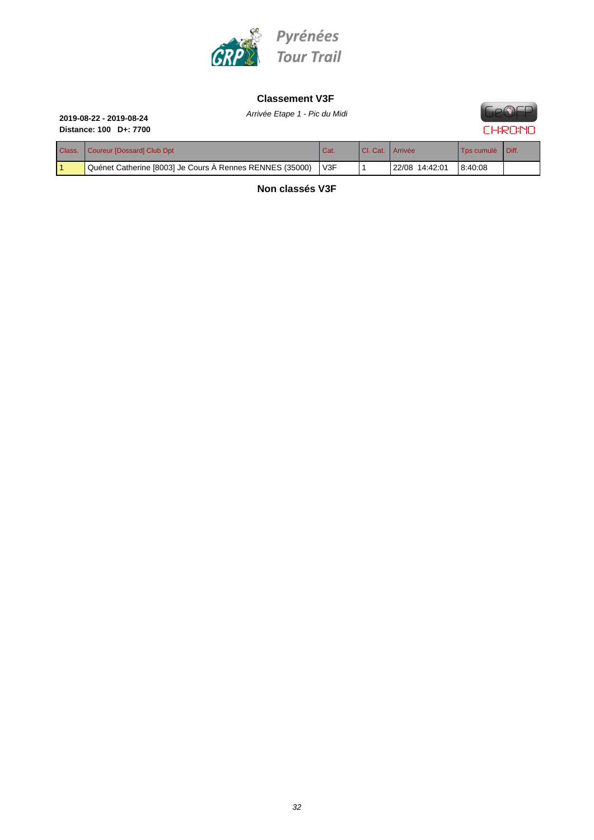

#### **Classement V3F**

Arrivée Etape 1 - Pic du Midi **2019-08-22 - 2019-08-24**

# **Distance: 100 D+: 7700**

## **Ge®EP CHRONO**

| Class. | Coureur [Dossard] Club Dpt                               | Cat.             | I CI. Cat.   Arrivée |                | Tos cumulé | Diff. |
|--------|----------------------------------------------------------|------------------|----------------------|----------------|------------|-------|
|        | Quénet Catherine [8003] Je Cours A Rennes RENNES (35000) | V <sub>3</sub> F |                      | 22/08 14:42:01 | 8.40.08    |       |

**Non classés V3F**